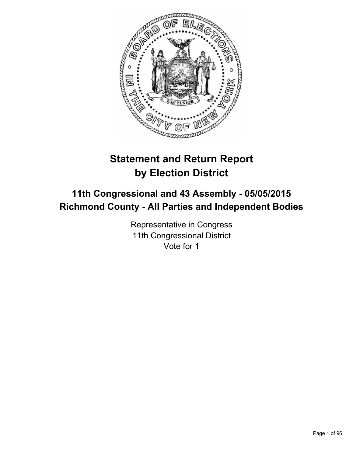

# **Statement and Return Report by Election District**

# **11th Congressional and 43 Assembly - 05/05/2015 Richmond County - All Parties and Independent Bodies**

Representative in Congress 11th Congressional District Vote for 1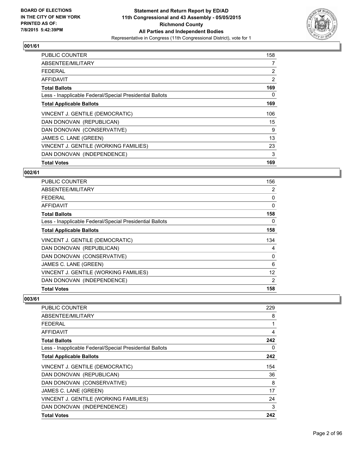

| <b>PUBLIC COUNTER</b>                                    | 158 |
|----------------------------------------------------------|-----|
| ABSENTEE/MILITARY                                        | 7   |
| <b>FEDERAL</b>                                           | 2   |
| AFFIDAVIT                                                | 2   |
| <b>Total Ballots</b>                                     | 169 |
| Less - Inapplicable Federal/Special Presidential Ballots | 0   |
| <b>Total Applicable Ballots</b>                          | 169 |
| VINCENT J. GENTILE (DEMOCRATIC)                          | 106 |
| DAN DONOVAN (REPUBLICAN)                                 | 15  |
| DAN DONOVAN (CONSERVATIVE)                               | 9   |
| JAMES C. LANE (GREEN)                                    | 13  |
| VINCENT J. GENTILE (WORKING FAMILIES)                    | 23  |
| DAN DONOVAN (INDEPENDENCE)                               | 3   |
| <b>Total Votes</b>                                       | 169 |

#### **002/61**

| <b>PUBLIC COUNTER</b>                                    | 156      |
|----------------------------------------------------------|----------|
| ABSENTEE/MILITARY                                        | 2        |
| <b>FEDERAL</b>                                           | 0        |
| AFFIDAVIT                                                | $\Omega$ |
| <b>Total Ballots</b>                                     | 158      |
| Less - Inapplicable Federal/Special Presidential Ballots | 0        |
| <b>Total Applicable Ballots</b>                          | 158      |
| VINCENT J. GENTILE (DEMOCRATIC)                          | 134      |
| DAN DONOVAN (REPUBLICAN)                                 | 4        |
| DAN DONOVAN (CONSERVATIVE)                               | 0        |
| JAMES C. LANE (GREEN)                                    | 6        |
| VINCENT J. GENTILE (WORKING FAMILIES)                    | 12       |
| DAN DONOVAN (INDEPENDENCE)                               | 2        |
| <b>Total Votes</b>                                       | 158      |

| <b>PUBLIC COUNTER</b>                                    | 229 |
|----------------------------------------------------------|-----|
| ABSENTEE/MILITARY                                        | 8   |
| <b>FEDERAL</b>                                           | 1   |
| AFFIDAVIT                                                | 4   |
| <b>Total Ballots</b>                                     | 242 |
| Less - Inapplicable Federal/Special Presidential Ballots | 0   |
| <b>Total Applicable Ballots</b>                          | 242 |
| VINCENT J. GENTILE (DEMOCRATIC)                          | 154 |
| DAN DONOVAN (REPUBLICAN)                                 | 36  |
| DAN DONOVAN (CONSERVATIVE)                               | 8   |
| JAMES C. LANE (GREEN)                                    | 17  |
| VINCENT J. GENTILE (WORKING FAMILIES)                    | 24  |
| DAN DONOVAN (INDEPENDENCE)                               | 3   |
| <b>Total Votes</b>                                       | 242 |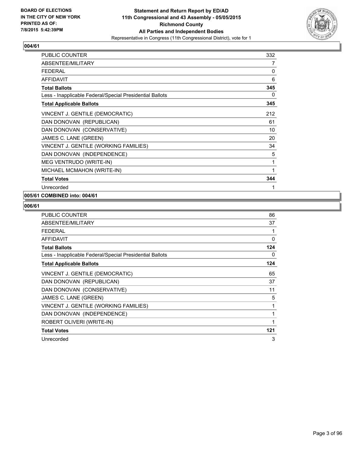

| <b>PUBLIC COUNTER</b>                                    | 332 |
|----------------------------------------------------------|-----|
| ABSENTEE/MILITARY                                        | 7   |
| <b>FEDERAL</b>                                           | 0   |
| <b>AFFIDAVIT</b>                                         | 6   |
| <b>Total Ballots</b>                                     | 345 |
| Less - Inapplicable Federal/Special Presidential Ballots | 0   |
| <b>Total Applicable Ballots</b>                          | 345 |
| VINCENT J. GENTILE (DEMOCRATIC)                          | 212 |
| DAN DONOVAN (REPUBLICAN)                                 | 61  |
| DAN DONOVAN (CONSERVATIVE)                               | 10  |
| JAMES C. LANE (GREEN)                                    | 20  |
| VINCENT J. GENTILE (WORKING FAMILIES)                    | 34  |
| DAN DONOVAN (INDEPENDENCE)                               | 5   |
| MEG VENTRUDO (WRITE-IN)                                  | 1   |
| MICHAEL MCMAHON (WRITE-IN)                               | 1   |
| <b>Total Votes</b>                                       | 344 |
| Unrecorded                                               | 1   |

## **005/61 COMBINED into: 004/61**

| <b>PUBLIC COUNTER</b>                                    | 86       |
|----------------------------------------------------------|----------|
| ABSENTEE/MILITARY                                        | 37       |
| <b>FEDERAL</b>                                           |          |
| <b>AFFIDAVIT</b>                                         | $\Omega$ |
| <b>Total Ballots</b>                                     | 124      |
| Less - Inapplicable Federal/Special Presidential Ballots | 0        |
| <b>Total Applicable Ballots</b>                          | 124      |
| VINCENT J. GENTILE (DEMOCRATIC)                          | 65       |
| DAN DONOVAN (REPUBLICAN)                                 | 37       |
| DAN DONOVAN (CONSERVATIVE)                               | 11       |
| JAMES C. LANE (GREEN)                                    | 5        |
| VINCENT J. GENTILE (WORKING FAMILIES)                    | 1        |
| DAN DONOVAN (INDEPENDENCE)                               | 1        |
| ROBERT OLIVERI (WRITE-IN)                                |          |
| <b>Total Votes</b>                                       | 121      |
| Unrecorded                                               | 3        |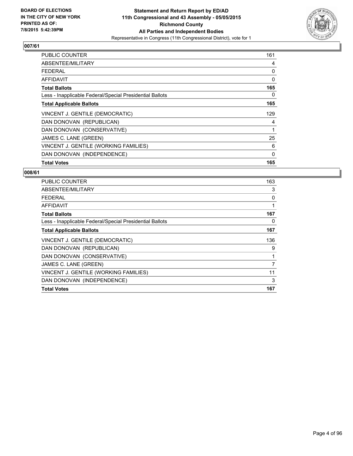

| <b>PUBLIC COUNTER</b>                                    | 161 |
|----------------------------------------------------------|-----|
| ABSENTEE/MILITARY                                        | 4   |
| <b>FEDERAL</b>                                           | 0   |
| AFFIDAVIT                                                | 0   |
| <b>Total Ballots</b>                                     | 165 |
| Less - Inapplicable Federal/Special Presidential Ballots | 0   |
| <b>Total Applicable Ballots</b>                          | 165 |
| VINCENT J. GENTILE (DEMOCRATIC)                          | 129 |
| DAN DONOVAN (REPUBLICAN)                                 | 4   |
| DAN DONOVAN (CONSERVATIVE)                               | 1   |
| JAMES C. LANE (GREEN)                                    | 25  |
| VINCENT J. GENTILE (WORKING FAMILIES)                    | 6   |
| DAN DONOVAN (INDEPENDENCE)                               | 0   |
| <b>Total Votes</b>                                       | 165 |

| <b>PUBLIC COUNTER</b>                                    | 163 |
|----------------------------------------------------------|-----|
| ABSENTEE/MILITARY                                        | 3   |
| <b>FEDERAL</b>                                           | 0   |
| AFFIDAVIT                                                | 1   |
| <b>Total Ballots</b>                                     | 167 |
| Less - Inapplicable Federal/Special Presidential Ballots | 0   |
| <b>Total Applicable Ballots</b>                          | 167 |
| VINCENT J. GENTILE (DEMOCRATIC)                          | 136 |
| DAN DONOVAN (REPUBLICAN)                                 | 9   |
| DAN DONOVAN (CONSERVATIVE)                               | 1   |
| JAMES C. LANE (GREEN)                                    | 7   |
| VINCENT J. GENTILE (WORKING FAMILIES)                    | 11  |
| DAN DONOVAN (INDEPENDENCE)                               | 3   |
| <b>Total Votes</b>                                       | 167 |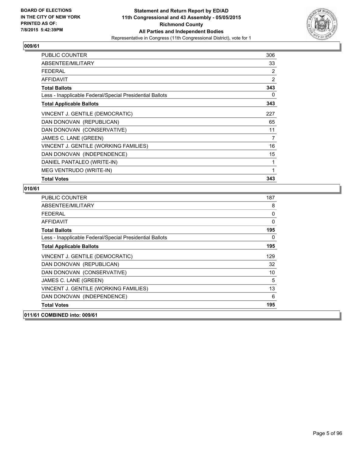

| <b>PUBLIC COUNTER</b>                                    | 306 |
|----------------------------------------------------------|-----|
| ABSENTEE/MILITARY                                        | 33  |
| <b>FEDERAL</b>                                           | 2   |
| <b>AFFIDAVIT</b>                                         | 2   |
| <b>Total Ballots</b>                                     | 343 |
| Less - Inapplicable Federal/Special Presidential Ballots | 0   |
| <b>Total Applicable Ballots</b>                          | 343 |
| VINCENT J. GENTILE (DEMOCRATIC)                          | 227 |
| DAN DONOVAN (REPUBLICAN)                                 | 65  |
| DAN DONOVAN (CONSERVATIVE)                               | 11  |
| JAMES C. LANE (GREEN)                                    | 7   |
| VINCENT J. GENTILE (WORKING FAMILIES)                    | 16  |
| DAN DONOVAN (INDEPENDENCE)                               | 15  |
| DANIEL PANTALEO (WRITE-IN)                               | 1   |
| MEG VENTRUDO (WRITE-IN)                                  | 1   |
| <b>Total Votes</b>                                       | 343 |

| 8<br>0<br>0<br>195<br>0<br>195<br>129 |
|---------------------------------------|
|                                       |
|                                       |
|                                       |
|                                       |
|                                       |
|                                       |
|                                       |
| 32                                    |
| 10                                    |
| 5                                     |
| 13                                    |
| 6                                     |
| 195                                   |
|                                       |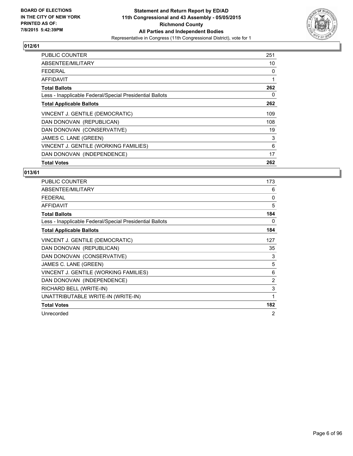

| <b>PUBLIC COUNTER</b>                                    | 251 |
|----------------------------------------------------------|-----|
| ABSENTEE/MILITARY                                        | 10  |
| <b>FEDERAL</b>                                           | 0   |
| AFFIDAVIT                                                | 1   |
| <b>Total Ballots</b>                                     | 262 |
| Less - Inapplicable Federal/Special Presidential Ballots | 0   |
| <b>Total Applicable Ballots</b>                          | 262 |
| VINCENT J. GENTILE (DEMOCRATIC)                          | 109 |
| DAN DONOVAN (REPUBLICAN)                                 | 108 |
| DAN DONOVAN (CONSERVATIVE)                               | 19  |
| JAMES C. LANE (GREEN)                                    | 3   |
| VINCENT J. GENTILE (WORKING FAMILIES)                    | 6   |
| DAN DONOVAN (INDEPENDENCE)                               | 17  |
| <b>Total Votes</b>                                       | 262 |

| <b>PUBLIC COUNTER</b>                                    | 173 |
|----------------------------------------------------------|-----|
| ABSENTEE/MILITARY                                        | 6   |
| <b>FEDERAL</b>                                           | 0   |
| <b>AFFIDAVIT</b>                                         | 5   |
| <b>Total Ballots</b>                                     | 184 |
| Less - Inapplicable Federal/Special Presidential Ballots | 0   |
| <b>Total Applicable Ballots</b>                          | 184 |
| VINCENT J. GENTILE (DEMOCRATIC)                          | 127 |
| DAN DONOVAN (REPUBLICAN)                                 | 35  |
| DAN DONOVAN (CONSERVATIVE)                               | 3   |
| JAMES C. LANE (GREEN)                                    | 5   |
| VINCENT J. GENTILE (WORKING FAMILIES)                    | 6   |
| DAN DONOVAN (INDEPENDENCE)                               | 2   |
| RICHARD BELL (WRITE-IN)                                  | 3   |
| UNATTRIBUTABLE WRITE-IN (WRITE-IN)                       | 1   |
| <b>Total Votes</b>                                       | 182 |
| Unrecorded                                               | 2   |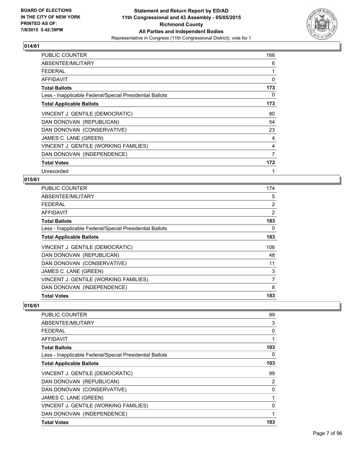

| PUBLIC COUNTER                                           | 166 |
|----------------------------------------------------------|-----|
| ABSENTEE/MILITARY                                        | 6   |
| FEDERAL                                                  | 1   |
| <b>AFFIDAVIT</b>                                         | 0   |
| <b>Total Ballots</b>                                     | 173 |
| Less - Inapplicable Federal/Special Presidential Ballots | 0   |
| <b>Total Applicable Ballots</b>                          | 173 |
| VINCENT J. GENTILE (DEMOCRATIC)                          | 80  |
| DAN DONOVAN (REPUBLICAN)                                 | 54  |
| DAN DONOVAN (CONSERVATIVE)                               | 23  |
| JAMES C. LANE (GREEN)                                    | 4   |
| VINCENT J. GENTILE (WORKING FAMILIES)                    | 4   |
| DAN DONOVAN (INDEPENDENCE)                               | 7   |
| <b>Total Votes</b>                                       | 172 |
| Unrecorded                                               | 1   |

## **015/61**

| PUBLIC COUNTER                                           | 174            |
|----------------------------------------------------------|----------------|
| ABSENTEE/MILITARY                                        | 5              |
| <b>FEDERAL</b>                                           | 2              |
| AFFIDAVIT                                                | $\overline{2}$ |
| <b>Total Ballots</b>                                     | 183            |
| Less - Inapplicable Federal/Special Presidential Ballots | 0              |
| <b>Total Applicable Ballots</b>                          | 183            |
| VINCENT J. GENTILE (DEMOCRATIC)                          | 106            |
| DAN DONOVAN (REPUBLICAN)                                 | 48             |
| DAN DONOVAN (CONSERVATIVE)                               | 11             |
| JAMES C. LANE (GREEN)                                    | 3              |
| VINCENT J. GENTILE (WORKING FAMILIES)                    | 7              |
| DAN DONOVAN (INDEPENDENCE)                               | 8              |
| <b>Total Votes</b>                                       | 183            |

| <b>PUBLIC COUNTER</b>                                    | 99  |
|----------------------------------------------------------|-----|
| ABSENTEE/MILITARY                                        | 3   |
| <b>FEDERAL</b>                                           | 0   |
| AFFIDAVIT                                                | 1   |
| <b>Total Ballots</b>                                     | 103 |
| Less - Inapplicable Federal/Special Presidential Ballots | 0   |
| <b>Total Applicable Ballots</b>                          | 103 |
| VINCENT J. GENTILE (DEMOCRATIC)                          | 99  |
| DAN DONOVAN (REPUBLICAN)                                 | 2   |
| DAN DONOVAN (CONSERVATIVE)                               | 0   |
| JAMES C. LANE (GREEN)                                    |     |
| VINCENT J. GENTILE (WORKING FAMILIES)                    | 0   |
| DAN DONOVAN (INDEPENDENCE)                               | 1   |
| <b>Total Votes</b>                                       | 103 |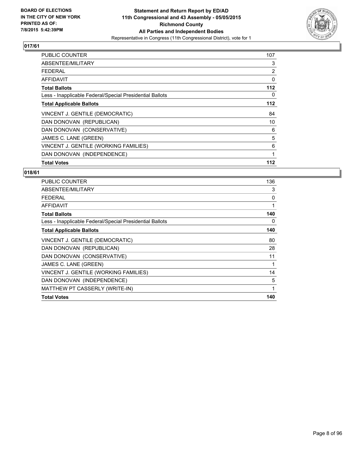

| PUBLIC COUNTER                                           | 107 |
|----------------------------------------------------------|-----|
| ABSENTEE/MILITARY                                        | 3   |
| <b>FEDERAL</b>                                           | 2   |
| AFFIDAVIT                                                | 0   |
| <b>Total Ballots</b>                                     | 112 |
| Less - Inapplicable Federal/Special Presidential Ballots | 0   |
| <b>Total Applicable Ballots</b>                          | 112 |
| VINCENT J. GENTILE (DEMOCRATIC)                          | 84  |
| DAN DONOVAN (REPUBLICAN)                                 | 10  |
| DAN DONOVAN (CONSERVATIVE)                               | 6   |
| JAMES C. LANE (GREEN)                                    | 5   |
| VINCENT J. GENTILE (WORKING FAMILIES)                    | 6   |
| DAN DONOVAN (INDEPENDENCE)                               | 1   |
| <b>Total Votes</b>                                       | 112 |

| <b>PUBLIC COUNTER</b>                                    | 136 |
|----------------------------------------------------------|-----|
| ABSENTEE/MILITARY                                        | 3   |
| <b>FEDERAL</b>                                           | 0   |
| <b>AFFIDAVIT</b>                                         | 1   |
| <b>Total Ballots</b>                                     | 140 |
| Less - Inapplicable Federal/Special Presidential Ballots | 0   |
| <b>Total Applicable Ballots</b>                          | 140 |
| VINCENT J. GENTILE (DEMOCRATIC)                          | 80  |
| DAN DONOVAN (REPUBLICAN)                                 | 28  |
| DAN DONOVAN (CONSERVATIVE)                               | 11  |
| JAMES C. LANE (GREEN)                                    | 1   |
| VINCENT J. GENTILE (WORKING FAMILIES)                    | 14  |
| DAN DONOVAN (INDEPENDENCE)                               | 5   |
| MATTHEW PT CASSERLY (WRITE-IN)                           | 1   |
| <b>Total Votes</b>                                       | 140 |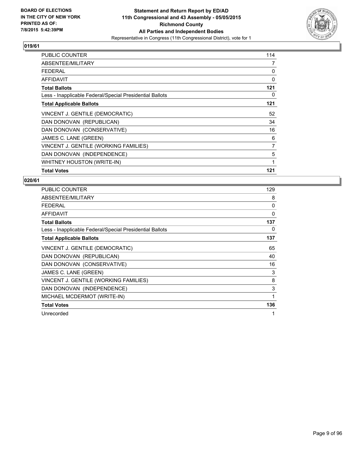

| <b>PUBLIC COUNTER</b>                                    | 114 |
|----------------------------------------------------------|-----|
| ABSENTEE/MILITARY                                        | 7   |
| <b>FEDERAL</b>                                           | 0   |
| <b>AFFIDAVIT</b>                                         | 0   |
| <b>Total Ballots</b>                                     | 121 |
| Less - Inapplicable Federal/Special Presidential Ballots | 0   |
| <b>Total Applicable Ballots</b>                          | 121 |
| VINCENT J. GENTILE (DEMOCRATIC)                          | 52  |
| DAN DONOVAN (REPUBLICAN)                                 | 34  |
| DAN DONOVAN (CONSERVATIVE)                               | 16  |
| JAMES C. LANE (GREEN)                                    | 6   |
| VINCENT J. GENTILE (WORKING FAMILIES)                    | 7   |
| DAN DONOVAN (INDEPENDENCE)                               | 5   |
| WHITNEY HOUSTON (WRITE-IN)                               | 1   |
| <b>Total Votes</b>                                       | 121 |

| <b>PUBLIC COUNTER</b>                                    | 129 |
|----------------------------------------------------------|-----|
| ABSENTEE/MILITARY                                        | 8   |
| <b>FEDERAL</b>                                           | 0   |
| AFFIDAVIT                                                | 0   |
| <b>Total Ballots</b>                                     | 137 |
| Less - Inapplicable Federal/Special Presidential Ballots | 0   |
| <b>Total Applicable Ballots</b>                          | 137 |
| VINCENT J. GENTILE (DEMOCRATIC)                          | 65  |
| DAN DONOVAN (REPUBLICAN)                                 | 40  |
| DAN DONOVAN (CONSERVATIVE)                               | 16  |
| JAMES C. LANE (GREEN)                                    | 3   |
| VINCENT J. GENTILE (WORKING FAMILIES)                    | 8   |
| DAN DONOVAN (INDEPENDENCE)                               | 3   |
| MICHAEL MCDERMOT (WRITE-IN)                              | 1   |
| <b>Total Votes</b>                                       | 136 |
| Unrecorded                                               | 1   |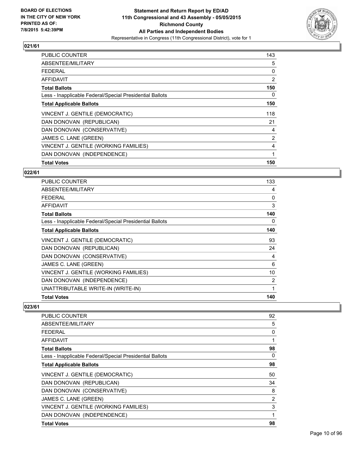

| <b>PUBLIC COUNTER</b>                                    | 143 |
|----------------------------------------------------------|-----|
| ABSENTEE/MILITARY                                        | 5   |
| <b>FEDERAL</b>                                           | 0   |
| AFFIDAVIT                                                | 2   |
| <b>Total Ballots</b>                                     | 150 |
| Less - Inapplicable Federal/Special Presidential Ballots | 0   |
| <b>Total Applicable Ballots</b>                          | 150 |
| VINCENT J. GENTILE (DEMOCRATIC)                          | 118 |
| DAN DONOVAN (REPUBLICAN)                                 | 21  |
| DAN DONOVAN (CONSERVATIVE)                               | 4   |
| JAMES C. LANE (GREEN)                                    | 2   |
| VINCENT J. GENTILE (WORKING FAMILIES)                    | 4   |
| DAN DONOVAN (INDEPENDENCE)                               | 1   |
| <b>Total Votes</b>                                       | 150 |

#### **022/61**

| PUBLIC COUNTER                                           | 133 |
|----------------------------------------------------------|-----|
| ABSENTEE/MILITARY                                        | 4   |
| <b>FEDERAL</b>                                           | 0   |
| AFFIDAVIT                                                | 3   |
| <b>Total Ballots</b>                                     | 140 |
| Less - Inapplicable Federal/Special Presidential Ballots | 0   |
| <b>Total Applicable Ballots</b>                          | 140 |
| VINCENT J. GENTILE (DEMOCRATIC)                          | 93  |
| DAN DONOVAN (REPUBLICAN)                                 | 24  |
| DAN DONOVAN (CONSERVATIVE)                               | 4   |
| JAMES C. LANE (GREEN)                                    | 6   |
| VINCENT J. GENTILE (WORKING FAMILIES)                    | 10  |
| DAN DONOVAN (INDEPENDENCE)                               | 2   |
| UNATTRIBUTABLE WRITE-IN (WRITE-IN)                       | 1   |
| <b>Total Votes</b>                                       | 140 |

| <b>PUBLIC COUNTER</b>                                    | 92 |
|----------------------------------------------------------|----|
| ABSENTEE/MILITARY                                        | 5  |
| <b>FEDERAL</b>                                           | 0  |
| AFFIDAVIT                                                | 1  |
| <b>Total Ballots</b>                                     | 98 |
| Less - Inapplicable Federal/Special Presidential Ballots | 0  |
| <b>Total Applicable Ballots</b>                          | 98 |
| VINCENT J. GENTILE (DEMOCRATIC)                          | 50 |
| DAN DONOVAN (REPUBLICAN)                                 | 34 |
| DAN DONOVAN (CONSERVATIVE)                               | 8  |
| JAMES C. LANE (GREEN)                                    | 2  |
| VINCENT J. GENTILE (WORKING FAMILIES)                    | 3  |
| DAN DONOVAN (INDEPENDENCE)                               | 1  |
| <b>Total Votes</b>                                       | 98 |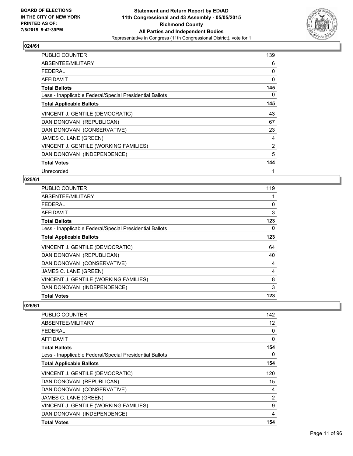

| <b>PUBLIC COUNTER</b>                                    | 139 |
|----------------------------------------------------------|-----|
| ABSENTEE/MILITARY                                        | 6   |
| <b>FEDERAL</b>                                           | 0   |
| <b>AFFIDAVIT</b>                                         | 0   |
| <b>Total Ballots</b>                                     | 145 |
| Less - Inapplicable Federal/Special Presidential Ballots | 0   |
| <b>Total Applicable Ballots</b>                          | 145 |
| VINCENT J. GENTILE (DEMOCRATIC)                          | 43  |
| DAN DONOVAN (REPUBLICAN)                                 | 67  |
| DAN DONOVAN (CONSERVATIVE)                               | 23  |
| JAMES C. LANE (GREEN)                                    | 4   |
| VINCENT J. GENTILE (WORKING FAMILIES)                    | 2   |
| DAN DONOVAN (INDEPENDENCE)                               | 5   |
| <b>Total Votes</b>                                       | 144 |
| Unrecorded                                               | 1   |

#### **025/61**

| <b>PUBLIC COUNTER</b>                                    | 119 |
|----------------------------------------------------------|-----|
| ABSENTEE/MILITARY                                        |     |
| <b>FEDERAL</b>                                           | 0   |
| AFFIDAVIT                                                | 3   |
| <b>Total Ballots</b>                                     | 123 |
| Less - Inapplicable Federal/Special Presidential Ballots | 0   |
| <b>Total Applicable Ballots</b>                          | 123 |
| VINCENT J. GENTILE (DEMOCRATIC)                          | 64  |
| DAN DONOVAN (REPUBLICAN)                                 | 40  |
| DAN DONOVAN (CONSERVATIVE)                               | 4   |
| JAMES C. LANE (GREEN)                                    | 4   |
| VINCENT J. GENTILE (WORKING FAMILIES)                    | 8   |
| DAN DONOVAN (INDEPENDENCE)                               | 3   |
| <b>Total Votes</b>                                       | 123 |

| <b>PUBLIC COUNTER</b>                                    | 142 |
|----------------------------------------------------------|-----|
| ABSENTEE/MILITARY                                        | 12  |
| <b>FEDERAL</b>                                           | 0   |
| AFFIDAVIT                                                | 0   |
| <b>Total Ballots</b>                                     | 154 |
| Less - Inapplicable Federal/Special Presidential Ballots | 0   |
| <b>Total Applicable Ballots</b>                          | 154 |
| VINCENT J. GENTILE (DEMOCRATIC)                          | 120 |
| DAN DONOVAN (REPUBLICAN)                                 | 15  |
| DAN DONOVAN (CONSERVATIVE)                               | 4   |
| JAMES C. LANE (GREEN)                                    | 2   |
| VINCENT J. GENTILE (WORKING FAMILIES)                    | 9   |
| DAN DONOVAN (INDEPENDENCE)                               | 4   |
| <b>Total Votes</b>                                       | 154 |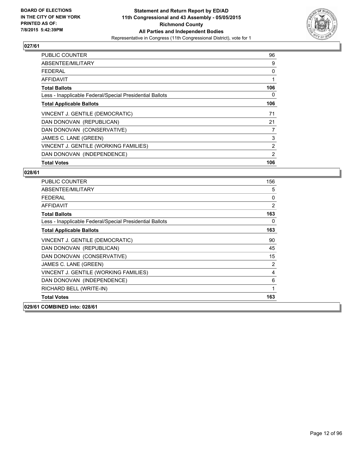

| <b>PUBLIC COUNTER</b>                                    | 96  |
|----------------------------------------------------------|-----|
| ABSENTEE/MILITARY                                        | 9   |
| <b>FEDERAL</b>                                           | 0   |
| AFFIDAVIT                                                | 1   |
| <b>Total Ballots</b>                                     | 106 |
| Less - Inapplicable Federal/Special Presidential Ballots | 0   |
| <b>Total Applicable Ballots</b>                          | 106 |
| VINCENT J. GENTILE (DEMOCRATIC)                          | 71  |
| DAN DONOVAN (REPUBLICAN)                                 | 21  |
| DAN DONOVAN (CONSERVATIVE)                               | 7   |
| JAMES C. LANE (GREEN)                                    | 3   |
| VINCENT J. GENTILE (WORKING FAMILIES)                    | 2   |
| DAN DONOVAN (INDEPENDENCE)                               | 2   |
| <b>Total Votes</b>                                       | 106 |

| <b>PUBLIC COUNTER</b>                                    | 156            |
|----------------------------------------------------------|----------------|
| ABSENTEE/MILITARY                                        | 5              |
| <b>FEDERAL</b>                                           | 0              |
| <b>AFFIDAVIT</b>                                         | $\overline{2}$ |
| <b>Total Ballots</b>                                     | 163            |
| Less - Inapplicable Federal/Special Presidential Ballots | 0              |
| <b>Total Applicable Ballots</b>                          | 163            |
| VINCENT J. GENTILE (DEMOCRATIC)                          | 90             |
| DAN DONOVAN (REPUBLICAN)                                 | 45             |
| DAN DONOVAN (CONSERVATIVE)                               | 15             |
| JAMES C. LANE (GREEN)                                    | $\overline{2}$ |
| VINCENT J. GENTILE (WORKING FAMILIES)                    | 4              |
| DAN DONOVAN (INDEPENDENCE)                               | 6              |
| RICHARD BELL (WRITE-IN)                                  | 1              |
| <b>Total Votes</b>                                       | 163            |
| 029/61 COMBINED into: 028/61                             |                |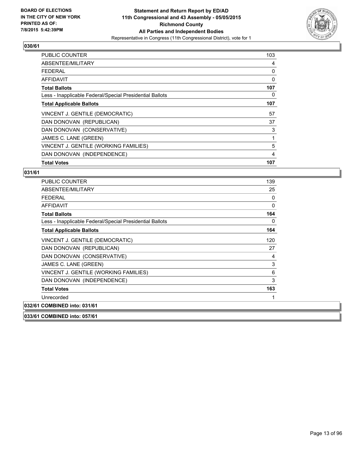

| <b>PUBLIC COUNTER</b>                                    | 103 |
|----------------------------------------------------------|-----|
| ABSENTEE/MILITARY                                        | 4   |
| <b>FEDERAL</b>                                           | 0   |
| AFFIDAVIT                                                | 0   |
| <b>Total Ballots</b>                                     | 107 |
| Less - Inapplicable Federal/Special Presidential Ballots | 0   |
| <b>Total Applicable Ballots</b>                          | 107 |
| VINCENT J. GENTILE (DEMOCRATIC)                          | 57  |
| DAN DONOVAN (REPUBLICAN)                                 | 37  |
| DAN DONOVAN (CONSERVATIVE)                               | 3   |
| JAMES C. LANE (GREEN)                                    | 1   |
| VINCENT J. GENTILE (WORKING FAMILIES)                    | 5   |
| DAN DONOVAN (INDEPENDENCE)                               | 4   |
| <b>Total Votes</b>                                       | 107 |

| PUBLIC COUNTER                                           | 139 |
|----------------------------------------------------------|-----|
| ABSENTEE/MILITARY                                        | 25  |
| <b>FEDERAL</b>                                           | 0   |
| <b>AFFIDAVIT</b>                                         | 0   |
| <b>Total Ballots</b>                                     | 164 |
| Less - Inapplicable Federal/Special Presidential Ballots | 0   |
| <b>Total Applicable Ballots</b>                          | 164 |
| VINCENT J. GENTILE (DEMOCRATIC)                          | 120 |
| DAN DONOVAN (REPUBLICAN)                                 | 27  |
| DAN DONOVAN (CONSERVATIVE)                               | 4   |
| JAMES C. LANE (GREEN)                                    | 3   |
| VINCENT J. GENTILE (WORKING FAMILIES)                    | 6   |
| DAN DONOVAN (INDEPENDENCE)                               | 3   |
| <b>Total Votes</b>                                       | 163 |
| Unrecorded                                               | 1   |
| 032/61 COMBINED into: 031/61                             |     |
| 033/61 COMBINED into: 057/61                             |     |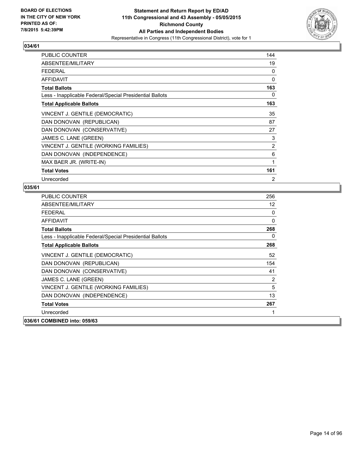

| <b>PUBLIC COUNTER</b>                                    | 144            |
|----------------------------------------------------------|----------------|
| ABSENTEE/MILITARY                                        | 19             |
| <b>FEDERAL</b>                                           | 0              |
| <b>AFFIDAVIT</b>                                         | 0              |
| <b>Total Ballots</b>                                     | 163            |
| Less - Inapplicable Federal/Special Presidential Ballots | 0              |
| <b>Total Applicable Ballots</b>                          | 163            |
| VINCENT J. GENTILE (DEMOCRATIC)                          | 35             |
| DAN DONOVAN (REPUBLICAN)                                 | 87             |
| DAN DONOVAN (CONSERVATIVE)                               | 27             |
| JAMES C. LANE (GREEN)                                    | 3              |
| VINCENT J. GENTILE (WORKING FAMILIES)                    | 2              |
| DAN DONOVAN (INDEPENDENCE)                               | 6              |
| MAX BAER JR. (WRITE-IN)                                  | 1              |
| <b>Total Votes</b>                                       | 161            |
| Unrecorded                                               | $\overline{2}$ |

| <b>PUBLIC COUNTER</b>                                    | 256 |
|----------------------------------------------------------|-----|
| ABSENTEE/MILITARY                                        | 12  |
| FEDERAL                                                  | 0   |
| <b>AFFIDAVIT</b>                                         | 0   |
| <b>Total Ballots</b>                                     | 268 |
| Less - Inapplicable Federal/Special Presidential Ballots | 0   |
| <b>Total Applicable Ballots</b>                          | 268 |
| VINCENT J. GENTILE (DEMOCRATIC)                          | 52  |
| DAN DONOVAN (REPUBLICAN)                                 | 154 |
| DAN DONOVAN (CONSERVATIVE)                               | 41  |
| JAMES C. LANE (GREEN)                                    | 2   |
| VINCENT J. GENTILE (WORKING FAMILIES)                    | 5   |
| DAN DONOVAN (INDEPENDENCE)                               | 13  |
| <b>Total Votes</b>                                       | 267 |
| Unrecorded                                               | 1   |
| 036/61 COMBINED into: 059/63                             |     |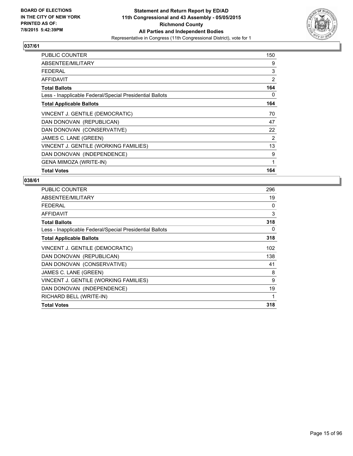

| <b>PUBLIC COUNTER</b>                                    | 150 |
|----------------------------------------------------------|-----|
| ABSENTEE/MILITARY                                        | 9   |
| FEDERAL                                                  | 3   |
| AFFIDAVIT                                                | 2   |
| <b>Total Ballots</b>                                     | 164 |
| Less - Inapplicable Federal/Special Presidential Ballots | 0   |
| <b>Total Applicable Ballots</b>                          | 164 |
| VINCENT J. GENTILE (DEMOCRATIC)                          | 70  |
| DAN DONOVAN (REPUBLICAN)                                 | 47  |
| DAN DONOVAN (CONSERVATIVE)                               | 22  |
| JAMES C. LANE (GREEN)                                    | 2   |
| VINCENT J. GENTILE (WORKING FAMILIES)                    | 13  |
| DAN DONOVAN (INDEPENDENCE)                               | 9   |
| <b>GENA MIMOZA (WRITE-IN)</b>                            | 1   |
| <b>Total Votes</b>                                       | 164 |

| PUBLIC COUNTER                                           | 296 |
|----------------------------------------------------------|-----|
| ABSENTEE/MILITARY                                        | 19  |
| FFDFRAI                                                  | 0   |
| <b>AFFIDAVIT</b>                                         | 3   |
| <b>Total Ballots</b>                                     | 318 |
| Less - Inapplicable Federal/Special Presidential Ballots | 0   |
| <b>Total Applicable Ballots</b>                          | 318 |
| VINCENT J. GENTILE (DEMOCRATIC)                          | 102 |
| DAN DONOVAN (REPUBLICAN)                                 | 138 |
| DAN DONOVAN (CONSERVATIVE)                               | 41  |
| JAMES C. LANE (GREEN)                                    | 8   |
| VINCENT J. GENTILE (WORKING FAMILIES)                    | 9   |
| DAN DONOVAN (INDEPENDENCE)                               | 19  |
| RICHARD BELL (WRITE-IN)                                  | 1   |
| <b>Total Votes</b>                                       | 318 |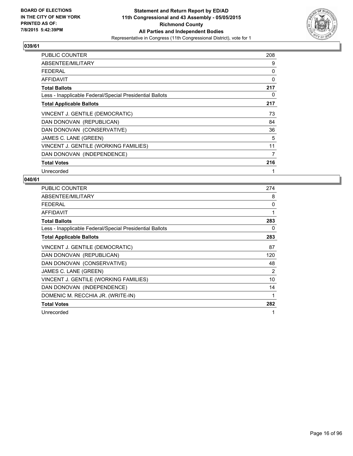

| <b>PUBLIC COUNTER</b>                                    | 208 |
|----------------------------------------------------------|-----|
| ABSENTEE/MILITARY                                        | 9   |
| <b>FEDERAL</b>                                           | 0   |
| <b>AFFIDAVIT</b>                                         | 0   |
| <b>Total Ballots</b>                                     | 217 |
| Less - Inapplicable Federal/Special Presidential Ballots | 0   |
| <b>Total Applicable Ballots</b>                          | 217 |
| VINCENT J. GENTILE (DEMOCRATIC)                          | 73  |
| DAN DONOVAN (REPUBLICAN)                                 | 84  |
| DAN DONOVAN (CONSERVATIVE)                               | 36  |
| JAMES C. LANE (GREEN)                                    | 5   |
| VINCENT J. GENTILE (WORKING FAMILIES)                    | 11  |
| DAN DONOVAN (INDEPENDENCE)                               | 7   |
| <b>Total Votes</b>                                       | 216 |
| Unrecorded                                               | 1   |

| PUBLIC COUNTER                                           | 274 |
|----------------------------------------------------------|-----|
| ABSENTEE/MILITARY                                        | 8   |
| <b>FEDERAL</b>                                           | 0   |
| <b>AFFIDAVIT</b>                                         | 1   |
| <b>Total Ballots</b>                                     | 283 |
| Less - Inapplicable Federal/Special Presidential Ballots | 0   |
| <b>Total Applicable Ballots</b>                          | 283 |
| VINCENT J. GENTILE (DEMOCRATIC)                          | 87  |
| DAN DONOVAN (REPUBLICAN)                                 | 120 |
| DAN DONOVAN (CONSERVATIVE)                               | 48  |
| JAMES C. LANE (GREEN)                                    | 2   |
| VINCENT J. GENTILE (WORKING FAMILIES)                    | 10  |
| DAN DONOVAN (INDEPENDENCE)                               | 14  |
| DOMENIC M. RECCHIA JR. (WRITE-IN)                        | 1   |
| <b>Total Votes</b>                                       | 282 |
| Unrecorded                                               | 1   |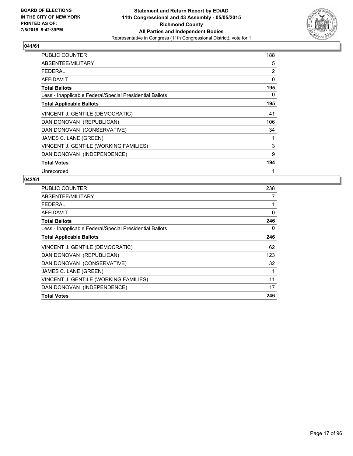

| <b>PUBLIC COUNTER</b>                                    | 188            |
|----------------------------------------------------------|----------------|
| ABSENTEE/MILITARY                                        | 5              |
| <b>FEDERAL</b>                                           | $\overline{2}$ |
| <b>AFFIDAVIT</b>                                         | 0              |
| <b>Total Ballots</b>                                     | 195            |
| Less - Inapplicable Federal/Special Presidential Ballots | 0              |
| <b>Total Applicable Ballots</b>                          | 195            |
| VINCENT J. GENTILE (DEMOCRATIC)                          | 41             |
| DAN DONOVAN (REPUBLICAN)                                 | 106            |
| DAN DONOVAN (CONSERVATIVE)                               | 34             |
| JAMES C. LANE (GREEN)                                    | 1              |
| VINCENT J. GENTILE (WORKING FAMILIES)                    | 3              |
| DAN DONOVAN (INDEPENDENCE)                               | 9              |
| <b>Total Votes</b>                                       | 194            |
| Unrecorded                                               | 1              |

| PUBLIC COUNTER                                           | 238 |
|----------------------------------------------------------|-----|
| ABSENTEE/MILITARY                                        | 7   |
| <b>FEDERAL</b>                                           | 1   |
| AFFIDAVIT                                                | 0   |
| <b>Total Ballots</b>                                     | 246 |
| Less - Inapplicable Federal/Special Presidential Ballots | 0   |
| <b>Total Applicable Ballots</b>                          | 246 |
| VINCENT J. GENTILE (DEMOCRATIC)                          | 62  |
| DAN DONOVAN (REPUBLICAN)                                 | 123 |
| DAN DONOVAN (CONSERVATIVE)                               | 32  |
| JAMES C. LANE (GREEN)                                    | 1   |
| VINCENT J. GENTILE (WORKING FAMILIES)                    | 11  |
| DAN DONOVAN (INDEPENDENCE)                               | 17  |
| <b>Total Votes</b>                                       | 246 |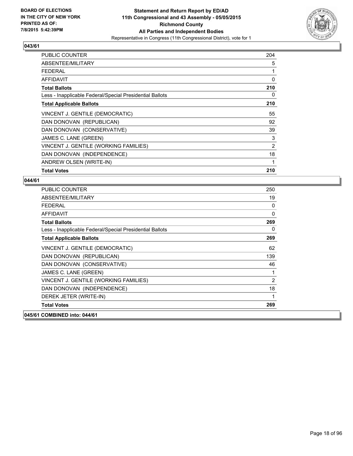

| <b>PUBLIC COUNTER</b>                                    | 204 |
|----------------------------------------------------------|-----|
| ABSENTEE/MILITARY                                        | 5   |
| FEDERAL                                                  | 1   |
| AFFIDAVIT                                                | 0   |
| <b>Total Ballots</b>                                     | 210 |
| Less - Inapplicable Federal/Special Presidential Ballots | 0   |
| <b>Total Applicable Ballots</b>                          | 210 |
| VINCENT J. GENTILE (DEMOCRATIC)                          | 55  |
| DAN DONOVAN (REPUBLICAN)                                 | 92  |
| DAN DONOVAN (CONSERVATIVE)                               | 39  |
| JAMES C. LANE (GREEN)                                    | 3   |
| VINCENT J. GENTILE (WORKING FAMILIES)                    | 2   |
| DAN DONOVAN (INDEPENDENCE)                               | 18  |
| ANDREW OLSEN (WRITE-IN)                                  | 1   |
| <b>Total Votes</b>                                       | 210 |

| <b>PUBLIC COUNTER</b>                                    | 250            |
|----------------------------------------------------------|----------------|
| ABSENTEE/MILITARY                                        | 19             |
| <b>FEDERAL</b>                                           | 0              |
| AFFIDAVIT                                                | 0              |
| <b>Total Ballots</b>                                     | 269            |
| Less - Inapplicable Federal/Special Presidential Ballots | 0              |
| <b>Total Applicable Ballots</b>                          | 269            |
| VINCENT J. GENTILE (DEMOCRATIC)                          | 62             |
| DAN DONOVAN (REPUBLICAN)                                 | 139            |
| DAN DONOVAN (CONSERVATIVE)                               | 46             |
| JAMES C. LANE (GREEN)                                    | 1              |
| VINCENT J. GENTILE (WORKING FAMILIES)                    | $\overline{2}$ |
| DAN DONOVAN (INDEPENDENCE)                               | 18             |
| DEREK JETER (WRITE-IN)                                   | 1              |
| <b>Total Votes</b>                                       | 269            |
| 045/61 COMBINED into: 044/61                             |                |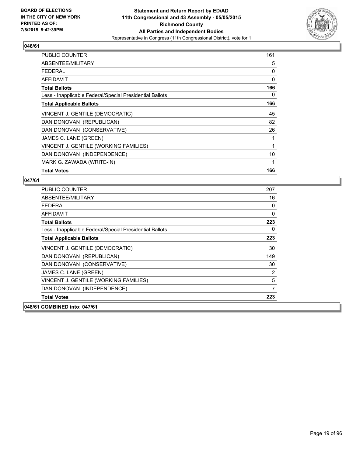

| <b>PUBLIC COUNTER</b>                                    | 161 |
|----------------------------------------------------------|-----|
| ABSENTEE/MILITARY                                        | 5   |
| FFDFRAI                                                  | 0   |
| AFFIDAVIT                                                | 0   |
| <b>Total Ballots</b>                                     | 166 |
| Less - Inapplicable Federal/Special Presidential Ballots | 0   |
| <b>Total Applicable Ballots</b>                          | 166 |
| VINCENT J. GENTILE (DEMOCRATIC)                          | 45  |
| DAN DONOVAN (REPUBLICAN)                                 | 82  |
| DAN DONOVAN (CONSERVATIVE)                               | 26  |
| JAMES C. LANE (GREEN)                                    | 1   |
| VINCENT J. GENTILE (WORKING FAMILIES)                    | 1   |
| DAN DONOVAN (INDEPENDENCE)                               | 10  |
| MARK G. ZAWADA (WRITE-IN)                                | 1   |
| <b>Total Votes</b>                                       | 166 |

| <b>PUBLIC COUNTER</b>                                    | 207 |
|----------------------------------------------------------|-----|
| ABSENTEE/MILITARY                                        | 16  |
| <b>FFDFRAI</b>                                           | 0   |
| <b>AFFIDAVIT</b>                                         | 0   |
| <b>Total Ballots</b>                                     | 223 |
| Less - Inapplicable Federal/Special Presidential Ballots | 0   |
| <b>Total Applicable Ballots</b>                          | 223 |
| VINCENT J. GENTILE (DEMOCRATIC)                          | 30  |
| DAN DONOVAN (REPUBLICAN)                                 | 149 |
| DAN DONOVAN (CONSERVATIVE)                               | 30  |
| JAMES C. LANE (GREEN)                                    | 2   |
| VINCENT J. GENTILE (WORKING FAMILIES)                    | 5   |
| DAN DONOVAN (INDEPENDENCE)                               | 7   |
| <b>Total Votes</b>                                       | 223 |
| 048/61 COMBINED into: 047/61                             |     |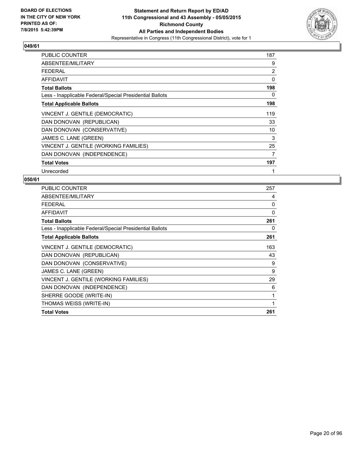

| <b>PUBLIC COUNTER</b>                                    | 187            |
|----------------------------------------------------------|----------------|
| ABSENTEE/MILITARY                                        | 9              |
| FFDFRAI                                                  | $\overline{2}$ |
| <b>AFFIDAVIT</b>                                         | 0              |
| <b>Total Ballots</b>                                     | 198            |
| Less - Inapplicable Federal/Special Presidential Ballots | 0              |
| <b>Total Applicable Ballots</b>                          | 198            |
| VINCENT J. GENTILE (DEMOCRATIC)                          | 119            |
| DAN DONOVAN (REPUBLICAN)                                 | 33             |
| DAN DONOVAN (CONSERVATIVE)                               | 10             |
| JAMES C. LANE (GREEN)                                    | 3              |
| VINCENT J. GENTILE (WORKING FAMILIES)                    | 25             |
| DAN DONOVAN (INDEPENDENCE)                               | 7              |
| <b>Total Votes</b>                                       | 197            |
| Unrecorded                                               |                |

| <b>PUBLIC COUNTER</b>                                    | 257 |
|----------------------------------------------------------|-----|
| ABSENTEE/MILITARY                                        | 4   |
| <b>FEDERAL</b>                                           | 0   |
| <b>AFFIDAVIT</b>                                         | 0   |
| <b>Total Ballots</b>                                     | 261 |
| Less - Inapplicable Federal/Special Presidential Ballots | 0   |
| <b>Total Applicable Ballots</b>                          | 261 |
| VINCENT J. GENTILE (DEMOCRATIC)                          | 163 |
| DAN DONOVAN (REPUBLICAN)                                 | 43  |
| DAN DONOVAN (CONSERVATIVE)                               | 9   |
| JAMES C. LANE (GREEN)                                    | 9   |
| VINCENT J. GENTILE (WORKING FAMILIES)                    | 29  |
| DAN DONOVAN (INDEPENDENCE)                               | 6   |
| SHERRE GOODE (WRITE-IN)                                  | 1   |
| THOMAS WEISS (WRITE-IN)                                  | 1   |
| <b>Total Votes</b>                                       | 261 |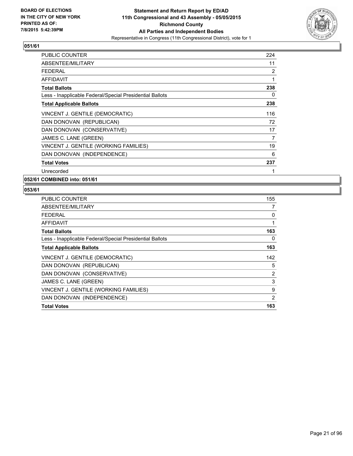

| PUBLIC COUNTER                                           | 224 |
|----------------------------------------------------------|-----|
| ABSENTEE/MILITARY                                        | 11  |
| <b>FEDERAL</b>                                           | 2   |
| <b>AFFIDAVIT</b>                                         | 1   |
| <b>Total Ballots</b>                                     | 238 |
| Less - Inapplicable Federal/Special Presidential Ballots | 0   |
| <b>Total Applicable Ballots</b>                          | 238 |
| VINCENT J. GENTILE (DEMOCRATIC)                          | 116 |
| DAN DONOVAN (REPUBLICAN)                                 | 72  |
| DAN DONOVAN (CONSERVATIVE)                               | 17  |
| JAMES C. LANE (GREEN)                                    | 7   |
| VINCENT J. GENTILE (WORKING FAMILIES)                    | 19  |
| DAN DONOVAN (INDEPENDENCE)                               | 6   |
| <b>Total Votes</b>                                       | 237 |
| Unrecorded                                               | 1   |

**052/61 COMBINED into: 051/61**

| <b>PUBLIC COUNTER</b>                                    | 155 |
|----------------------------------------------------------|-----|
| ABSENTEE/MILITARY                                        | 7   |
| <b>FEDERAL</b>                                           | 0   |
| AFFIDAVIT                                                | 1   |
| <b>Total Ballots</b>                                     | 163 |
| Less - Inapplicable Federal/Special Presidential Ballots | 0   |
| <b>Total Applicable Ballots</b>                          | 163 |
| VINCENT J. GENTILE (DEMOCRATIC)                          | 142 |
| DAN DONOVAN (REPUBLICAN)                                 | 5   |
| DAN DONOVAN (CONSERVATIVE)                               | 2   |
| JAMES C. LANE (GREEN)                                    | 3   |
| VINCENT J. GENTILE (WORKING FAMILIES)                    | 9   |
| DAN DONOVAN (INDEPENDENCE)                               | 2   |
| <b>Total Votes</b>                                       | 163 |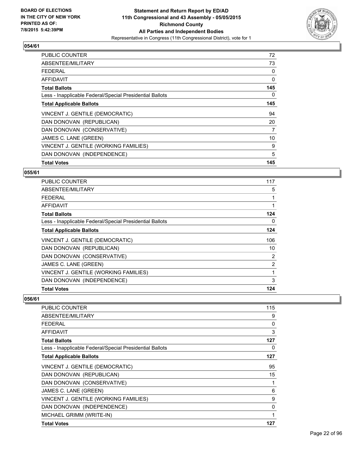

| <b>PUBLIC COUNTER</b>                                    | 72  |
|----------------------------------------------------------|-----|
| ABSENTEE/MILITARY                                        | 73  |
| <b>FEDERAL</b>                                           | 0   |
| AFFIDAVIT                                                | 0   |
| <b>Total Ballots</b>                                     | 145 |
| Less - Inapplicable Federal/Special Presidential Ballots | 0   |
| <b>Total Applicable Ballots</b>                          | 145 |
| VINCENT J. GENTILE (DEMOCRATIC)                          | 94  |
| DAN DONOVAN (REPUBLICAN)                                 | 20  |
| DAN DONOVAN (CONSERVATIVE)                               | 7   |
| JAMES C. LANE (GREEN)                                    | 10  |
| VINCENT J. GENTILE (WORKING FAMILIES)                    | 9   |
| DAN DONOVAN (INDEPENDENCE)                               | 5   |
| <b>Total Votes</b>                                       | 145 |

#### **055/61**

| <b>PUBLIC COUNTER</b>                                    | 117            |
|----------------------------------------------------------|----------------|
| ABSENTEE/MILITARY                                        | 5              |
| <b>FEDERAL</b>                                           |                |
| AFFIDAVIT                                                | 1              |
| <b>Total Ballots</b>                                     | 124            |
| Less - Inapplicable Federal/Special Presidential Ballots | 0              |
| <b>Total Applicable Ballots</b>                          | 124            |
| VINCENT J. GENTILE (DEMOCRATIC)                          | 106            |
| DAN DONOVAN (REPUBLICAN)                                 | 10             |
| DAN DONOVAN (CONSERVATIVE)                               | 2              |
| JAMES C. LANE (GREEN)                                    | $\overline{2}$ |
| VINCENT J. GENTILE (WORKING FAMILIES)                    | 1              |
| DAN DONOVAN (INDEPENDENCE)                               | 3              |
| <b>Total Votes</b>                                       | 124            |

| PUBLIC COUNTER                                           | 115 |
|----------------------------------------------------------|-----|
| ABSENTEE/MILITARY                                        | 9   |
| <b>FEDERAL</b>                                           | 0   |
| AFFIDAVIT                                                | 3   |
| <b>Total Ballots</b>                                     | 127 |
| Less - Inapplicable Federal/Special Presidential Ballots | 0   |
| <b>Total Applicable Ballots</b>                          | 127 |
| VINCENT J. GENTILE (DEMOCRATIC)                          | 95  |
| DAN DONOVAN (REPUBLICAN)                                 | 15  |
| DAN DONOVAN (CONSERVATIVE)                               | 1   |
| JAMES C. LANE (GREEN)                                    | 6   |
| VINCENT J. GENTILE (WORKING FAMILIES)                    | 9   |
| DAN DONOVAN (INDEPENDENCE)                               | 0   |
| MICHAEL GRIMM (WRITE-IN)                                 | 1   |
| <b>Total Votes</b>                                       | 127 |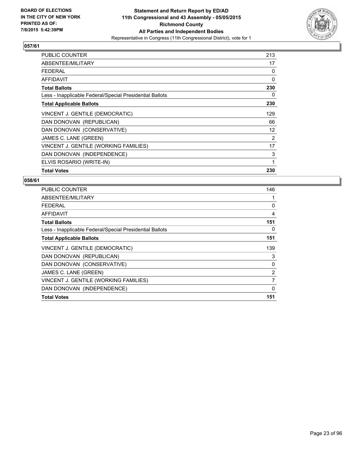

| <b>PUBLIC COUNTER</b>                                    | 213 |
|----------------------------------------------------------|-----|
| ABSENTEE/MILITARY                                        | 17  |
| <b>FEDERAL</b>                                           | 0   |
| AFFIDAVIT                                                | 0   |
| <b>Total Ballots</b>                                     | 230 |
| Less - Inapplicable Federal/Special Presidential Ballots | 0   |
| <b>Total Applicable Ballots</b>                          | 230 |
| VINCENT J. GENTILE (DEMOCRATIC)                          | 129 |
| DAN DONOVAN (REPUBLICAN)                                 | 66  |
| DAN DONOVAN (CONSERVATIVE)                               | 12  |
| JAMES C. LANE (GREEN)                                    | 2   |
| VINCENT J. GENTILE (WORKING FAMILIES)                    | 17  |
| DAN DONOVAN (INDEPENDENCE)                               | 3   |
| ELVIS ROSARIO (WRITE-IN)                                 | 1   |
| <b>Total Votes</b>                                       | 230 |

| <b>PUBLIC COUNTER</b>                                    | 146          |
|----------------------------------------------------------|--------------|
| ABSENTEE/MILITARY                                        |              |
| <b>FEDERAL</b>                                           | 0            |
| AFFIDAVIT                                                | 4            |
| <b>Total Ballots</b>                                     | 151          |
| Less - Inapplicable Federal/Special Presidential Ballots | 0            |
| <b>Total Applicable Ballots</b>                          | 151          |
| VINCENT J. GENTILE (DEMOCRATIC)                          | 139          |
| DAN DONOVAN (REPUBLICAN)                                 | 3            |
| DAN DONOVAN (CONSERVATIVE)                               | 0            |
| JAMES C. LANE (GREEN)                                    | 2            |
| VINCENT J. GENTILE (WORKING FAMILIES)                    | 7            |
| DAN DONOVAN (INDEPENDENCE)                               | $\mathbf{0}$ |
| <b>Total Votes</b>                                       | 151          |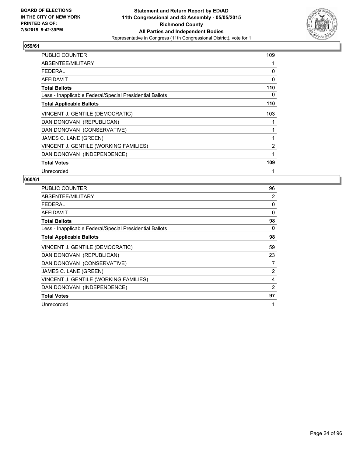

| <b>PUBLIC COUNTER</b>                                    | 109            |
|----------------------------------------------------------|----------------|
| ABSENTEE/MILITARY                                        | 1              |
| <b>FEDERAL</b>                                           | 0              |
| AFFIDAVIT                                                | 0              |
| <b>Total Ballots</b>                                     | 110            |
| Less - Inapplicable Federal/Special Presidential Ballots | 0              |
| <b>Total Applicable Ballots</b>                          | 110            |
| VINCENT J. GENTILE (DEMOCRATIC)                          | 103            |
| DAN DONOVAN (REPUBLICAN)                                 |                |
| DAN DONOVAN (CONSERVATIVE)                               | 1              |
| JAMES C. LANE (GREEN)                                    | 1              |
| VINCENT J. GENTILE (WORKING FAMILIES)                    | $\overline{2}$ |
| DAN DONOVAN (INDEPENDENCE)                               | 1              |
| <b>Total Votes</b>                                       | 109            |
| Unrecorded                                               | 1              |

| <b>PUBLIC COUNTER</b>                                    | 96 |
|----------------------------------------------------------|----|
| ABSENTEE/MILITARY                                        | 2  |
| <b>FEDERAL</b>                                           | 0  |
| <b>AFFIDAVIT</b>                                         | 0  |
| <b>Total Ballots</b>                                     | 98 |
| Less - Inapplicable Federal/Special Presidential Ballots | 0  |
| <b>Total Applicable Ballots</b>                          | 98 |
| VINCENT J. GENTILE (DEMOCRATIC)                          | 59 |
| DAN DONOVAN (REPUBLICAN)                                 | 23 |
| DAN DONOVAN (CONSERVATIVE)                               | 7  |
| JAMES C. LANE (GREEN)                                    | 2  |
| VINCENT J. GENTILE (WORKING FAMILIES)                    | 4  |
| DAN DONOVAN (INDEPENDENCE)                               | 2  |
| <b>Total Votes</b>                                       | 97 |
| Unrecorded                                               | 1  |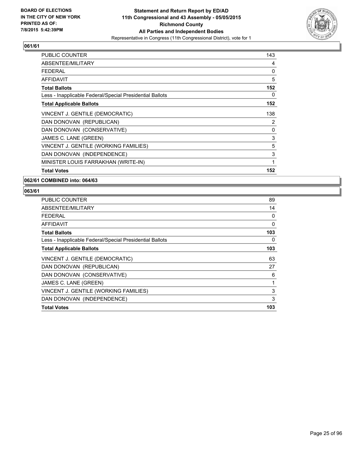

| <b>PUBLIC COUNTER</b>                                    | 143 |
|----------------------------------------------------------|-----|
| ABSENTEE/MILITARY                                        | 4   |
| <b>FEDERAL</b>                                           | 0   |
| AFFIDAVIT                                                | 5   |
| <b>Total Ballots</b>                                     | 152 |
| Less - Inapplicable Federal/Special Presidential Ballots | 0   |
| <b>Total Applicable Ballots</b>                          | 152 |
| VINCENT J. GENTILE (DEMOCRATIC)                          | 138 |
| DAN DONOVAN (REPUBLICAN)                                 | 2   |
| DAN DONOVAN (CONSERVATIVE)                               | 0   |
| JAMES C. LANE (GREEN)                                    | 3   |
| VINCENT J. GENTILE (WORKING FAMILIES)                    | 5   |
| DAN DONOVAN (INDEPENDENCE)                               | 3   |
| MINISTER LOUIS FARRAKHAN (WRITE-IN)                      | 1   |
| <b>Total Votes</b>                                       | 152 |

**062/61 COMBINED into: 064/63**

| <b>PUBLIC COUNTER</b>                                    | 89  |
|----------------------------------------------------------|-----|
| ABSENTEE/MILITARY                                        | 14  |
| <b>FEDERAL</b>                                           | 0   |
| AFFIDAVIT                                                | 0   |
| <b>Total Ballots</b>                                     | 103 |
| Less - Inapplicable Federal/Special Presidential Ballots | 0   |
| <b>Total Applicable Ballots</b>                          | 103 |
| VINCENT J. GENTILE (DEMOCRATIC)                          | 63  |
| DAN DONOVAN (REPUBLICAN)                                 | 27  |
| DAN DONOVAN (CONSERVATIVE)                               | 6   |
| JAMES C. LANE (GREEN)                                    | 1   |
| VINCENT J. GENTILE (WORKING FAMILIES)                    | 3   |
| DAN DONOVAN (INDEPENDENCE)                               | 3   |
| <b>Total Votes</b>                                       | 103 |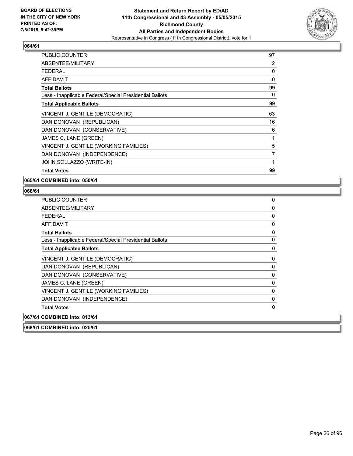

| PUBLIC COUNTER                                           | 97 |
|----------------------------------------------------------|----|
| ABSENTEE/MILITARY                                        | 2  |
| <b>FEDERAL</b>                                           | 0  |
| AFFIDAVIT                                                | 0  |
| <b>Total Ballots</b>                                     | 99 |
| Less - Inapplicable Federal/Special Presidential Ballots | 0  |
| <b>Total Applicable Ballots</b>                          | 99 |
| VINCENT J. GENTILE (DEMOCRATIC)                          | 63 |
| DAN DONOVAN (REPUBLICAN)                                 | 16 |
| DAN DONOVAN (CONSERVATIVE)                               | 6  |
| JAMES C. LANE (GREEN)                                    | 1  |
| VINCENT J. GENTILE (WORKING FAMILIES)                    | 5  |
| DAN DONOVAN (INDEPENDENCE)                               | 7  |
| JOHN SOLLAZZO (WRITE-IN)                                 | 1  |
| <b>Total Votes</b>                                       | 99 |

**065/61 COMBINED into: 050/61**

## **066/61**

| PUBLIC COUNTER                                           | 0 |
|----------------------------------------------------------|---|
| ABSENTEE/MILITARY                                        | 0 |
| <b>FEDERAL</b>                                           | 0 |
| <b>AFFIDAVIT</b>                                         | 0 |
| <b>Total Ballots</b>                                     | 0 |
| Less - Inapplicable Federal/Special Presidential Ballots | 0 |
| <b>Total Applicable Ballots</b>                          | 0 |
| VINCENT J. GENTILE (DEMOCRATIC)                          | 0 |
| DAN DONOVAN (REPUBLICAN)                                 | 0 |
| DAN DONOVAN (CONSERVATIVE)                               | 0 |
| JAMES C. LANE (GREEN)                                    | 0 |
| VINCENT J. GENTILE (WORKING FAMILIES)                    | 0 |
| DAN DONOVAN (INDEPENDENCE)                               | 0 |
| <b>Total Votes</b>                                       | 0 |
| 067/61 COMBINED into: 013/61                             |   |
| 068/61 COMBINED into: 025/61                             |   |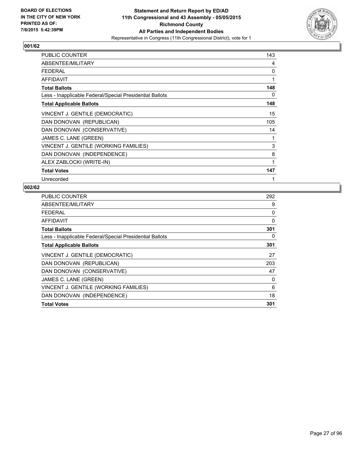

| <b>PUBLIC COUNTER</b>                                    | 143 |
|----------------------------------------------------------|-----|
| ABSENTEE/MILITARY                                        | 4   |
| <b>FEDERAL</b>                                           | 0   |
| <b>AFFIDAVIT</b>                                         | 1   |
| <b>Total Ballots</b>                                     | 148 |
| Less - Inapplicable Federal/Special Presidential Ballots | 0   |
| <b>Total Applicable Ballots</b>                          | 148 |
| VINCENT J. GENTILE (DEMOCRATIC)                          | 15  |
| DAN DONOVAN (REPUBLICAN)                                 | 105 |
| DAN DONOVAN (CONSERVATIVE)                               | 14  |
| JAMES C. LANE (GREEN)                                    | 1   |
| VINCENT J. GENTILE (WORKING FAMILIES)                    | 3   |
| DAN DONOVAN (INDEPENDENCE)                               | 8   |
| ALEX ZABLOCKI (WRITE-IN)                                 | 1   |
| <b>Total Votes</b>                                       | 147 |
| Unrecorded                                               | 1   |

| PUBLIC COUNTER                                           | 292 |
|----------------------------------------------------------|-----|
| ABSENTEE/MILITARY                                        | 9   |
| FEDERAL                                                  | 0   |
| AFFIDAVIT                                                | 0   |
| <b>Total Ballots</b>                                     | 301 |
| Less - Inapplicable Federal/Special Presidential Ballots | 0   |
| <b>Total Applicable Ballots</b>                          | 301 |
| VINCENT J. GENTILE (DEMOCRATIC)                          | 27  |
| DAN DONOVAN (REPUBLICAN)                                 | 203 |
| DAN DONOVAN (CONSERVATIVE)                               | 47  |
| JAMES C. LANE (GREEN)                                    | 0   |
| VINCENT J. GENTILE (WORKING FAMILIES)                    | 6   |
| DAN DONOVAN (INDEPENDENCE)                               | 18  |
| <b>Total Votes</b>                                       | 301 |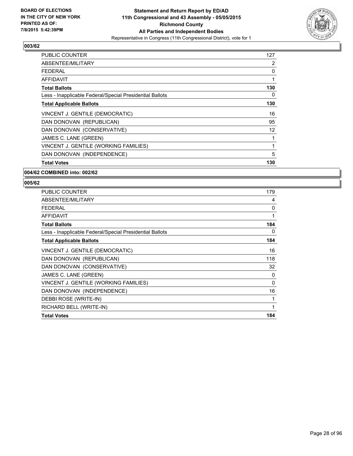

| <b>PUBLIC COUNTER</b>                                    | 127 |
|----------------------------------------------------------|-----|
| ABSENTEE/MILITARY                                        | 2   |
| <b>FEDERAL</b>                                           | 0   |
| AFFIDAVIT                                                | 1   |
| <b>Total Ballots</b>                                     | 130 |
| Less - Inapplicable Federal/Special Presidential Ballots | 0   |
| <b>Total Applicable Ballots</b>                          | 130 |
| VINCENT J. GENTILE (DEMOCRATIC)                          | 16  |
| DAN DONOVAN (REPUBLICAN)                                 | 95  |
| DAN DONOVAN (CONSERVATIVE)                               | 12  |
| JAMES C. LANE (GREEN)                                    | 1   |
| VINCENT J. GENTILE (WORKING FAMILIES)                    | 1   |
| DAN DONOVAN (INDEPENDENCE)                               | 5   |
| <b>Total Votes</b>                                       | 130 |

#### **004/62 COMBINED into: 002/62**

| <b>PUBLIC COUNTER</b>                                    | 179 |
|----------------------------------------------------------|-----|
| ABSENTEE/MILITARY                                        | 4   |
| <b>FEDERAL</b>                                           | 0   |
| <b>AFFIDAVIT</b>                                         | 1   |
| <b>Total Ballots</b>                                     | 184 |
| Less - Inapplicable Federal/Special Presidential Ballots | 0   |
| <b>Total Applicable Ballots</b>                          | 184 |
| VINCENT J. GENTILE (DEMOCRATIC)                          | 16  |
| DAN DONOVAN (REPUBLICAN)                                 | 118 |
| DAN DONOVAN (CONSERVATIVE)                               | 32  |
| JAMES C. LANE (GREEN)                                    | 0   |
| VINCENT J. GENTILE (WORKING FAMILIES)                    | 0   |
| DAN DONOVAN (INDEPENDENCE)                               | 16  |
| DEBBI ROSE (WRITE-IN)                                    | 1   |
| RICHARD BELL (WRITE-IN)                                  | 1   |
| <b>Total Votes</b>                                       | 184 |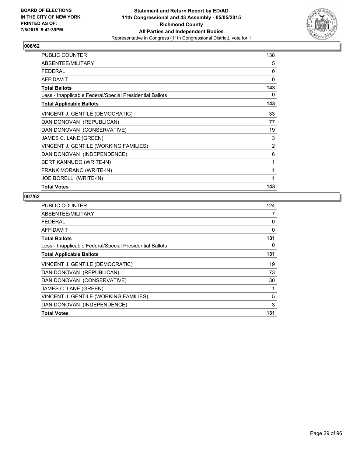

| <b>PUBLIC COUNTER</b>                                    | 138 |
|----------------------------------------------------------|-----|
| ABSENTEE/MILITARY                                        | 5   |
| <b>FEDERAL</b>                                           | 0   |
| <b>AFFIDAVIT</b>                                         | 0   |
| <b>Total Ballots</b>                                     | 143 |
| Less - Inapplicable Federal/Special Presidential Ballots | 0   |
| <b>Total Applicable Ballots</b>                          | 143 |
| VINCENT J. GENTILE (DEMOCRATIC)                          | 33  |
| DAN DONOVAN (REPUBLICAN)                                 | 77  |
| DAN DONOVAN (CONSERVATIVE)                               | 19  |
| JAMES C. LANE (GREEN)                                    | 3   |
| VINCENT J. GENTILE (WORKING FAMILIES)                    | 2   |
| DAN DONOVAN (INDEPENDENCE)                               | 6   |
| BERT KANNUDO (WRITE-IN)                                  | 1   |
| FRANK MORANO (WRITE-IN)                                  | 1   |
| <b>JOE BORELLI (WRITE-IN)</b>                            | 1   |
| <b>Total Votes</b>                                       | 143 |

| PUBLIC COUNTER                                           | 124 |
|----------------------------------------------------------|-----|
| ABSENTEE/MILITARY                                        | 7   |
| <b>FEDERAL</b>                                           | 0   |
| AFFIDAVIT                                                | 0   |
| <b>Total Ballots</b>                                     | 131 |
| Less - Inapplicable Federal/Special Presidential Ballots | 0   |
| <b>Total Applicable Ballots</b>                          | 131 |
| VINCENT J. GENTILE (DEMOCRATIC)                          | 19  |
| DAN DONOVAN (REPUBLICAN)                                 | 73  |
| DAN DONOVAN (CONSERVATIVE)                               | 30  |
| JAMES C. LANE (GREEN)                                    | 1   |
| VINCENT J. GENTILE (WORKING FAMILIES)                    | 5   |
| DAN DONOVAN (INDEPENDENCE)                               | 3   |
| <b>Total Votes</b>                                       | 131 |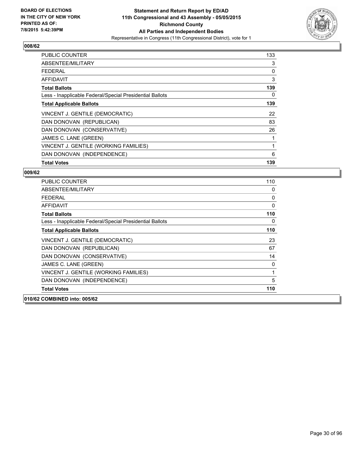

| <b>PUBLIC COUNTER</b>                                    | 133 |
|----------------------------------------------------------|-----|
| ABSENTEE/MILITARY                                        | 3   |
| <b>FEDERAL</b>                                           | 0   |
| AFFIDAVIT                                                | 3   |
| <b>Total Ballots</b>                                     | 139 |
| Less - Inapplicable Federal/Special Presidential Ballots | 0   |
| <b>Total Applicable Ballots</b>                          | 139 |
| VINCENT J. GENTILE (DEMOCRATIC)                          | 22  |
| DAN DONOVAN (REPUBLICAN)                                 | 83  |
| DAN DONOVAN (CONSERVATIVE)                               | 26  |
| JAMES C. LANE (GREEN)                                    |     |
| VINCENT J. GENTILE (WORKING FAMILIES)                    | 1   |
| DAN DONOVAN (INDEPENDENCE)                               | 6   |
| <b>Total Votes</b>                                       | 139 |

| <b>PUBLIC COUNTER</b>                                    | 110          |
|----------------------------------------------------------|--------------|
| ABSENTEE/MILITARY                                        | 0            |
| FFDFRAL                                                  | 0            |
| <b>AFFIDAVIT</b>                                         | $\mathbf{0}$ |
| <b>Total Ballots</b>                                     | 110          |
| Less - Inapplicable Federal/Special Presidential Ballots | 0            |
| <b>Total Applicable Ballots</b>                          | 110          |
| VINCENT J. GENTILE (DEMOCRATIC)                          | 23           |
| DAN DONOVAN (REPUBLICAN)                                 | 67           |
| DAN DONOVAN (CONSERVATIVE)                               | 14           |
| JAMES C. LANE (GREEN)                                    | 0            |
| VINCENT J. GENTILE (WORKING FAMILIES)                    | 1            |
| DAN DONOVAN (INDEPENDENCE)                               | 5            |
| <b>Total Votes</b>                                       | 110          |
| 010/62 COMBINED into: 005/62                             |              |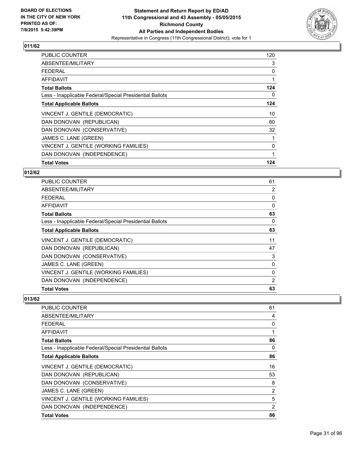

| <b>PUBLIC COUNTER</b>                                    | 120          |
|----------------------------------------------------------|--------------|
| ABSENTEE/MILITARY                                        | 3            |
| <b>FEDERAL</b>                                           | 0            |
| AFFIDAVIT                                                |              |
| <b>Total Ballots</b>                                     | 124          |
| Less - Inapplicable Federal/Special Presidential Ballots | 0            |
| <b>Total Applicable Ballots</b>                          | 124          |
| VINCENT J. GENTILE (DEMOCRATIC)                          | 10           |
| DAN DONOVAN (REPUBLICAN)                                 | 80           |
| DAN DONOVAN (CONSERVATIVE)                               | 32           |
| JAMES C. LANE (GREEN)                                    |              |
| VINCENT J. GENTILE (WORKING FAMILIES)                    | $\mathbf{0}$ |
| DAN DONOVAN (INDEPENDENCE)                               |              |
| <b>Total Votes</b>                                       | 124          |

#### **012/62**

| PUBLIC COUNTER                                           | 61       |
|----------------------------------------------------------|----------|
| ABSENTEE/MILITARY                                        | 2        |
| <b>FEDERAL</b>                                           | 0        |
| <b>AFFIDAVIT</b>                                         | $\Omega$ |
| <b>Total Ballots</b>                                     | 63       |
| Less - Inapplicable Federal/Special Presidential Ballots | 0        |
| <b>Total Applicable Ballots</b>                          | 63       |
| VINCENT J. GENTILE (DEMOCRATIC)                          | 11       |
| DAN DONOVAN (REPUBLICAN)                                 | 47       |
| DAN DONOVAN (CONSERVATIVE)                               | 3        |
| JAMES C. LANE (GREEN)                                    | 0        |
| VINCENT J. GENTILE (WORKING FAMILIES)                    | 0        |
| DAN DONOVAN (INDEPENDENCE)                               | 2        |
| <b>Total Votes</b>                                       | 63       |

| <b>PUBLIC COUNTER</b>                                    | 81 |
|----------------------------------------------------------|----|
| ABSENTEE/MILITARY                                        | 4  |
| <b>FEDERAL</b>                                           | 0  |
| AFFIDAVIT                                                | 1  |
| <b>Total Ballots</b>                                     | 86 |
| Less - Inapplicable Federal/Special Presidential Ballots | 0  |
| <b>Total Applicable Ballots</b>                          | 86 |
| VINCENT J. GENTILE (DEMOCRATIC)                          | 16 |
| DAN DONOVAN (REPUBLICAN)                                 | 53 |
| DAN DONOVAN (CONSERVATIVE)                               | 8  |
| JAMES C. LANE (GREEN)                                    | 2  |
| VINCENT J. GENTILE (WORKING FAMILIES)                    | 5  |
| DAN DONOVAN (INDEPENDENCE)                               | 2  |
| <b>Total Votes</b>                                       | 86 |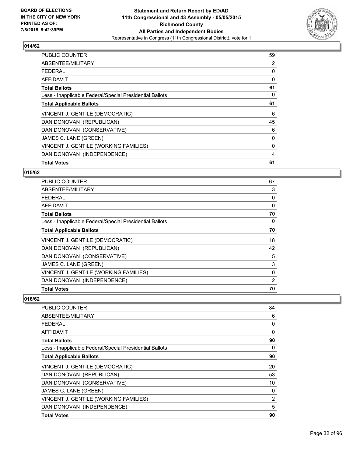

| <b>PUBLIC COUNTER</b>                                    | 59 |
|----------------------------------------------------------|----|
| ABSENTEE/MILITARY                                        | 2  |
| <b>FEDERAL</b>                                           | 0  |
| AFFIDAVIT                                                | 0  |
| <b>Total Ballots</b>                                     | 61 |
| Less - Inapplicable Federal/Special Presidential Ballots | 0  |
| <b>Total Applicable Ballots</b>                          | 61 |
| VINCENT J. GENTILE (DEMOCRATIC)                          | 6  |
| DAN DONOVAN (REPUBLICAN)                                 | 45 |
| DAN DONOVAN (CONSERVATIVE)                               | 6  |
| JAMES C. LANE (GREEN)                                    | 0  |
| VINCENT J. GENTILE (WORKING FAMILIES)                    | 0  |
| DAN DONOVAN (INDEPENDENCE)                               | 4  |
| <b>Total Votes</b>                                       | 61 |

#### **015/62**

| PUBLIC COUNTER                                           | 67       |
|----------------------------------------------------------|----------|
| ABSENTEE/MILITARY                                        | 3        |
| <b>FEDERAL</b>                                           | 0        |
| AFFIDAVIT                                                | $\Omega$ |
| <b>Total Ballots</b>                                     | 70       |
| Less - Inapplicable Federal/Special Presidential Ballots | 0        |
| <b>Total Applicable Ballots</b>                          | 70       |
| VINCENT J. GENTILE (DEMOCRATIC)                          | 18       |
| DAN DONOVAN (REPUBLICAN)                                 | 42       |
| DAN DONOVAN (CONSERVATIVE)                               | 5        |
| JAMES C. LANE (GREEN)                                    | 3        |
| VINCENT J. GENTILE (WORKING FAMILIES)                    | 0        |
| DAN DONOVAN (INDEPENDENCE)                               | 2        |
| <b>Total Votes</b>                                       | 70       |

| <b>PUBLIC COUNTER</b>                                    | 84 |
|----------------------------------------------------------|----|
| ABSENTEE/MILITARY                                        | 6  |
| <b>FEDERAL</b>                                           | 0  |
| AFFIDAVIT                                                | 0  |
| <b>Total Ballots</b>                                     | 90 |
| Less - Inapplicable Federal/Special Presidential Ballots | 0  |
| <b>Total Applicable Ballots</b>                          | 90 |
| VINCENT J. GENTILE (DEMOCRATIC)                          | 20 |
| DAN DONOVAN (REPUBLICAN)                                 | 53 |
| DAN DONOVAN (CONSERVATIVE)                               | 10 |
| JAMES C. LANE (GREEN)                                    | 0  |
| VINCENT J. GENTILE (WORKING FAMILIES)                    | 2  |
| DAN DONOVAN (INDEPENDENCE)                               | 5  |
| <b>Total Votes</b>                                       | 90 |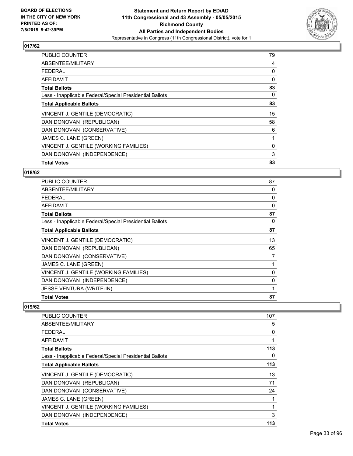

| <b>PUBLIC COUNTER</b>                                    | 79 |
|----------------------------------------------------------|----|
| ABSENTEE/MILITARY                                        | 4  |
| <b>FEDERAL</b>                                           | 0  |
| AFFIDAVIT                                                | 0  |
| <b>Total Ballots</b>                                     | 83 |
| Less - Inapplicable Federal/Special Presidential Ballots | 0  |
| <b>Total Applicable Ballots</b>                          | 83 |
| VINCENT J. GENTILE (DEMOCRATIC)                          | 15 |
| DAN DONOVAN (REPUBLICAN)                                 | 58 |
| DAN DONOVAN (CONSERVATIVE)                               | 6  |
| JAMES C. LANE (GREEN)                                    | 1  |
| VINCENT J. GENTILE (WORKING FAMILIES)                    | 0  |
| DAN DONOVAN (INDEPENDENCE)                               | 3  |
| <b>Total Votes</b>                                       | 83 |

#### **018/62**

| PUBLIC COUNTER                                           | 87 |
|----------------------------------------------------------|----|
| ABSENTEE/MILITARY                                        | 0  |
| <b>FEDERAL</b>                                           | 0  |
| AFFIDAVIT                                                | 0  |
| <b>Total Ballots</b>                                     | 87 |
| Less - Inapplicable Federal/Special Presidential Ballots | 0  |
| <b>Total Applicable Ballots</b>                          | 87 |
| VINCENT J. GENTILE (DEMOCRATIC)                          | 13 |
| DAN DONOVAN (REPUBLICAN)                                 | 65 |
| DAN DONOVAN (CONSERVATIVE)                               | 7  |
| JAMES C. LANE (GREEN)                                    |    |
| VINCENT J. GENTILE (WORKING FAMILIES)                    | 0  |
| DAN DONOVAN (INDEPENDENCE)                               | 0  |
| <b>JESSE VENTURA (WRITE-IN)</b>                          | 1  |
| <b>Total Votes</b>                                       | 87 |

| PUBLIC COUNTER                                           | 107 |
|----------------------------------------------------------|-----|
| ABSENTEE/MILITARY                                        | 5   |
| FFDFRAI                                                  | 0   |
| AFFIDAVIT                                                | 1   |
| <b>Total Ballots</b>                                     | 113 |
| Less - Inapplicable Federal/Special Presidential Ballots | 0   |
| <b>Total Applicable Ballots</b>                          | 113 |
| VINCENT J. GENTILE (DEMOCRATIC)                          | 13  |
| DAN DONOVAN (REPUBLICAN)                                 | 71  |
| DAN DONOVAN (CONSERVATIVE)                               | 24  |
| JAMES C. LANE (GREEN)                                    |     |
| VINCENT J. GENTILE (WORKING FAMILIES)                    |     |
| DAN DONOVAN (INDEPENDENCE)                               | 3   |
| <b>Total Votes</b>                                       | 113 |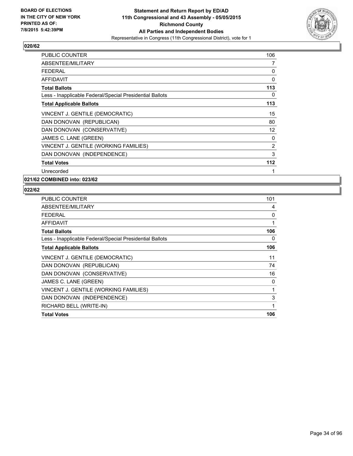

| <b>PUBLIC COUNTER</b>                                    | 106 |
|----------------------------------------------------------|-----|
| ABSENTEE/MILITARY                                        | 7   |
| <b>FEDERAL</b>                                           | 0   |
| AFFIDAVIT                                                | 0   |
| <b>Total Ballots</b>                                     | 113 |
| Less - Inapplicable Federal/Special Presidential Ballots | 0   |
| <b>Total Applicable Ballots</b>                          | 113 |
| VINCENT J. GENTILE (DEMOCRATIC)                          | 15  |
| DAN DONOVAN (REPUBLICAN)                                 | 80  |
| DAN DONOVAN (CONSERVATIVE)                               | 12  |
| JAMES C. LANE (GREEN)                                    | 0   |
| VINCENT J. GENTILE (WORKING FAMILIES)                    | 2   |
| DAN DONOVAN (INDEPENDENCE)                               | 3   |
| <b>Total Votes</b>                                       | 112 |
| Unrecorded                                               | 1   |

**021/62 COMBINED into: 023/62**

| PUBLIC COUNTER                                           | 101 |
|----------------------------------------------------------|-----|
| ABSENTEE/MILITARY                                        | 4   |
| <b>FEDERAL</b>                                           | 0   |
| AFFIDAVIT                                                | 1   |
| <b>Total Ballots</b>                                     | 106 |
| Less - Inapplicable Federal/Special Presidential Ballots | 0   |
| <b>Total Applicable Ballots</b>                          | 106 |
| VINCENT J. GENTILE (DEMOCRATIC)                          | 11  |
| DAN DONOVAN (REPUBLICAN)                                 | 74  |
| DAN DONOVAN (CONSERVATIVE)                               | 16  |
| JAMES C. LANE (GREEN)                                    | 0   |
| VINCENT J. GENTILE (WORKING FAMILIES)                    | 1   |
| DAN DONOVAN (INDEPENDENCE)                               | 3   |
| RICHARD BELL (WRITE-IN)                                  | 1   |
| <b>Total Votes</b>                                       | 106 |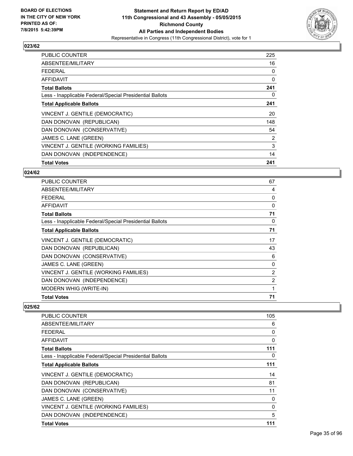

| <b>PUBLIC COUNTER</b>                                    | 225 |
|----------------------------------------------------------|-----|
| ABSENTEE/MILITARY                                        | 16  |
| <b>FEDERAL</b>                                           | 0   |
| AFFIDAVIT                                                | 0   |
| <b>Total Ballots</b>                                     | 241 |
| Less - Inapplicable Federal/Special Presidential Ballots | 0   |
| <b>Total Applicable Ballots</b>                          | 241 |
| VINCENT J. GENTILE (DEMOCRATIC)                          | 20  |
| DAN DONOVAN (REPUBLICAN)                                 | 148 |
| DAN DONOVAN (CONSERVATIVE)                               | 54  |
| JAMES C. LANE (GREEN)                                    | 2   |
| VINCENT J. GENTILE (WORKING FAMILIES)                    | 3   |
| DAN DONOVAN (INDEPENDENCE)                               | 14  |
| <b>Total Votes</b>                                       | 241 |

#### **024/62**

| PUBLIC COUNTER                                           | 67             |
|----------------------------------------------------------|----------------|
| ABSENTEE/MILITARY                                        | 4              |
| <b>FEDERAL</b>                                           | 0              |
| <b>AFFIDAVIT</b>                                         | 0              |
| <b>Total Ballots</b>                                     | 71             |
| Less - Inapplicable Federal/Special Presidential Ballots | 0              |
| <b>Total Applicable Ballots</b>                          | 71             |
| VINCENT J. GENTILE (DEMOCRATIC)                          | 17             |
| DAN DONOVAN (REPUBLICAN)                                 | 43             |
| DAN DONOVAN (CONSERVATIVE)                               | 6              |
| JAMES C. LANE (GREEN)                                    | 0              |
| VINCENT J. GENTILE (WORKING FAMILIES)                    | $\overline{2}$ |
| DAN DONOVAN (INDEPENDENCE)                               | $\overline{2}$ |
| <b>MODERN WHIG (WRITE-IN)</b>                            | 1              |
| <b>Total Votes</b>                                       | 71             |

| <b>PUBLIC COUNTER</b>                                    | 105 |
|----------------------------------------------------------|-----|
| ABSENTEE/MILITARY                                        | 6   |
| FFDFRAI                                                  | 0   |
| AFFIDAVIT                                                | 0   |
| <b>Total Ballots</b>                                     | 111 |
| Less - Inapplicable Federal/Special Presidential Ballots | 0   |
| <b>Total Applicable Ballots</b>                          | 111 |
| VINCENT J. GENTILE (DEMOCRATIC)                          | 14  |
| DAN DONOVAN (REPUBLICAN)                                 | 81  |
| DAN DONOVAN (CONSERVATIVE)                               | 11  |
| JAMES C. LANE (GREEN)                                    | 0   |
| VINCENT J. GENTILE (WORKING FAMILIES)                    | 0   |
| DAN DONOVAN (INDEPENDENCE)                               | 5   |
| <b>Total Votes</b>                                       | 111 |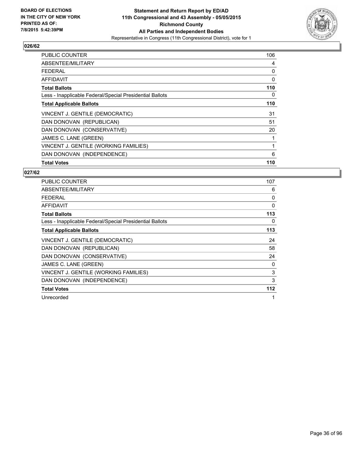

| PUBLIC COUNTER                                           | 106 |
|----------------------------------------------------------|-----|
| ABSENTEE/MILITARY                                        | 4   |
| <b>FEDERAL</b>                                           | 0   |
| <b>AFFIDAVIT</b>                                         | 0   |
| <b>Total Ballots</b>                                     | 110 |
| Less - Inapplicable Federal/Special Presidential Ballots | 0   |
| <b>Total Applicable Ballots</b>                          | 110 |
| VINCENT J. GENTILE (DEMOCRATIC)                          | 31  |
| DAN DONOVAN (REPUBLICAN)                                 | 51  |
| DAN DONOVAN (CONSERVATIVE)                               | 20  |
| JAMES C. LANE (GREEN)                                    |     |
| VINCENT J. GENTILE (WORKING FAMILIES)                    | 1   |
| DAN DONOVAN (INDEPENDENCE)                               | 6   |
| <b>Total Votes</b>                                       | 110 |

| <b>PUBLIC COUNTER</b>                                    | 107          |
|----------------------------------------------------------|--------------|
| ABSENTEE/MILITARY                                        | 6            |
| <b>FEDERAL</b>                                           | 0            |
| <b>AFFIDAVIT</b>                                         | 0            |
| <b>Total Ballots</b>                                     | 113          |
| Less - Inapplicable Federal/Special Presidential Ballots | 0            |
| <b>Total Applicable Ballots</b>                          | 113          |
| VINCENT J. GENTILE (DEMOCRATIC)                          | 24           |
| DAN DONOVAN (REPUBLICAN)                                 | 58           |
| DAN DONOVAN (CONSERVATIVE)                               | 24           |
| JAMES C. LANE (GREEN)                                    | 0            |
| VINCENT J. GENTILE (WORKING FAMILIES)                    | 3            |
| DAN DONOVAN (INDEPENDENCE)                               | 3            |
| <b>Total Votes</b>                                       | 112          |
| Unrecorded                                               | $\mathbf{1}$ |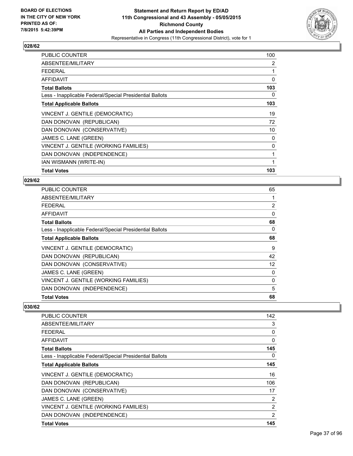

| <b>PUBLIC COUNTER</b>                                    | 100 |
|----------------------------------------------------------|-----|
| ABSENTEE/MILITARY                                        | 2   |
| <b>FEDERAL</b>                                           | 1   |
| AFFIDAVIT                                                | 0   |
| <b>Total Ballots</b>                                     | 103 |
| Less - Inapplicable Federal/Special Presidential Ballots | 0   |
| <b>Total Applicable Ballots</b>                          | 103 |
| VINCENT J. GENTILE (DEMOCRATIC)                          | 19  |
| DAN DONOVAN (REPUBLICAN)                                 | 72  |
| DAN DONOVAN (CONSERVATIVE)                               | 10  |
| JAMES C. LANE (GREEN)                                    | 0   |
| VINCENT J. GENTILE (WORKING FAMILIES)                    | 0   |
| DAN DONOVAN (INDEPENDENCE)                               | 1   |
| IAN WISMANN (WRITE-IN)                                   | 1   |
| <b>Total Votes</b>                                       | 103 |

### **029/62**

| <b>PUBLIC COUNTER</b>                                    | 65 |
|----------------------------------------------------------|----|
| ABSENTEE/MILITARY                                        | 1  |
| <b>FEDERAL</b>                                           | 2  |
| AFFIDAVIT                                                | 0  |
| <b>Total Ballots</b>                                     | 68 |
| Less - Inapplicable Federal/Special Presidential Ballots | 0  |
| <b>Total Applicable Ballots</b>                          | 68 |
| VINCENT J. GENTILE (DEMOCRATIC)                          | 9  |
| DAN DONOVAN (REPUBLICAN)                                 | 42 |
| DAN DONOVAN (CONSERVATIVE)                               | 12 |
| JAMES C. LANE (GREEN)                                    | 0  |
| VINCENT J. GENTILE (WORKING FAMILIES)                    | 0  |
| DAN DONOVAN (INDEPENDENCE)                               | 5  |
| <b>Total Votes</b>                                       | 68 |

| PUBLIC COUNTER                                           | 142            |
|----------------------------------------------------------|----------------|
| ABSENTEE/MILITARY                                        | 3              |
| FFDFRAL                                                  | 0              |
| AFFIDAVIT                                                | 0              |
| <b>Total Ballots</b>                                     | 145            |
| Less - Inapplicable Federal/Special Presidential Ballots | 0              |
| <b>Total Applicable Ballots</b>                          | 145            |
| VINCENT J. GENTILE (DEMOCRATIC)                          | 16             |
| DAN DONOVAN (REPUBLICAN)                                 | 106            |
| DAN DONOVAN (CONSERVATIVE)                               | 17             |
| JAMES C. LANE (GREEN)                                    | 2              |
| VINCENT J. GENTILE (WORKING FAMILIES)                    | 2              |
| DAN DONOVAN (INDEPENDENCE)                               | $\overline{2}$ |
| <b>Total Votes</b>                                       | 145            |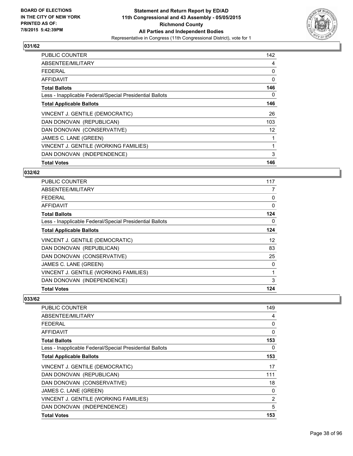

| <b>PUBLIC COUNTER</b>                                    | 142 |
|----------------------------------------------------------|-----|
| ABSENTEE/MILITARY                                        | 4   |
| <b>FEDERAL</b>                                           | 0   |
| AFFIDAVIT                                                | 0   |
| <b>Total Ballots</b>                                     | 146 |
| Less - Inapplicable Federal/Special Presidential Ballots | 0   |
| <b>Total Applicable Ballots</b>                          | 146 |
| VINCENT J. GENTILE (DEMOCRATIC)                          | 26  |
| DAN DONOVAN (REPUBLICAN)                                 | 103 |
| DAN DONOVAN (CONSERVATIVE)                               | 12  |
| JAMES C. LANE (GREEN)                                    | 1   |
| VINCENT J. GENTILE (WORKING FAMILIES)                    | 1   |
| DAN DONOVAN (INDEPENDENCE)                               | 3   |
| <b>Total Votes</b>                                       | 146 |

## **032/62**

| <b>PUBLIC COUNTER</b>                                    | 117      |
|----------------------------------------------------------|----------|
| ABSENTEE/MILITARY                                        | 7        |
| <b>FEDERAL</b>                                           | 0        |
| AFFIDAVIT                                                | $\Omega$ |
| <b>Total Ballots</b>                                     | 124      |
| Less - Inapplicable Federal/Special Presidential Ballots | 0        |
| <b>Total Applicable Ballots</b>                          | 124      |
| VINCENT J. GENTILE (DEMOCRATIC)                          | 12       |
| DAN DONOVAN (REPUBLICAN)                                 | 83       |
| DAN DONOVAN (CONSERVATIVE)                               | 25       |
| JAMES C. LANE (GREEN)                                    | 0        |
| VINCENT J. GENTILE (WORKING FAMILIES)                    | 1        |
| DAN DONOVAN (INDEPENDENCE)                               | 3        |
| <b>Total Votes</b>                                       | 124      |

| <b>PUBLIC COUNTER</b>                                    | 149 |
|----------------------------------------------------------|-----|
| ABSENTEE/MILITARY                                        | 4   |
| <b>FEDERAL</b>                                           | 0   |
| AFFIDAVIT                                                | 0   |
| <b>Total Ballots</b>                                     | 153 |
| Less - Inapplicable Federal/Special Presidential Ballots | 0   |
| <b>Total Applicable Ballots</b>                          | 153 |
| VINCENT J. GENTILE (DEMOCRATIC)                          | 17  |
| DAN DONOVAN (REPUBLICAN)                                 | 111 |
| DAN DONOVAN (CONSERVATIVE)                               | 18  |
| JAMES C. LANE (GREEN)                                    | 0   |
| VINCENT J. GENTILE (WORKING FAMILIES)                    | 2   |
| DAN DONOVAN (INDEPENDENCE)                               | 5   |
| <b>Total Votes</b>                                       | 153 |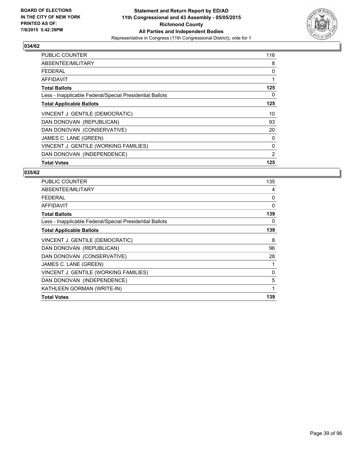

| PUBLIC COUNTER                                           | 116 |
|----------------------------------------------------------|-----|
| ABSENTEE/MILITARY                                        | 8   |
| <b>FEDERAL</b>                                           | 0   |
| <b>AFFIDAVIT</b>                                         |     |
| <b>Total Ballots</b>                                     | 125 |
| Less - Inapplicable Federal/Special Presidential Ballots | 0   |
| <b>Total Applicable Ballots</b>                          | 125 |
| VINCENT J. GENTILE (DEMOCRATIC)                          | 10  |
| DAN DONOVAN (REPUBLICAN)                                 | 93  |
| DAN DONOVAN (CONSERVATIVE)                               | 20  |
| JAMES C. LANE (GREEN)                                    | 0   |
| VINCENT J. GENTILE (WORKING FAMILIES)                    | 0   |
| DAN DONOVAN (INDEPENDENCE)                               | 2   |
| <b>Total Votes</b>                                       | 125 |

| <b>PUBLIC COUNTER</b>                                    | 135 |
|----------------------------------------------------------|-----|
| ABSENTEE/MILITARY                                        | 4   |
| <b>FEDERAL</b>                                           | 0   |
| <b>AFFIDAVIT</b>                                         | 0   |
| <b>Total Ballots</b>                                     | 139 |
| Less - Inapplicable Federal/Special Presidential Ballots | 0   |
| <b>Total Applicable Ballots</b>                          | 139 |
| VINCENT J. GENTILE (DEMOCRATIC)                          | 8   |
| DAN DONOVAN (REPUBLICAN)                                 | 96  |
| DAN DONOVAN (CONSERVATIVE)                               | 28  |
| JAMES C. LANE (GREEN)                                    | 1   |
| VINCENT J. GENTILE (WORKING FAMILIES)                    | 0   |
| DAN DONOVAN (INDEPENDENCE)                               | 5   |
| KATHLEEN GORMAN (WRITE-IN)                               | 1   |
| <b>Total Votes</b>                                       | 139 |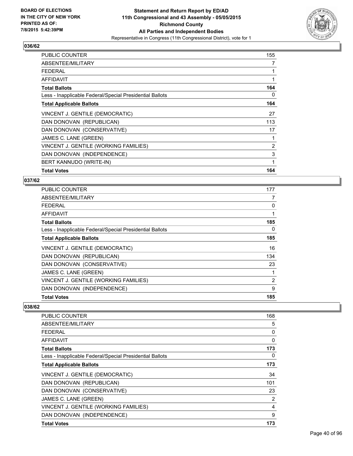

| <b>PUBLIC COUNTER</b>                                    | 155 |
|----------------------------------------------------------|-----|
| ABSENTEE/MILITARY                                        | 7   |
| <b>FEDERAL</b>                                           | 1   |
| AFFIDAVIT                                                | 1   |
| <b>Total Ballots</b>                                     | 164 |
| Less - Inapplicable Federal/Special Presidential Ballots | 0   |
| <b>Total Applicable Ballots</b>                          | 164 |
| VINCENT J. GENTILE (DEMOCRATIC)                          | 27  |
| DAN DONOVAN (REPUBLICAN)                                 | 113 |
| DAN DONOVAN (CONSERVATIVE)                               | 17  |
| JAMES C. LANE (GREEN)                                    | 1   |
| VINCENT J. GENTILE (WORKING FAMILIES)                    | 2   |
| DAN DONOVAN (INDEPENDENCE)                               | 3   |
| BERT KANNUDO (WRITE-IN)                                  | 1   |
| <b>Total Votes</b>                                       | 164 |

### **037/62**

| PUBLIC COUNTER                                           | 177            |
|----------------------------------------------------------|----------------|
| ABSENTEE/MILITARY                                        | 7              |
| <b>FEDERAL</b>                                           | 0              |
| <b>AFFIDAVIT</b>                                         | 1              |
| <b>Total Ballots</b>                                     | 185            |
| Less - Inapplicable Federal/Special Presidential Ballots | 0              |
| <b>Total Applicable Ballots</b>                          | 185            |
| VINCENT J. GENTILE (DEMOCRATIC)                          | 16             |
| DAN DONOVAN (REPUBLICAN)                                 | 134            |
| DAN DONOVAN (CONSERVATIVE)                               | 23             |
| JAMES C. LANE (GREEN)                                    | 1              |
| VINCENT J. GENTILE (WORKING FAMILIES)                    | $\overline{2}$ |
| DAN DONOVAN (INDEPENDENCE)                               | 9              |
| <b>Total Votes</b>                                       | 185            |

| <b>PUBLIC COUNTER</b>                                    | 168 |
|----------------------------------------------------------|-----|
| ABSENTEE/MILITARY                                        | 5   |
| <b>FEDERAL</b>                                           | 0   |
| AFFIDAVIT                                                | 0   |
| <b>Total Ballots</b>                                     | 173 |
| Less - Inapplicable Federal/Special Presidential Ballots | 0   |
| <b>Total Applicable Ballots</b>                          | 173 |
| VINCENT J. GENTILE (DEMOCRATIC)                          | 34  |
| DAN DONOVAN (REPUBLICAN)                                 | 101 |
| DAN DONOVAN (CONSERVATIVE)                               | 23  |
| JAMES C. LANE (GREEN)                                    | 2   |
| VINCENT J. GENTILE (WORKING FAMILIES)                    | 4   |
| DAN DONOVAN (INDEPENDENCE)                               | 9   |
| <b>Total Votes</b>                                       | 173 |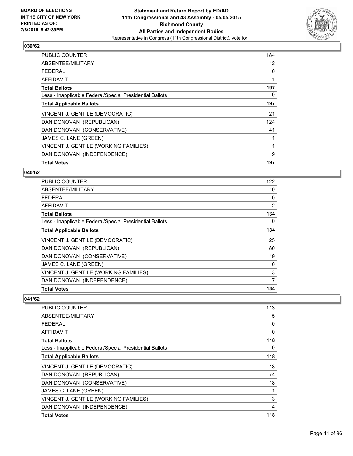

| <b>PUBLIC COUNTER</b>                                    | 184 |
|----------------------------------------------------------|-----|
| ABSENTEE/MILITARY                                        | 12  |
| <b>FEDERAL</b>                                           | 0   |
| AFFIDAVIT                                                | 1   |
| <b>Total Ballots</b>                                     | 197 |
| Less - Inapplicable Federal/Special Presidential Ballots | 0   |
| <b>Total Applicable Ballots</b>                          | 197 |
| VINCENT J. GENTILE (DEMOCRATIC)                          | 21  |
| DAN DONOVAN (REPUBLICAN)                                 | 124 |
| DAN DONOVAN (CONSERVATIVE)                               | 41  |
| JAMES C. LANE (GREEN)                                    | 1   |
| VINCENT J. GENTILE (WORKING FAMILIES)                    | 1   |
| DAN DONOVAN (INDEPENDENCE)                               | 9   |
| <b>Total Votes</b>                                       | 197 |

#### **040/62**

| PUBLIC COUNTER                                           | 122 |
|----------------------------------------------------------|-----|
| ABSENTEE/MILITARY                                        | 10  |
| <b>FEDERAL</b>                                           | 0   |
| <b>AFFIDAVIT</b>                                         | 2   |
| <b>Total Ballots</b>                                     | 134 |
| Less - Inapplicable Federal/Special Presidential Ballots | 0   |
| <b>Total Applicable Ballots</b>                          | 134 |
| VINCENT J. GENTILE (DEMOCRATIC)                          | 25  |
| DAN DONOVAN (REPUBLICAN)                                 | 80  |
| DAN DONOVAN (CONSERVATIVE)                               | 19  |
| JAMES C. LANE (GREEN)                                    | 0   |
| VINCENT J. GENTILE (WORKING FAMILIES)                    | 3   |
| DAN DONOVAN (INDEPENDENCE)                               | 7   |
| <b>Total Votes</b>                                       | 134 |

| <b>PUBLIC COUNTER</b>                                    | 113            |
|----------------------------------------------------------|----------------|
| ABSENTEE/MILITARY                                        | 5              |
| <b>FEDERAL</b>                                           | 0              |
| AFFIDAVIT                                                | 0              |
| <b>Total Ballots</b>                                     | 118            |
| Less - Inapplicable Federal/Special Presidential Ballots | 0              |
| <b>Total Applicable Ballots</b>                          | 118            |
| VINCENT J. GENTILE (DEMOCRATIC)                          | 18             |
| DAN DONOVAN (REPUBLICAN)                                 | 74             |
| DAN DONOVAN (CONSERVATIVE)                               | 18             |
| JAMES C. LANE (GREEN)                                    | 1              |
| VINCENT J. GENTILE (WORKING FAMILIES)                    | 3              |
| DAN DONOVAN (INDEPENDENCE)                               | $\overline{4}$ |
| <b>Total Votes</b>                                       | 118            |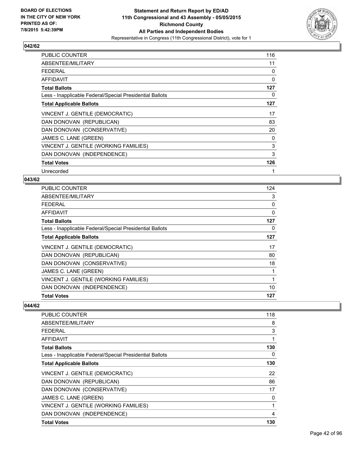

| PUBLIC COUNTER                                           | 116 |
|----------------------------------------------------------|-----|
| ABSENTEE/MILITARY                                        | 11  |
| FEDERAL                                                  | 0   |
| <b>AFFIDAVIT</b>                                         | 0   |
| <b>Total Ballots</b>                                     | 127 |
| Less - Inapplicable Federal/Special Presidential Ballots | 0   |
| <b>Total Applicable Ballots</b>                          | 127 |
| VINCENT J. GENTILE (DEMOCRATIC)                          | 17  |
| DAN DONOVAN (REPUBLICAN)                                 | 83  |
| DAN DONOVAN (CONSERVATIVE)                               | 20  |
| JAMES C. LANE (GREEN)                                    | 0   |
| VINCENT J. GENTILE (WORKING FAMILIES)                    | 3   |
| DAN DONOVAN (INDEPENDENCE)                               | 3   |
| <b>Total Votes</b>                                       | 126 |
| Unrecorded                                               | 1   |

#### **043/62**

| PUBLIC COUNTER                                           | 124 |
|----------------------------------------------------------|-----|
| ABSENTEE/MILITARY                                        | 3   |
| <b>FEDERAL</b>                                           | 0   |
| AFFIDAVIT                                                | 0   |
| <b>Total Ballots</b>                                     | 127 |
| Less - Inapplicable Federal/Special Presidential Ballots | 0   |
| <b>Total Applicable Ballots</b>                          | 127 |
| VINCENT J. GENTILE (DEMOCRATIC)                          | 17  |
| DAN DONOVAN (REPUBLICAN)                                 | 80  |
| DAN DONOVAN (CONSERVATIVE)                               | 18  |
| JAMES C. LANE (GREEN)                                    | 1   |
| VINCENT J. GENTILE (WORKING FAMILIES)                    | 1   |
| DAN DONOVAN (INDEPENDENCE)                               | 10  |
| <b>Total Votes</b>                                       | 127 |

| <b>PUBLIC COUNTER</b>                                    | 118 |
|----------------------------------------------------------|-----|
| ABSENTEE/MILITARY                                        | 8   |
| <b>FEDERAL</b>                                           | 3   |
| AFFIDAVIT                                                | 1   |
| <b>Total Ballots</b>                                     | 130 |
| Less - Inapplicable Federal/Special Presidential Ballots | 0   |
| <b>Total Applicable Ballots</b>                          | 130 |
| VINCENT J. GENTILE (DEMOCRATIC)                          | 22  |
| DAN DONOVAN (REPUBLICAN)                                 | 86  |
| DAN DONOVAN (CONSERVATIVE)                               | 17  |
| JAMES C. LANE (GREEN)                                    | 0   |
| VINCENT J. GENTILE (WORKING FAMILIES)                    | 1   |
| DAN DONOVAN (INDEPENDENCE)                               | 4   |
| <b>Total Votes</b>                                       | 130 |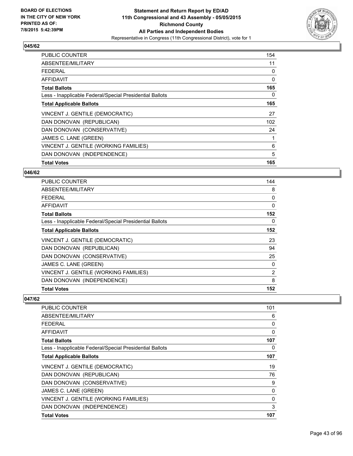

| <b>PUBLIC COUNTER</b>                                    | 154 |
|----------------------------------------------------------|-----|
| ABSENTEE/MILITARY                                        | 11  |
| <b>FEDERAL</b>                                           | 0   |
| AFFIDAVIT                                                | 0   |
| <b>Total Ballots</b>                                     | 165 |
| Less - Inapplicable Federal/Special Presidential Ballots | 0   |
| <b>Total Applicable Ballots</b>                          | 165 |
| VINCENT J. GENTILE (DEMOCRATIC)                          | 27  |
| DAN DONOVAN (REPUBLICAN)                                 | 102 |
| DAN DONOVAN (CONSERVATIVE)                               | 24  |
| JAMES C. LANE (GREEN)                                    | 1   |
| VINCENT J. GENTILE (WORKING FAMILIES)                    | 6   |
| DAN DONOVAN (INDEPENDENCE)                               | 5   |
| <b>Total Votes</b>                                       | 165 |

#### **046/62**

| <b>PUBLIC COUNTER</b>                                    | 144            |
|----------------------------------------------------------|----------------|
| ABSENTEE/MILITARY                                        | 8              |
| <b>FEDERAL</b>                                           | 0              |
| AFFIDAVIT                                                | $\Omega$       |
| <b>Total Ballots</b>                                     | 152            |
| Less - Inapplicable Federal/Special Presidential Ballots | 0              |
| <b>Total Applicable Ballots</b>                          | 152            |
| VINCENT J. GENTILE (DEMOCRATIC)                          | 23             |
| DAN DONOVAN (REPUBLICAN)                                 | 94             |
| DAN DONOVAN (CONSERVATIVE)                               | 25             |
| JAMES C. LANE (GREEN)                                    | 0              |
| VINCENT J. GENTILE (WORKING FAMILIES)                    | $\overline{2}$ |
| DAN DONOVAN (INDEPENDENCE)                               | 8              |
| <b>Total Votes</b>                                       | 152            |

| PUBLIC COUNTER                                           | 101 |
|----------------------------------------------------------|-----|
| ABSENTEE/MILITARY                                        | 6   |
| <b>FEDERAL</b>                                           | 0   |
| <b>AFFIDAVIT</b>                                         | 0   |
| <b>Total Ballots</b>                                     | 107 |
| Less - Inapplicable Federal/Special Presidential Ballots | 0   |
| <b>Total Applicable Ballots</b>                          | 107 |
| VINCENT J. GENTILE (DEMOCRATIC)                          | 19  |
| DAN DONOVAN (REPUBLICAN)                                 | 76  |
| DAN DONOVAN (CONSERVATIVE)                               | 9   |
| JAMES C. LANE (GREEN)                                    | 0   |
| VINCENT J. GENTILE (WORKING FAMILIES)                    | 0   |
| DAN DONOVAN (INDEPENDENCE)                               | 3   |
| <b>Total Votes</b>                                       | 107 |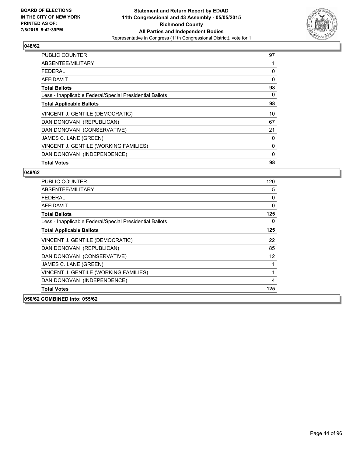

| PUBLIC COUNTER                                           | 97 |
|----------------------------------------------------------|----|
| ABSENTEE/MILITARY                                        |    |
| <b>FEDERAL</b>                                           | 0  |
| AFFIDAVIT                                                | 0  |
| <b>Total Ballots</b>                                     | 98 |
| Less - Inapplicable Federal/Special Presidential Ballots | 0  |
| <b>Total Applicable Ballots</b>                          | 98 |
| VINCENT J. GENTILE (DEMOCRATIC)                          | 10 |
| DAN DONOVAN (REPUBLICAN)                                 | 67 |
| DAN DONOVAN (CONSERVATIVE)                               | 21 |
| JAMES C. LANE (GREEN)                                    | 0  |
| VINCENT J. GENTILE (WORKING FAMILIES)                    | 0  |
| DAN DONOVAN (INDEPENDENCE)                               | 0  |
| <b>Total Votes</b>                                       | 98 |

| <b>PUBLIC COUNTER</b>                                    | 120               |
|----------------------------------------------------------|-------------------|
| ABSENTEE/MILITARY                                        | 5                 |
| FFDFRAL                                                  | 0                 |
| <b>AFFIDAVIT</b>                                         | 0                 |
| <b>Total Ballots</b>                                     | 125               |
| Less - Inapplicable Federal/Special Presidential Ballots | 0                 |
| <b>Total Applicable Ballots</b>                          | 125               |
| VINCENT J. GENTILE (DEMOCRATIC)                          | 22                |
| DAN DONOVAN (REPUBLICAN)                                 | 85                |
| DAN DONOVAN (CONSERVATIVE)                               | $12 \overline{ }$ |
| JAMES C. LANE (GREEN)                                    | 1                 |
| VINCENT J. GENTILE (WORKING FAMILIES)                    | 1                 |
| DAN DONOVAN (INDEPENDENCE)                               | 4                 |
| <b>Total Votes</b>                                       | 125               |
| 050/62 COMBINED into: 055/62                             |                   |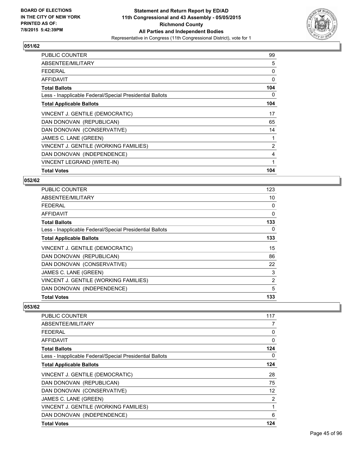

| <b>PUBLIC COUNTER</b>                                    | 99  |
|----------------------------------------------------------|-----|
| ABSENTEE/MILITARY                                        | 5   |
| <b>FEDERAL</b>                                           | 0   |
| <b>AFFIDAVIT</b>                                         | 0   |
| <b>Total Ballots</b>                                     | 104 |
| Less - Inapplicable Federal/Special Presidential Ballots | 0   |
| <b>Total Applicable Ballots</b>                          | 104 |
| VINCENT J. GENTILE (DEMOCRATIC)                          | 17  |
| DAN DONOVAN (REPUBLICAN)                                 | 65  |
| DAN DONOVAN (CONSERVATIVE)                               | 14  |
| JAMES C. LANE (GREEN)                                    | 1   |
| VINCENT J. GENTILE (WORKING FAMILIES)                    | 2   |
| DAN DONOVAN (INDEPENDENCE)                               | 4   |
| VINCENT LEGRAND (WRITE-IN)                               | 1   |
| <b>Total Votes</b>                                       | 104 |

## **052/62**

| PUBLIC COUNTER                                           | 123 |
|----------------------------------------------------------|-----|
| ABSENTEE/MILITARY                                        | 10  |
| <b>FEDERAL</b>                                           | 0   |
| <b>AFFIDAVIT</b>                                         | 0   |
| <b>Total Ballots</b>                                     | 133 |
| Less - Inapplicable Federal/Special Presidential Ballots | 0   |
| <b>Total Applicable Ballots</b>                          | 133 |
| VINCENT J. GENTILE (DEMOCRATIC)                          | 15  |
| DAN DONOVAN (REPUBLICAN)                                 | 86  |
| DAN DONOVAN (CONSERVATIVE)                               | 22  |
| JAMES C. LANE (GREEN)                                    | 3   |
| VINCENT J. GENTILE (WORKING FAMILIES)                    | 2   |
| DAN DONOVAN (INDEPENDENCE)                               | 5   |
| <b>Total Votes</b>                                       | 133 |

| PUBLIC COUNTER                                           | 117            |
|----------------------------------------------------------|----------------|
| ABSENTEE/MILITARY                                        | 7              |
| FFDFRAI                                                  | 0              |
| AFFIDAVIT                                                | 0              |
| <b>Total Ballots</b>                                     | 124            |
| Less - Inapplicable Federal/Special Presidential Ballots | 0              |
| <b>Total Applicable Ballots</b>                          | 124            |
| VINCENT J. GENTILE (DEMOCRATIC)                          | 28             |
| DAN DONOVAN (REPUBLICAN)                                 | 75             |
| DAN DONOVAN (CONSERVATIVE)                               | 12             |
| JAMES C. LANE (GREEN)                                    | $\overline{2}$ |
| VINCENT J. GENTILE (WORKING FAMILIES)                    | 1              |
| DAN DONOVAN (INDEPENDENCE)                               | 6              |
| <b>Total Votes</b>                                       | 124            |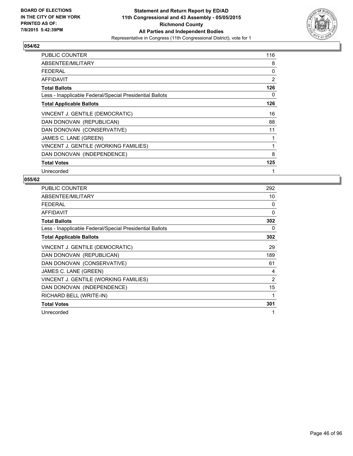

| <b>PUBLIC COUNTER</b>                                    | 116          |
|----------------------------------------------------------|--------------|
| ABSENTEE/MILITARY                                        | 8            |
| <b>FEDERAL</b>                                           | 0            |
| AFFIDAVIT                                                | 2            |
| <b>Total Ballots</b>                                     | 126          |
| Less - Inapplicable Federal/Special Presidential Ballots | 0            |
| <b>Total Applicable Ballots</b>                          | 126          |
| VINCENT J. GENTILE (DEMOCRATIC)                          | 16           |
| DAN DONOVAN (REPUBLICAN)                                 | 88           |
| DAN DONOVAN (CONSERVATIVE)                               | 11           |
| JAMES C. LANE (GREEN)                                    | 1            |
| VINCENT J. GENTILE (WORKING FAMILIES)                    | 1            |
| DAN DONOVAN (INDEPENDENCE)                               | 8            |
| <b>Total Votes</b>                                       | 125          |
| Unrecorded                                               | $\mathbf{1}$ |

| PUBLIC COUNTER                                           | 292 |
|----------------------------------------------------------|-----|
| ABSENTEE/MILITARY                                        | 10  |
| <b>FEDERAL</b>                                           | 0   |
| <b>AFFIDAVIT</b>                                         | 0   |
| <b>Total Ballots</b>                                     | 302 |
| Less - Inapplicable Federal/Special Presidential Ballots | 0   |
| <b>Total Applicable Ballots</b>                          | 302 |
| VINCENT J. GENTILE (DEMOCRATIC)                          | 29  |
| DAN DONOVAN (REPUBLICAN)                                 | 189 |
| DAN DONOVAN (CONSERVATIVE)                               | 61  |
| JAMES C. LANE (GREEN)                                    | 4   |
| VINCENT J. GENTILE (WORKING FAMILIES)                    | 2   |
| DAN DONOVAN (INDEPENDENCE)                               | 15  |
| RICHARD BELL (WRITE-IN)                                  | 1   |
| <b>Total Votes</b>                                       | 301 |
| Unrecorded                                               | 1   |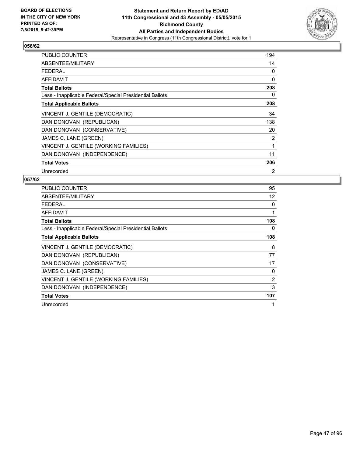

| <b>PUBLIC COUNTER</b>                                    | 194            |
|----------------------------------------------------------|----------------|
| ABSENTEE/MILITARY                                        | 14             |
| <b>FEDERAL</b>                                           | 0              |
| <b>AFFIDAVIT</b>                                         | 0              |
| <b>Total Ballots</b>                                     | 208            |
| Less - Inapplicable Federal/Special Presidential Ballots | 0              |
| <b>Total Applicable Ballots</b>                          | 208            |
| VINCENT J. GENTILE (DEMOCRATIC)                          | 34             |
| DAN DONOVAN (REPUBLICAN)                                 | 138            |
| DAN DONOVAN (CONSERVATIVE)                               | 20             |
| JAMES C. LANE (GREEN)                                    | $\overline{2}$ |
| VINCENT J. GENTILE (WORKING FAMILIES)                    | 1              |
| DAN DONOVAN (INDEPENDENCE)                               | 11             |
| <b>Total Votes</b>                                       | 206            |
| Unrecorded                                               | 2              |

| <b>PUBLIC COUNTER</b>                                    | 95  |
|----------------------------------------------------------|-----|
| ABSENTEE/MILITARY                                        | 12  |
| <b>FEDERAL</b>                                           | 0   |
| <b>AFFIDAVIT</b>                                         | 1   |
| <b>Total Ballots</b>                                     | 108 |
| Less - Inapplicable Federal/Special Presidential Ballots | 0   |
| <b>Total Applicable Ballots</b>                          | 108 |
| VINCENT J. GENTILE (DEMOCRATIC)                          | 8   |
| DAN DONOVAN (REPUBLICAN)                                 | 77  |
| DAN DONOVAN (CONSERVATIVE)                               | 17  |
| JAMES C. LANE (GREEN)                                    | 0   |
| VINCENT J. GENTILE (WORKING FAMILIES)                    | 2   |
| DAN DONOVAN (INDEPENDENCE)                               | 3   |
| <b>Total Votes</b>                                       | 107 |
| Unrecorded                                               | 1   |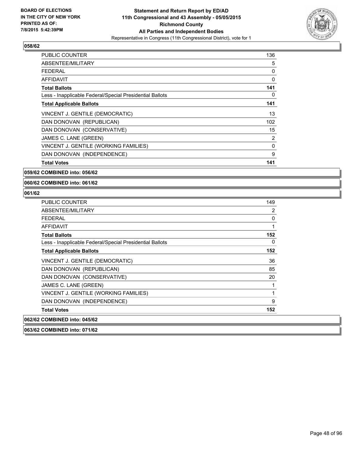

| <b>PUBLIC COUNTER</b>                                    | 136      |
|----------------------------------------------------------|----------|
| ABSENTEE/MILITARY                                        | 5        |
| FEDERAL                                                  | 0        |
| AFFIDAVIT                                                | 0        |
| <b>Total Ballots</b>                                     | 141      |
| Less - Inapplicable Federal/Special Presidential Ballots | 0        |
| <b>Total Applicable Ballots</b>                          | 141      |
| VINCENT J. GENTILE (DEMOCRATIC)                          | 13       |
| DAN DONOVAN (REPUBLICAN)                                 | 102      |
| DAN DONOVAN (CONSERVATIVE)                               | 15       |
| JAMES C. LANE (GREEN)                                    | 2        |
| VINCENT J. GENTILE (WORKING FAMILIES)                    | $\Omega$ |
| DAN DONOVAN (INDEPENDENCE)                               | 9        |
| <b>Total Votes</b>                                       | 141      |

**059/62 COMBINED into: 056/62**

**060/62 COMBINED into: 061/62**

## **061/62**

| <b>PUBLIC COUNTER</b>                                    | 149 |
|----------------------------------------------------------|-----|
| ABSENTEE/MILITARY                                        | 2   |
| <b>FEDERAL</b>                                           | 0   |
| AFFIDAVIT                                                | 1   |
| <b>Total Ballots</b>                                     | 152 |
| Less - Inapplicable Federal/Special Presidential Ballots | 0   |
| <b>Total Applicable Ballots</b>                          | 152 |
| VINCENT J. GENTILE (DEMOCRATIC)                          | 36  |
| DAN DONOVAN (REPUBLICAN)                                 | 85  |
| DAN DONOVAN (CONSERVATIVE)                               | 20  |
| JAMES C. LANE (GREEN)                                    | 1   |
| VINCENT J. GENTILE (WORKING FAMILIES)                    | 1   |
| DAN DONOVAN (INDEPENDENCE)                               | 9   |
| <b>Total Votes</b>                                       | 152 |
| 062/62 COMBINED into: 045/62                             |     |
|                                                          |     |

**063/62 COMBINED into: 071/62**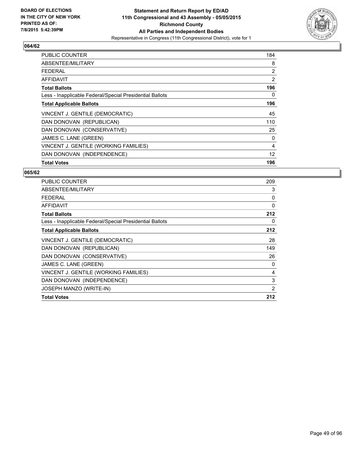

| <b>PUBLIC COUNTER</b>                                    | 184               |
|----------------------------------------------------------|-------------------|
| ABSENTEE/MILITARY                                        | 8                 |
| <b>FEDERAL</b>                                           | 2                 |
| AFFIDAVIT                                                | 2                 |
| <b>Total Ballots</b>                                     | 196               |
| Less - Inapplicable Federal/Special Presidential Ballots | 0                 |
| <b>Total Applicable Ballots</b>                          | 196               |
| VINCENT J. GENTILE (DEMOCRATIC)                          | 45                |
| DAN DONOVAN (REPUBLICAN)                                 | 110               |
| DAN DONOVAN (CONSERVATIVE)                               | 25                |
| JAMES C. LANE (GREEN)                                    | 0                 |
| VINCENT J. GENTILE (WORKING FAMILIES)                    | 4                 |
| DAN DONOVAN (INDEPENDENCE)                               | $12 \overline{ }$ |
| <b>Total Votes</b>                                       | 196               |

| <b>PUBLIC COUNTER</b>                                    | 209 |
|----------------------------------------------------------|-----|
| ABSENTEE/MILITARY                                        | 3   |
| <b>FEDERAL</b>                                           | 0   |
| <b>AFFIDAVIT</b>                                         | 0   |
| <b>Total Ballots</b>                                     | 212 |
| Less - Inapplicable Federal/Special Presidential Ballots | 0   |
| <b>Total Applicable Ballots</b>                          | 212 |
| VINCENT J. GENTILE (DEMOCRATIC)                          | 28  |
| DAN DONOVAN (REPUBLICAN)                                 | 149 |
| DAN DONOVAN (CONSERVATIVE)                               | 26  |
| JAMES C. LANE (GREEN)                                    | 0   |
| VINCENT J. GENTILE (WORKING FAMILIES)                    | 4   |
| DAN DONOVAN (INDEPENDENCE)                               | 3   |
| JOSEPH MANZO (WRITE-IN)                                  | 2   |
| <b>Total Votes</b>                                       | 212 |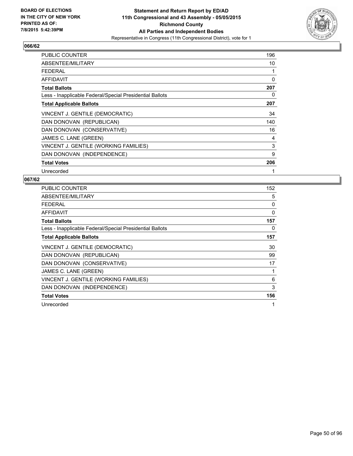

| <b>PUBLIC COUNTER</b>                                    | 196 |
|----------------------------------------------------------|-----|
| ABSENTEE/MILITARY                                        | 10  |
| <b>FEDERAL</b>                                           | 1   |
| AFFIDAVIT                                                | 0   |
| <b>Total Ballots</b>                                     | 207 |
| Less - Inapplicable Federal/Special Presidential Ballots | 0   |
| <b>Total Applicable Ballots</b>                          | 207 |
| VINCENT J. GENTILE (DEMOCRATIC)                          | 34  |
| DAN DONOVAN (REPUBLICAN)                                 | 140 |
| DAN DONOVAN (CONSERVATIVE)                               | 16  |
| JAMES C. LANE (GREEN)                                    | 4   |
| VINCENT J. GENTILE (WORKING FAMILIES)                    | 3   |
| DAN DONOVAN (INDEPENDENCE)                               | 9   |
| <b>Total Votes</b>                                       | 206 |
| Unrecorded                                               | 1   |

| <b>PUBLIC COUNTER</b>                                    | 152 |
|----------------------------------------------------------|-----|
| ABSENTEE/MILITARY                                        | 5   |
| <b>FEDERAL</b>                                           | 0   |
| <b>AFFIDAVIT</b>                                         | 0   |
| <b>Total Ballots</b>                                     | 157 |
| Less - Inapplicable Federal/Special Presidential Ballots | 0   |
| <b>Total Applicable Ballots</b>                          | 157 |
| VINCENT J. GENTILE (DEMOCRATIC)                          | 30  |
| DAN DONOVAN (REPUBLICAN)                                 | 99  |
| DAN DONOVAN (CONSERVATIVE)                               | 17  |
| JAMES C. LANE (GREEN)                                    | 1   |
| VINCENT J. GENTILE (WORKING FAMILIES)                    | 6   |
| DAN DONOVAN (INDEPENDENCE)                               | 3   |
| <b>Total Votes</b>                                       | 156 |
| Unrecorded                                               | 1   |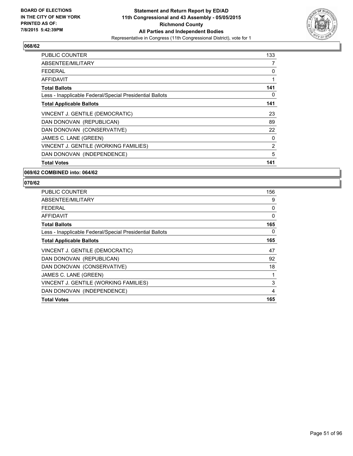

| <b>PUBLIC COUNTER</b>                                    | 133 |
|----------------------------------------------------------|-----|
| ABSENTEE/MILITARY                                        | 7   |
| <b>FEDERAL</b>                                           | 0   |
| AFFIDAVIT                                                | 1   |
| <b>Total Ballots</b>                                     | 141 |
| Less - Inapplicable Federal/Special Presidential Ballots | 0   |
| <b>Total Applicable Ballots</b>                          | 141 |
| VINCENT J. GENTILE (DEMOCRATIC)                          | 23  |
| DAN DONOVAN (REPUBLICAN)                                 | 89  |
| DAN DONOVAN (CONSERVATIVE)                               | 22  |
| JAMES C. LANE (GREEN)                                    | 0   |
| VINCENT J. GENTILE (WORKING FAMILIES)                    | 2   |
| DAN DONOVAN (INDEPENDENCE)                               | 5   |
| <b>Total Votes</b>                                       | 141 |

#### **069/62 COMBINED into: 064/62**

| <b>PUBLIC COUNTER</b>                                    | 156 |
|----------------------------------------------------------|-----|
| ABSENTEE/MILITARY                                        | 9   |
| <b>FEDERAL</b>                                           | 0   |
| <b>AFFIDAVIT</b>                                         | 0   |
| <b>Total Ballots</b>                                     | 165 |
| Less - Inapplicable Federal/Special Presidential Ballots | 0   |
| <b>Total Applicable Ballots</b>                          | 165 |
| VINCENT J. GENTILE (DEMOCRATIC)                          | 47  |
| DAN DONOVAN (REPUBLICAN)                                 | 92  |
| DAN DONOVAN (CONSERVATIVE)                               | 18  |
| JAMES C. LANE (GREEN)                                    | 1   |
| VINCENT J. GENTILE (WORKING FAMILIES)                    | 3   |
| DAN DONOVAN (INDEPENDENCE)                               | 4   |
| <b>Total Votes</b>                                       | 165 |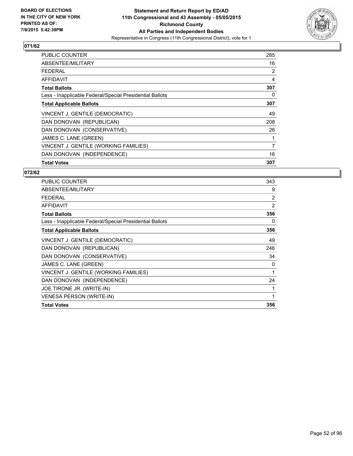

| <b>PUBLIC COUNTER</b>                                    | 285 |
|----------------------------------------------------------|-----|
| ABSENTEE/MILITARY                                        | 16  |
| <b>FEDERAL</b>                                           | 2   |
| AFFIDAVIT                                                | 4   |
| <b>Total Ballots</b>                                     | 307 |
| Less - Inapplicable Federal/Special Presidential Ballots | 0   |
| <b>Total Applicable Ballots</b>                          | 307 |
| VINCENT J. GENTILE (DEMOCRATIC)                          | 49  |
| DAN DONOVAN (REPUBLICAN)                                 | 208 |
| DAN DONOVAN (CONSERVATIVE)                               | 26  |
| JAMES C. LANE (GREEN)                                    |     |
| VINCENT J. GENTILE (WORKING FAMILIES)                    | 7   |
| DAN DONOVAN (INDEPENDENCE)                               | 16  |
| <b>Total Votes</b>                                       | 307 |

| <b>PUBLIC COUNTER</b>                                    | 343            |
|----------------------------------------------------------|----------------|
| ABSENTEE/MILITARY                                        | 9              |
| <b>FEDERAL</b>                                           | $\overline{2}$ |
| AFFIDAVIT                                                | 2              |
| <b>Total Ballots</b>                                     | 356            |
| Less - Inapplicable Federal/Special Presidential Ballots | 0              |
| <b>Total Applicable Ballots</b>                          | 356            |
| VINCENT J. GENTILE (DEMOCRATIC)                          | 49             |
| DAN DONOVAN (REPUBLICAN)                                 | 246            |
| DAN DONOVAN (CONSERVATIVE)                               | 34             |
| JAMES C. LANE (GREEN)                                    | 0              |
| VINCENT J. GENTILE (WORKING FAMILIES)                    | 1              |
| DAN DONOVAN (INDEPENDENCE)                               | 24             |
| JOE TIRONE JR. (WRITE-IN)                                | 1              |
| <b>VENESA PERSON (WRITE-IN)</b>                          | 1              |
| <b>Total Votes</b>                                       | 356            |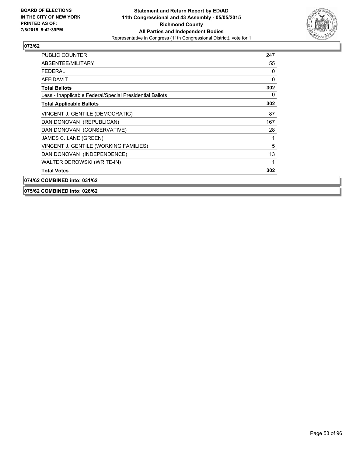

| <b>PUBLIC COUNTER</b>                                    | 247 |
|----------------------------------------------------------|-----|
| ABSENTEE/MILITARY                                        | 55  |
| <b>FEDERAL</b>                                           | 0   |
| <b>AFFIDAVIT</b>                                         | 0   |
| <b>Total Ballots</b>                                     | 302 |
| Less - Inapplicable Federal/Special Presidential Ballots | 0   |
| <b>Total Applicable Ballots</b>                          | 302 |
| VINCENT J. GENTILE (DEMOCRATIC)                          | 87  |
| DAN DONOVAN (REPUBLICAN)                                 | 167 |
| DAN DONOVAN (CONSERVATIVE)                               | 28  |
| JAMES C. LANE (GREEN)                                    |     |
| VINCENT J. GENTILE (WORKING FAMILIES)                    | 5   |
| DAN DONOVAN (INDEPENDENCE)                               | 13  |
| WALTER DEROWSKI (WRITE-IN)                               | 1   |
| <b>Total Votes</b>                                       | 302 |
| 074/62 COMBINED into: 031/62                             |     |

**075/62 COMBINED into: 026/62**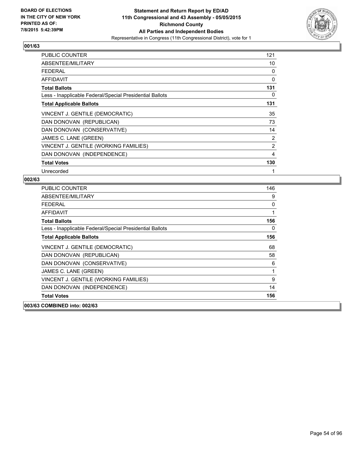

| <b>PUBLIC COUNTER</b>                                    | 121 |
|----------------------------------------------------------|-----|
| ABSENTEE/MILITARY                                        | 10  |
| <b>FEDERAL</b>                                           | 0   |
| AFFIDAVIT                                                | 0   |
| <b>Total Ballots</b>                                     | 131 |
| Less - Inapplicable Federal/Special Presidential Ballots | 0   |
| <b>Total Applicable Ballots</b>                          | 131 |
| VINCENT J. GENTILE (DEMOCRATIC)                          | 35  |
| DAN DONOVAN (REPUBLICAN)                                 | 73  |
| DAN DONOVAN (CONSERVATIVE)                               | 14  |
| JAMES C. LANE (GREEN)                                    | 2   |
| VINCENT J. GENTILE (WORKING FAMILIES)                    | 2   |
| DAN DONOVAN (INDEPENDENCE)                               | 4   |
| <b>Total Votes</b>                                       | 130 |
| Unrecorded                                               | 1   |

| <b>PUBLIC COUNTER</b>                                    | 146 |
|----------------------------------------------------------|-----|
| ABSENTEE/MILITARY                                        | 9   |
| <b>FEDERAL</b>                                           | 0   |
| <b>AFFIDAVIT</b>                                         | 1   |
| <b>Total Ballots</b>                                     | 156 |
| Less - Inapplicable Federal/Special Presidential Ballots | 0   |
| <b>Total Applicable Ballots</b>                          | 156 |
| VINCENT J. GENTILE (DEMOCRATIC)                          | 68  |
| DAN DONOVAN (REPUBLICAN)                                 | 58  |
| DAN DONOVAN (CONSERVATIVE)                               | 6   |
| JAMES C. LANE (GREEN)                                    | 1   |
| VINCENT J. GENTILE (WORKING FAMILIES)                    | 9   |
| DAN DONOVAN (INDEPENDENCE)                               | 14  |
| <b>Total Votes</b>                                       | 156 |
| 003/63 COMBINED into: 002/63                             |     |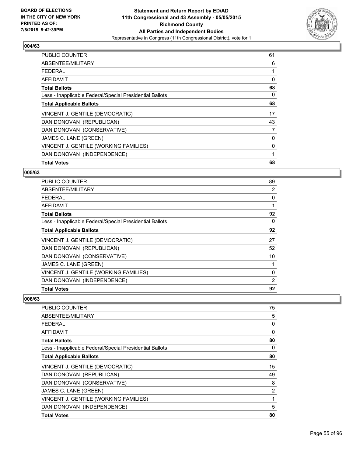

| <b>PUBLIC COUNTER</b>                                    | 61 |
|----------------------------------------------------------|----|
| ABSENTEE/MILITARY                                        | 6  |
| <b>FEDERAL</b>                                           | 1  |
| AFFIDAVIT                                                | 0  |
| <b>Total Ballots</b>                                     | 68 |
| Less - Inapplicable Federal/Special Presidential Ballots | 0  |
| <b>Total Applicable Ballots</b>                          | 68 |
| VINCENT J. GENTILE (DEMOCRATIC)                          | 17 |
| DAN DONOVAN (REPUBLICAN)                                 | 43 |
| DAN DONOVAN (CONSERVATIVE)                               | 7  |
| JAMES C. LANE (GREEN)                                    | 0  |
| VINCENT J. GENTILE (WORKING FAMILIES)                    | 0  |
| DAN DONOVAN (INDEPENDENCE)                               | 1  |
| <b>Total Votes</b>                                       | 68 |

#### **005/63**

| <b>PUBLIC COUNTER</b>                                    | 89 |
|----------------------------------------------------------|----|
| ABSENTEE/MILITARY                                        | 2  |
| <b>FEDERAL</b>                                           | 0  |
| <b>AFFIDAVIT</b>                                         |    |
| <b>Total Ballots</b>                                     | 92 |
| Less - Inapplicable Federal/Special Presidential Ballots | 0  |
| <b>Total Applicable Ballots</b>                          | 92 |
| VINCENT J. GENTILE (DEMOCRATIC)                          | 27 |
| DAN DONOVAN (REPUBLICAN)                                 | 52 |
| DAN DONOVAN (CONSERVATIVE)                               | 10 |
| JAMES C. LANE (GREEN)                                    |    |
| VINCENT J. GENTILE (WORKING FAMILIES)                    | 0  |
| DAN DONOVAN (INDEPENDENCE)                               | 2  |
| <b>Total Votes</b>                                       | 92 |

| <b>PUBLIC COUNTER</b>                                    | 75 |
|----------------------------------------------------------|----|
| ABSENTEE/MILITARY                                        | 5  |
| <b>FEDERAL</b>                                           | 0  |
| AFFIDAVIT                                                | 0  |
| <b>Total Ballots</b>                                     | 80 |
| Less - Inapplicable Federal/Special Presidential Ballots | 0  |
| <b>Total Applicable Ballots</b>                          | 80 |
| VINCENT J. GENTILE (DEMOCRATIC)                          | 15 |
| DAN DONOVAN (REPUBLICAN)                                 | 49 |
| DAN DONOVAN (CONSERVATIVE)                               | 8  |
| JAMES C. LANE (GREEN)                                    | 2  |
| VINCENT J. GENTILE (WORKING FAMILIES)                    | 1  |
| DAN DONOVAN (INDEPENDENCE)                               | 5  |
| <b>Total Votes</b>                                       | 80 |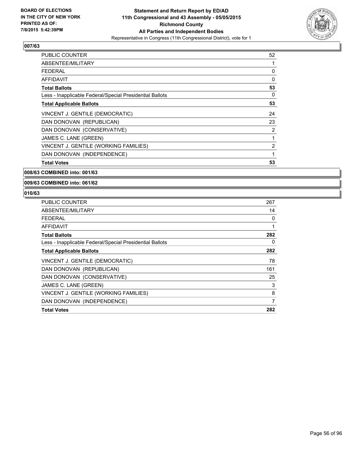

| <b>PUBLIC COUNTER</b>                                    | 52 |
|----------------------------------------------------------|----|
| ABSENTEE/MILITARY                                        |    |
| <b>FEDERAL</b>                                           | 0  |
| AFFIDAVIT                                                | 0  |
| <b>Total Ballots</b>                                     | 53 |
| Less - Inapplicable Federal/Special Presidential Ballots | 0  |
| <b>Total Applicable Ballots</b>                          | 53 |
| VINCENT J. GENTILE (DEMOCRATIC)                          | 24 |
| DAN DONOVAN (REPUBLICAN)                                 | 23 |
| DAN DONOVAN (CONSERVATIVE)                               | 2  |
| JAMES C. LANE (GREEN)                                    | 1  |
| VINCENT J. GENTILE (WORKING FAMILIES)                    | 2  |
| DAN DONOVAN (INDEPENDENCE)                               | 1  |
| <b>Total Votes</b>                                       | 53 |

#### **008/63 COMBINED into: 001/63**

#### **009/63 COMBINED into: 061/62**

| <b>PUBLIC COUNTER</b>                                    | 267 |
|----------------------------------------------------------|-----|
| ABSENTEE/MILITARY                                        | 14  |
| FEDERAL                                                  | 0   |
| AFFIDAVIT                                                |     |
| <b>Total Ballots</b>                                     | 282 |
| Less - Inapplicable Federal/Special Presidential Ballots | 0   |
| <b>Total Applicable Ballots</b>                          | 282 |
| VINCENT J. GENTILE (DEMOCRATIC)                          | 78  |
| DAN DONOVAN (REPUBLICAN)                                 | 161 |
| DAN DONOVAN (CONSERVATIVE)                               | 25  |
| JAMES C. LANE (GREEN)                                    | 3   |
| VINCENT J. GENTILE (WORKING FAMILIES)                    | 8   |
| DAN DONOVAN (INDEPENDENCE)                               | 7   |
| <b>Total Votes</b>                                       | 282 |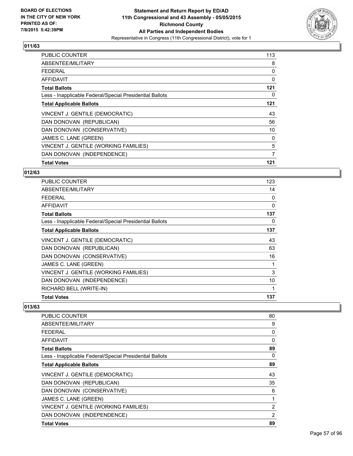

| <b>PUBLIC COUNTER</b>                                    | 113 |
|----------------------------------------------------------|-----|
| ABSENTEE/MILITARY                                        | 8   |
| <b>FEDERAL</b>                                           | 0   |
| AFFIDAVIT                                                | 0   |
| <b>Total Ballots</b>                                     | 121 |
| Less - Inapplicable Federal/Special Presidential Ballots | 0   |
| <b>Total Applicable Ballots</b>                          | 121 |
| VINCENT J. GENTILE (DEMOCRATIC)                          | 43  |
| DAN DONOVAN (REPUBLICAN)                                 | 56  |
| DAN DONOVAN (CONSERVATIVE)                               | 10  |
| JAMES C. LANE (GREEN)                                    | 0   |
| VINCENT J. GENTILE (WORKING FAMILIES)                    | 5   |
| DAN DONOVAN (INDEPENDENCE)                               | 7   |
| <b>Total Votes</b>                                       | 121 |

#### **012/63**

| PUBLIC COUNTER                                           | 123 |
|----------------------------------------------------------|-----|
| ABSENTEE/MILITARY                                        | 14  |
| <b>FEDERAL</b>                                           | 0   |
| <b>AFFIDAVIT</b>                                         | 0   |
| <b>Total Ballots</b>                                     | 137 |
| Less - Inapplicable Federal/Special Presidential Ballots | 0   |
| <b>Total Applicable Ballots</b>                          | 137 |
| VINCENT J. GENTILE (DEMOCRATIC)                          | 43  |
| DAN DONOVAN (REPUBLICAN)                                 | 63  |
| DAN DONOVAN (CONSERVATIVE)                               | 16  |
| JAMES C. LANE (GREEN)                                    | 1   |
| VINCENT J. GENTILE (WORKING FAMILIES)                    | 3   |
| DAN DONOVAN (INDEPENDENCE)                               | 10  |
| RICHARD BELL (WRITE-IN)                                  | 1   |
| <b>Total Votes</b>                                       | 137 |

| PUBLIC COUNTER                                           | 80             |
|----------------------------------------------------------|----------------|
| ABSENTEE/MILITARY                                        | 9              |
| <b>FEDERAL</b>                                           | 0              |
| AFFIDAVIT                                                | 0              |
| <b>Total Ballots</b>                                     | 89             |
| Less - Inapplicable Federal/Special Presidential Ballots | 0              |
| <b>Total Applicable Ballots</b>                          | 89             |
| VINCENT J. GENTILE (DEMOCRATIC)                          | 43             |
| DAN DONOVAN (REPUBLICAN)                                 | 35             |
| DAN DONOVAN (CONSERVATIVE)                               | 6              |
| JAMES C. LANE (GREEN)                                    | 1              |
| VINCENT J. GENTILE (WORKING FAMILIES)                    | $\overline{2}$ |
| DAN DONOVAN (INDEPENDENCE)                               | 2              |
| <b>Total Votes</b>                                       | 89             |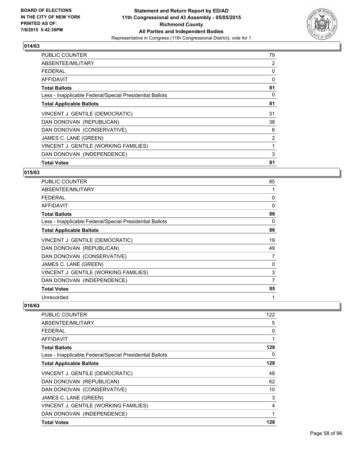

| <b>PUBLIC COUNTER</b>                                    | 79             |
|----------------------------------------------------------|----------------|
| ABSENTEE/MILITARY                                        | 2              |
| <b>FEDERAL</b>                                           | 0              |
| AFFIDAVIT                                                | 0              |
| <b>Total Ballots</b>                                     | 81             |
| Less - Inapplicable Federal/Special Presidential Ballots | 0              |
| <b>Total Applicable Ballots</b>                          | 81             |
| VINCENT J. GENTILE (DEMOCRATIC)                          | 31             |
| DAN DONOVAN (REPUBLICAN)                                 | 38             |
| DAN DONOVAN (CONSERVATIVE)                               | 6              |
| JAMES C. LANE (GREEN)                                    | $\overline{2}$ |
| VINCENT J. GENTILE (WORKING FAMILIES)                    | 1              |
| DAN DONOVAN (INDEPENDENCE)                               | 3              |
| <b>Total Votes</b>                                       | 81             |

#### **015/63**

| PUBLIC COUNTER                                           | 85 |
|----------------------------------------------------------|----|
| ABSENTEE/MILITARY                                        |    |
| <b>FEDERAL</b>                                           | 0  |
| AFFIDAVIT                                                | 0  |
| <b>Total Ballots</b>                                     | 86 |
| Less - Inapplicable Federal/Special Presidential Ballots | 0  |
| <b>Total Applicable Ballots</b>                          | 86 |
| VINCENT J. GENTILE (DEMOCRATIC)                          | 19 |
| DAN DONOVAN (REPUBLICAN)                                 | 49 |
| DAN DONOVAN (CONSERVATIVE)                               | 7  |
| JAMES C. LANE (GREEN)                                    | 0  |
| VINCENT J. GENTILE (WORKING FAMILIES)                    | 3  |
| DAN DONOVAN (INDEPENDENCE)                               | 7  |
| <b>Total Votes</b>                                       | 85 |
| Unrecorded                                               | 1  |

| <b>PUBLIC COUNTER</b>                                    | 122 |
|----------------------------------------------------------|-----|
| ABSENTEE/MILITARY                                        | 5   |
| FFDFRAI                                                  | 0   |
| AFFIDAVIT                                                |     |
| <b>Total Ballots</b>                                     | 128 |
| Less - Inapplicable Federal/Special Presidential Ballots | 0   |
| <b>Total Applicable Ballots</b>                          | 128 |
| VINCENT J. GENTILE (DEMOCRATIC)                          | 48  |
| DAN DONOVAN (REPUBLICAN)                                 | 62  |
| DAN DONOVAN (CONSERVATIVE)                               | 10  |
| JAMES C. LANE (GREEN)                                    | 3   |
| VINCENT J. GENTILE (WORKING FAMILIES)                    | 4   |
| DAN DONOVAN (INDEPENDENCE)                               | 1   |
| <b>Total Votes</b>                                       | 128 |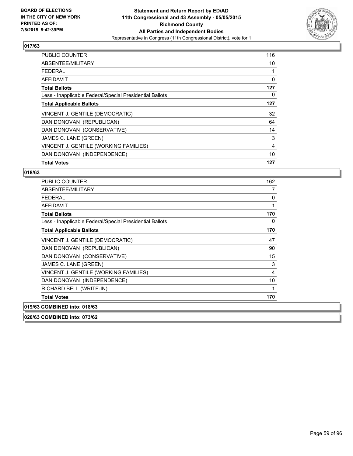

| <b>PUBLIC COUNTER</b>                                    | 116 |
|----------------------------------------------------------|-----|
| ABSENTEE/MILITARY                                        | 10  |
| <b>FEDERAL</b>                                           | 1   |
| AFFIDAVIT                                                | 0   |
| <b>Total Ballots</b>                                     | 127 |
| Less - Inapplicable Federal/Special Presidential Ballots | 0   |
| <b>Total Applicable Ballots</b>                          | 127 |
| VINCENT J. GENTILE (DEMOCRATIC)                          | 32  |
| DAN DONOVAN (REPUBLICAN)                                 | 64  |
| DAN DONOVAN (CONSERVATIVE)                               | 14  |
| JAMES C. LANE (GREEN)                                    | 3   |
| VINCENT J. GENTILE (WORKING FAMILIES)                    | 4   |
| DAN DONOVAN (INDEPENDENCE)                               | 10  |
| <b>Total Votes</b>                                       | 127 |

#### **018/63**

| <b>PUBLIC COUNTER</b>                                    | 162 |
|----------------------------------------------------------|-----|
| ABSENTEE/MILITARY                                        | 7   |
| <b>FEDERAL</b>                                           | 0   |
| <b>AFFIDAVIT</b>                                         | 1   |
| <b>Total Ballots</b>                                     | 170 |
| Less - Inapplicable Federal/Special Presidential Ballots | 0   |
| <b>Total Applicable Ballots</b>                          | 170 |
| VINCENT J. GENTILE (DEMOCRATIC)                          | 47  |
| DAN DONOVAN (REPUBLICAN)                                 | 90  |
| DAN DONOVAN (CONSERVATIVE)                               | 15  |
| JAMES C. LANE (GREEN)                                    | 3   |
| VINCENT J. GENTILE (WORKING FAMILIES)                    | 4   |
| DAN DONOVAN (INDEPENDENCE)                               | 10  |
| RICHARD BELL (WRITE-IN)                                  | 1   |
| <b>Total Votes</b>                                       | 170 |
| 019/63 COMBINED into: 018/63                             |     |

**020/63 COMBINED into: 073/62**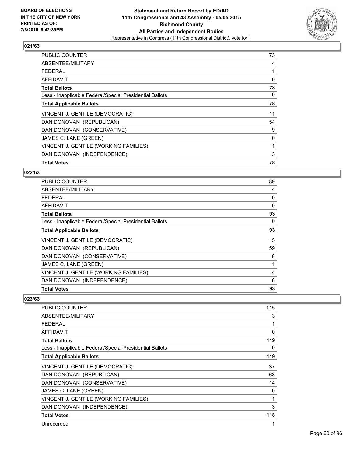

| <b>PUBLIC COUNTER</b>                                    | 73 |
|----------------------------------------------------------|----|
| ABSENTEE/MILITARY                                        | 4  |
| <b>FEDERAL</b>                                           | 1  |
| AFFIDAVIT                                                | 0  |
| <b>Total Ballots</b>                                     | 78 |
| Less - Inapplicable Federal/Special Presidential Ballots | 0  |
| <b>Total Applicable Ballots</b>                          | 78 |
| VINCENT J. GENTILE (DEMOCRATIC)                          | 11 |
| DAN DONOVAN (REPUBLICAN)                                 | 54 |
| DAN DONOVAN (CONSERVATIVE)                               | 9  |
| JAMES C. LANE (GREEN)                                    | 0  |
| VINCENT J. GENTILE (WORKING FAMILIES)                    | 1  |
| DAN DONOVAN (INDEPENDENCE)                               | 3  |
| <b>Total Votes</b>                                       | 78 |

#### **022/63**

| <b>PUBLIC COUNTER</b>                                    | 89       |
|----------------------------------------------------------|----------|
| ABSENTEE/MILITARY                                        | 4        |
| <b>FEDERAL</b>                                           | 0        |
| <b>AFFIDAVIT</b>                                         | $\Omega$ |
| <b>Total Ballots</b>                                     | 93       |
| Less - Inapplicable Federal/Special Presidential Ballots | 0        |
| <b>Total Applicable Ballots</b>                          | 93       |
| VINCENT J. GENTILE (DEMOCRATIC)                          | 15       |
| DAN DONOVAN (REPUBLICAN)                                 | 59       |
| DAN DONOVAN (CONSERVATIVE)                               | 8        |
| JAMES C. LANE (GREEN)                                    | 1        |
| VINCENT J. GENTILE (WORKING FAMILIES)                    | 4        |
| DAN DONOVAN (INDEPENDENCE)                               | 6        |
| <b>Total Votes</b>                                       | 93       |

| <b>PUBLIC COUNTER</b>                                    | 115 |
|----------------------------------------------------------|-----|
| <b>ABSENTEE/MILITARY</b>                                 | 3   |
| FEDERAL                                                  | 1   |
| AFFIDAVIT                                                | 0   |
| <b>Total Ballots</b>                                     | 119 |
| Less - Inapplicable Federal/Special Presidential Ballots | 0   |
| <b>Total Applicable Ballots</b>                          | 119 |
| VINCENT J. GENTILE (DEMOCRATIC)                          | 37  |
| DAN DONOVAN (REPUBLICAN)                                 | 63  |
| DAN DONOVAN (CONSERVATIVE)                               | 14  |
| JAMES C. LANE (GREEN)                                    | 0   |
| VINCENT J. GENTILE (WORKING FAMILIES)                    | 1   |
| DAN DONOVAN (INDEPENDENCE)                               | 3   |
| <b>Total Votes</b>                                       | 118 |
| Unrecorded                                               |     |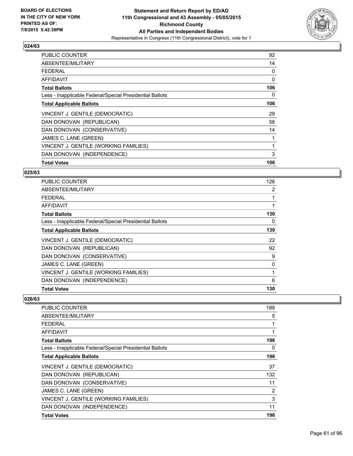

| <b>PUBLIC COUNTER</b>                                    | 92  |
|----------------------------------------------------------|-----|
| ABSENTEE/MILITARY                                        | 14  |
| <b>FEDERAL</b>                                           | 0   |
| AFFIDAVIT                                                | 0   |
| <b>Total Ballots</b>                                     | 106 |
| Less - Inapplicable Federal/Special Presidential Ballots | 0   |
| <b>Total Applicable Ballots</b>                          | 106 |
| VINCENT J. GENTILE (DEMOCRATIC)                          | 29  |
| DAN DONOVAN (REPUBLICAN)                                 | 58  |
| DAN DONOVAN (CONSERVATIVE)                               | 14  |
| JAMES C. LANE (GREEN)                                    |     |
| VINCENT J. GENTILE (WORKING FAMILIES)                    | 1   |
| DAN DONOVAN (INDEPENDENCE)                               | 3   |
| <b>Total Votes</b>                                       | 106 |

#### **025/63**

| <b>PUBLIC COUNTER</b>                                    | 126 |
|----------------------------------------------------------|-----|
| ABSENTEE/MILITARY                                        | 2   |
| <b>FEDERAL</b>                                           |     |
| AFFIDAVIT                                                |     |
| <b>Total Ballots</b>                                     | 130 |
| Less - Inapplicable Federal/Special Presidential Ballots | 0   |
| <b>Total Applicable Ballots</b>                          | 130 |
| VINCENT J. GENTILE (DEMOCRATIC)                          | 22  |
| DAN DONOVAN (REPUBLICAN)                                 | 92  |
| DAN DONOVAN (CONSERVATIVE)                               | 9   |
| JAMES C. LANE (GREEN)                                    | 0   |
| VINCENT J. GENTILE (WORKING FAMILIES)                    | 1   |
| DAN DONOVAN (INDEPENDENCE)                               | 6   |
| <b>Total Votes</b>                                       | 130 |

| PUBLIC COUNTER                                           | 189 |
|----------------------------------------------------------|-----|
| ABSENTEE/MILITARY                                        | 5   |
| <b>FEDERAL</b>                                           | 1   |
| AFFIDAVIT                                                | 1   |
| <b>Total Ballots</b>                                     | 196 |
| Less - Inapplicable Federal/Special Presidential Ballots | 0   |
| <b>Total Applicable Ballots</b>                          | 196 |
| VINCENT J. GENTILE (DEMOCRATIC)                          | 37  |
| DAN DONOVAN (REPUBLICAN)                                 | 132 |
| DAN DONOVAN (CONSERVATIVE)                               | 11  |
| JAMES C. LANE (GREEN)                                    | 2   |
| VINCENT J. GENTILE (WORKING FAMILIES)                    | 3   |
| DAN DONOVAN (INDEPENDENCE)                               | 11  |
| <b>Total Votes</b>                                       | 196 |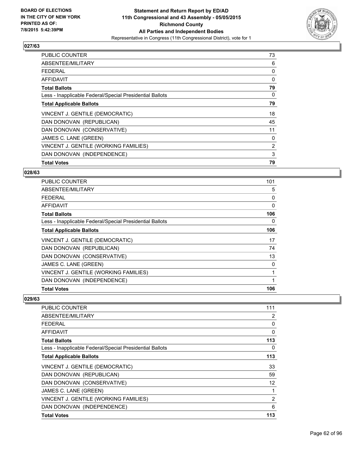

| <b>PUBLIC COUNTER</b>                                    | 73 |
|----------------------------------------------------------|----|
| ABSENTEE/MILITARY                                        | 6  |
| <b>FEDERAL</b>                                           | 0  |
| AFFIDAVIT                                                | 0  |
| <b>Total Ballots</b>                                     | 79 |
| Less - Inapplicable Federal/Special Presidential Ballots | 0  |
| <b>Total Applicable Ballots</b>                          | 79 |
| VINCENT J. GENTILE (DEMOCRATIC)                          | 18 |
| DAN DONOVAN (REPUBLICAN)                                 | 45 |
| DAN DONOVAN (CONSERVATIVE)                               | 11 |
| JAMES C. LANE (GREEN)                                    | 0  |
| VINCENT J. GENTILE (WORKING FAMILIES)                    | 2  |
| DAN DONOVAN (INDEPENDENCE)                               | 3  |
| <b>Total Votes</b>                                       | 79 |

#### **028/63**

| <b>PUBLIC COUNTER</b>                                    | 101      |
|----------------------------------------------------------|----------|
| ABSENTEE/MILITARY                                        | 5        |
| <b>FEDERAL</b>                                           | 0        |
| AFFIDAVIT                                                | $\Omega$ |
| <b>Total Ballots</b>                                     | 106      |
| Less - Inapplicable Federal/Special Presidential Ballots | 0        |
| <b>Total Applicable Ballots</b>                          | 106      |
| VINCENT J. GENTILE (DEMOCRATIC)                          | 17       |
| DAN DONOVAN (REPUBLICAN)                                 | 74       |
| DAN DONOVAN (CONSERVATIVE)                               | 13       |
| JAMES C. LANE (GREEN)                                    | 0        |
| VINCENT J. GENTILE (WORKING FAMILIES)                    | 1        |
| DAN DONOVAN (INDEPENDENCE)                               |          |
| <b>Total Votes</b>                                       | 106      |

| <b>PUBLIC COUNTER</b>                                    | 111 |
|----------------------------------------------------------|-----|
| ABSENTEE/MILITARY                                        | 2   |
| <b>FEDERAL</b>                                           | 0   |
| AFFIDAVIT                                                | 0   |
| <b>Total Ballots</b>                                     | 113 |
| Less - Inapplicable Federal/Special Presidential Ballots | 0   |
| <b>Total Applicable Ballots</b>                          | 113 |
| VINCENT J. GENTILE (DEMOCRATIC)                          | 33  |
| DAN DONOVAN (REPUBLICAN)                                 | 59  |
| DAN DONOVAN (CONSERVATIVE)                               | 12  |
| JAMES C. LANE (GREEN)                                    | 1   |
| VINCENT J. GENTILE (WORKING FAMILIES)                    | 2   |
| DAN DONOVAN (INDEPENDENCE)                               | 6   |
| <b>Total Votes</b>                                       | 113 |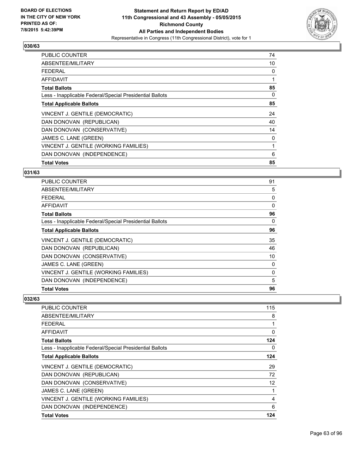

| <b>PUBLIC COUNTER</b>                                    | 74 |
|----------------------------------------------------------|----|
| ABSENTEE/MILITARY                                        | 10 |
| <b>FEDERAL</b>                                           | 0  |
| AFFIDAVIT                                                | 1  |
| <b>Total Ballots</b>                                     | 85 |
| Less - Inapplicable Federal/Special Presidential Ballots | 0  |
| <b>Total Applicable Ballots</b>                          | 85 |
| VINCENT J. GENTILE (DEMOCRATIC)                          | 24 |
| DAN DONOVAN (REPUBLICAN)                                 | 40 |
| DAN DONOVAN (CONSERVATIVE)                               | 14 |
| JAMES C. LANE (GREEN)                                    | 0  |
| VINCENT J. GENTILE (WORKING FAMILIES)                    | 1  |
| DAN DONOVAN (INDEPENDENCE)                               | 6  |
| <b>Total Votes</b>                                       | 85 |

## **031/63**

| <b>PUBLIC COUNTER</b>                                    | 91       |
|----------------------------------------------------------|----------|
| ABSENTEE/MILITARY                                        | 5        |
| <b>FEDERAL</b>                                           | 0        |
| <b>AFFIDAVIT</b>                                         | $\Omega$ |
| <b>Total Ballots</b>                                     | 96       |
| Less - Inapplicable Federal/Special Presidential Ballots | 0        |
| <b>Total Applicable Ballots</b>                          | 96       |
| VINCENT J. GENTILE (DEMOCRATIC)                          | 35       |
| DAN DONOVAN (REPUBLICAN)                                 | 46       |
| DAN DONOVAN (CONSERVATIVE)                               | 10       |
| JAMES C. LANE (GREEN)                                    | 0        |
| VINCENT J. GENTILE (WORKING FAMILIES)                    | 0        |
| DAN DONOVAN (INDEPENDENCE)                               | 5        |
| <b>Total Votes</b>                                       | 96       |

| <b>PUBLIC COUNTER</b>                                    | 115               |
|----------------------------------------------------------|-------------------|
| ABSENTEE/MILITARY                                        | 8                 |
| <b>FEDERAL</b>                                           | 1                 |
| AFFIDAVIT                                                | 0                 |
| <b>Total Ballots</b>                                     | 124               |
| Less - Inapplicable Federal/Special Presidential Ballots | 0                 |
| <b>Total Applicable Ballots</b>                          | 124               |
| VINCENT J. GENTILE (DEMOCRATIC)                          | 29                |
| DAN DONOVAN (REPUBLICAN)                                 | 72                |
| DAN DONOVAN (CONSERVATIVE)                               | $12 \overline{ }$ |
| JAMES C. LANE (GREEN)                                    | 1                 |
| VINCENT J. GENTILE (WORKING FAMILIES)                    | 4                 |
| DAN DONOVAN (INDEPENDENCE)                               | 6                 |
| <b>Total Votes</b>                                       | 124               |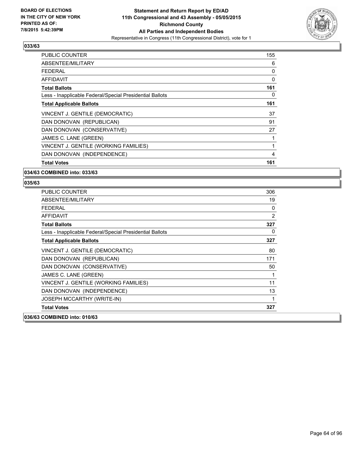

| <b>PUBLIC COUNTER</b>                                    | 155 |
|----------------------------------------------------------|-----|
| ABSENTEE/MILITARY                                        | 6   |
| <b>FEDERAL</b>                                           | 0   |
| AFFIDAVIT                                                | 0   |
| <b>Total Ballots</b>                                     | 161 |
| Less - Inapplicable Federal/Special Presidential Ballots | 0   |
| <b>Total Applicable Ballots</b>                          | 161 |
| VINCENT J. GENTILE (DEMOCRATIC)                          | 37  |
| DAN DONOVAN (REPUBLICAN)                                 | 91  |
| DAN DONOVAN (CONSERVATIVE)                               | 27  |
| JAMES C. LANE (GREEN)                                    | 1   |
| VINCENT J. GENTILE (WORKING FAMILIES)                    | 1   |
| DAN DONOVAN (INDEPENDENCE)                               | 4   |
| <b>Total Votes</b>                                       | 161 |

### **034/63 COMBINED into: 033/63**

| <b>PUBLIC COUNTER</b>                                    | 306            |
|----------------------------------------------------------|----------------|
| ABSENTEE/MILITARY                                        | 19             |
| FEDERAL                                                  | 0              |
| AFFIDAVIT                                                | $\overline{2}$ |
| <b>Total Ballots</b>                                     | 327            |
| Less - Inapplicable Federal/Special Presidential Ballots | 0              |
| <b>Total Applicable Ballots</b>                          | 327            |
| VINCENT J. GENTILE (DEMOCRATIC)                          | 80             |
| DAN DONOVAN (REPUBLICAN)                                 | 171            |
| DAN DONOVAN (CONSERVATIVE)                               | 50             |
| JAMES C. LANE (GREEN)                                    | 1              |
| VINCENT J. GENTILE (WORKING FAMILIES)                    | 11             |
| DAN DONOVAN (INDEPENDENCE)                               | 13             |
| JOSEPH MCCARTHY (WRITE-IN)                               | 1              |
| <b>Total Votes</b>                                       | 327            |
| 036/63 COMBINED into: 010/63                             |                |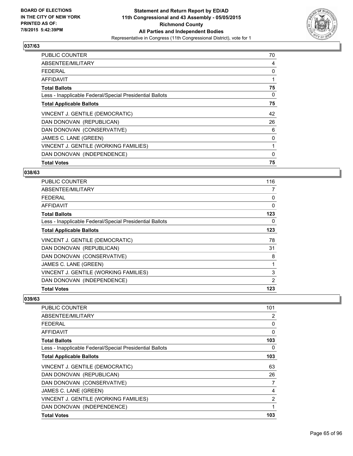

| <b>PUBLIC COUNTER</b>                                    | 70 |
|----------------------------------------------------------|----|
| ABSENTEE/MILITARY                                        | 4  |
| <b>FEDERAL</b>                                           | 0  |
| AFFIDAVIT                                                | 1  |
| <b>Total Ballots</b>                                     | 75 |
| Less - Inapplicable Federal/Special Presidential Ballots | 0  |
| <b>Total Applicable Ballots</b>                          | 75 |
| VINCENT J. GENTILE (DEMOCRATIC)                          | 42 |
| DAN DONOVAN (REPUBLICAN)                                 | 26 |
| DAN DONOVAN (CONSERVATIVE)                               | 6  |
| JAMES C. LANE (GREEN)                                    | 0  |
| VINCENT J. GENTILE (WORKING FAMILIES)                    | 1  |
| DAN DONOVAN (INDEPENDENCE)                               | 0  |
| <b>Total Votes</b>                                       | 75 |

#### **038/63**

| PUBLIC COUNTER                                           | 116            |
|----------------------------------------------------------|----------------|
| ABSENTEE/MILITARY                                        | $\overline{7}$ |
| <b>FEDERAL</b>                                           | 0              |
| <b>AFFIDAVIT</b>                                         | $\Omega$       |
| <b>Total Ballots</b>                                     | 123            |
| Less - Inapplicable Federal/Special Presidential Ballots | 0              |
| <b>Total Applicable Ballots</b>                          | 123            |
| VINCENT J. GENTILE (DEMOCRATIC)                          | 78             |
| DAN DONOVAN (REPUBLICAN)                                 | 31             |
| DAN DONOVAN (CONSERVATIVE)                               | 8              |
| JAMES C. LANE (GREEN)                                    |                |
| VINCENT J. GENTILE (WORKING FAMILIES)                    | 3              |
| DAN DONOVAN (INDEPENDENCE)                               | 2              |
| <b>Total Votes</b>                                       | 123            |

| PUBLIC COUNTER                                           | 101 |
|----------------------------------------------------------|-----|
| ABSENTEE/MILITARY                                        | 2   |
| <b>FEDERAL</b>                                           | 0   |
| AFFIDAVIT                                                | 0   |
| <b>Total Ballots</b>                                     | 103 |
| Less - Inapplicable Federal/Special Presidential Ballots | 0   |
| <b>Total Applicable Ballots</b>                          | 103 |
| VINCENT J. GENTILE (DEMOCRATIC)                          | 63  |
| DAN DONOVAN (REPUBLICAN)                                 | 26  |
| DAN DONOVAN (CONSERVATIVE)                               | 7   |
| JAMES C. LANE (GREEN)                                    | 4   |
| VINCENT J. GENTILE (WORKING FAMILIES)                    | 2   |
| DAN DONOVAN (INDEPENDENCE)                               | 1   |
| <b>Total Votes</b>                                       | 103 |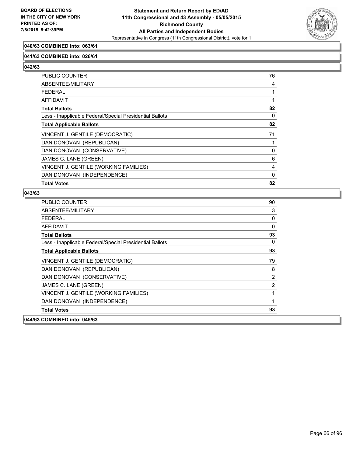

## **040/63 COMBINED into: 063/61**

#### **041/63 COMBINED into: 026/61**

**042/63** 

| <b>PUBLIC COUNTER</b>                                    | 76 |
|----------------------------------------------------------|----|
| ABSENTEE/MILITARY                                        | 4  |
| <b>FEDERAL</b>                                           |    |
| AFFIDAVIT                                                |    |
| <b>Total Ballots</b>                                     | 82 |
| Less - Inapplicable Federal/Special Presidential Ballots | 0  |
| <b>Total Applicable Ballots</b>                          | 82 |
| VINCENT J. GENTILE (DEMOCRATIC)                          | 71 |
| DAN DONOVAN (REPUBLICAN)                                 |    |
| DAN DONOVAN (CONSERVATIVE)                               | 0  |
| JAMES C. LANE (GREEN)                                    | 6  |
| VINCENT J. GENTILE (WORKING FAMILIES)                    | 4  |
| DAN DONOVAN (INDEPENDENCE)                               | 0  |
| <b>Total Votes</b>                                       | 82 |

| 044/63 COMBINED into: 045/63                             |                |
|----------------------------------------------------------|----------------|
| <b>Total Votes</b>                                       | 93             |
| DAN DONOVAN (INDEPENDENCE)                               | 1              |
| VINCENT J. GENTILE (WORKING FAMILIES)                    |                |
| JAMES C. LANE (GREEN)                                    | $\overline{2}$ |
| DAN DONOVAN (CONSERVATIVE)                               | 2              |
| DAN DONOVAN (REPUBLICAN)                                 | 8              |
| VINCENT J. GENTILE (DEMOCRATIC)                          | 79             |
| <b>Total Applicable Ballots</b>                          | 93             |
| Less - Inapplicable Federal/Special Presidential Ballots | 0              |
| <b>Total Ballots</b>                                     | 93             |
| <b>AFFIDAVIT</b>                                         | $\mathbf{0}$   |
| FEDERAL                                                  | 0              |
| ABSENTEE/MILITARY                                        | 3              |
| <b>PUBLIC COUNTER</b>                                    | 90             |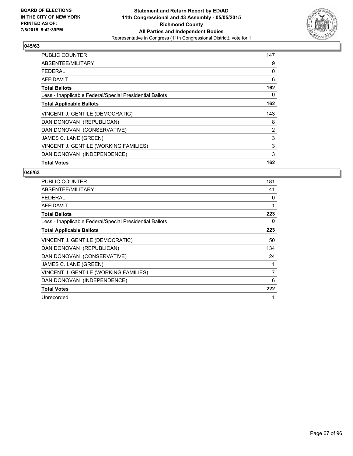

| <b>PUBLIC COUNTER</b>                                    | 147 |
|----------------------------------------------------------|-----|
| ABSENTEE/MILITARY                                        | 9   |
| <b>FEDERAL</b>                                           | 0   |
| AFFIDAVIT                                                | 6   |
| <b>Total Ballots</b>                                     | 162 |
| Less - Inapplicable Federal/Special Presidential Ballots | 0   |
| <b>Total Applicable Ballots</b>                          | 162 |
| VINCENT J. GENTILE (DEMOCRATIC)                          | 143 |
| DAN DONOVAN (REPUBLICAN)                                 | 8   |
| DAN DONOVAN (CONSERVATIVE)                               | 2   |
| JAMES C. LANE (GREEN)                                    | 3   |
| VINCENT J. GENTILE (WORKING FAMILIES)                    | 3   |
| DAN DONOVAN (INDEPENDENCE)                               | 3   |
| <b>Total Votes</b>                                       | 162 |

| <b>PUBLIC COUNTER</b>                                    | 181 |
|----------------------------------------------------------|-----|
| ABSENTEE/MILITARY                                        | 41  |
| <b>FEDERAL</b>                                           | 0   |
| AFFIDAVIT                                                | 1   |
| <b>Total Ballots</b>                                     | 223 |
| Less - Inapplicable Federal/Special Presidential Ballots | 0   |
| <b>Total Applicable Ballots</b>                          | 223 |
| VINCENT J. GENTILE (DEMOCRATIC)                          | 50  |
| DAN DONOVAN (REPUBLICAN)                                 | 134 |
| DAN DONOVAN (CONSERVATIVE)                               | 24  |
| JAMES C. LANE (GREEN)                                    |     |
| VINCENT J. GENTILE (WORKING FAMILIES)                    | 7   |
| DAN DONOVAN (INDEPENDENCE)                               | 6   |
| <b>Total Votes</b>                                       | 222 |
| Unrecorded                                               | 1   |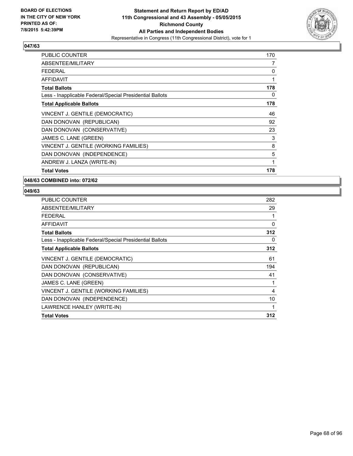

| <b>PUBLIC COUNTER</b>                                    | 170 |
|----------------------------------------------------------|-----|
| ABSENTEE/MILITARY                                        | 7   |
| FFDFRAI                                                  | 0   |
| <b>AFFIDAVIT</b>                                         | 1   |
| <b>Total Ballots</b>                                     | 178 |
| Less - Inapplicable Federal/Special Presidential Ballots | 0   |
| <b>Total Applicable Ballots</b>                          | 178 |
| VINCENT J. GENTILE (DEMOCRATIC)                          | 46  |
| DAN DONOVAN (REPUBLICAN)                                 | 92  |
| DAN DONOVAN (CONSERVATIVE)                               | 23  |
| JAMES C. LANE (GREEN)                                    | 3   |
| VINCENT J. GENTILE (WORKING FAMILIES)                    | 8   |
| DAN DONOVAN (INDEPENDENCE)                               | 5   |
| ANDREW J. LANZA (WRITE-IN)                               | 1   |
| <b>Total Votes</b>                                       | 178 |

**048/63 COMBINED into: 072/62**

| <b>PUBLIC COUNTER</b>                                    | 282 |
|----------------------------------------------------------|-----|
| ABSENTEE/MILITARY                                        | 29  |
| <b>FEDERAL</b>                                           |     |
| AFFIDAVIT                                                | 0   |
| <b>Total Ballots</b>                                     | 312 |
| Less - Inapplicable Federal/Special Presidential Ballots | 0   |
| <b>Total Applicable Ballots</b>                          | 312 |
| VINCENT J. GENTILE (DEMOCRATIC)                          | 61  |
| DAN DONOVAN (REPUBLICAN)                                 | 194 |
| DAN DONOVAN (CONSERVATIVE)                               | 41  |
| JAMES C. LANE (GREEN)                                    | 1   |
| VINCENT J. GENTILE (WORKING FAMILIES)                    | 4   |
| DAN DONOVAN (INDEPENDENCE)                               | 10  |
| LAWRENCE HANLEY (WRITE-IN)                               |     |
| <b>Total Votes</b>                                       | 312 |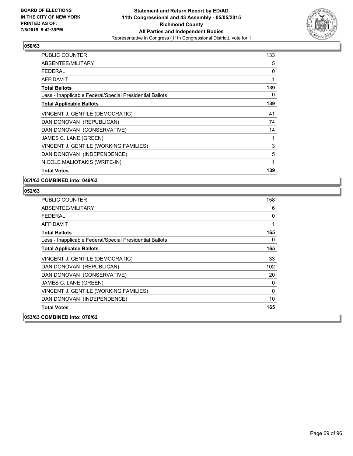

| <b>PUBLIC COUNTER</b>                                    | 133 |
|----------------------------------------------------------|-----|
| ABSENTEE/MILITARY                                        | 5   |
| <b>FEDERAL</b>                                           | 0   |
| AFFIDAVIT                                                | 1   |
| <b>Total Ballots</b>                                     | 139 |
| Less - Inapplicable Federal/Special Presidential Ballots | 0   |
| <b>Total Applicable Ballots</b>                          | 139 |
| VINCENT J. GENTILE (DEMOCRATIC)                          | 41  |
| DAN DONOVAN (REPUBLICAN)                                 | 74  |
| DAN DONOVAN (CONSERVATIVE)                               | 14  |
| JAMES C. LANE (GREEN)                                    | 1   |
| VINCENT J. GENTILE (WORKING FAMILIES)                    | 3   |
| DAN DONOVAN (INDEPENDENCE)                               | 5   |
| NICOLE MALIOTAKIS (WRITE-IN)                             | 1   |
| <b>Total Votes</b>                                       | 139 |

**051/63 COMBINED into: 049/63**

| <b>PUBLIC COUNTER</b>                                    | 158 |
|----------------------------------------------------------|-----|
| ABSENTEE/MILITARY                                        | 6   |
| FEDERAL                                                  | 0   |
| AFFIDAVIT                                                | 1   |
| <b>Total Ballots</b>                                     | 165 |
| Less - Inapplicable Federal/Special Presidential Ballots | 0   |
| <b>Total Applicable Ballots</b>                          | 165 |
| VINCENT J. GENTILE (DEMOCRATIC)                          | 33  |
| DAN DONOVAN (REPUBLICAN)                                 | 102 |
| DAN DONOVAN (CONSERVATIVE)                               | 20  |
| JAMES C. LANE (GREEN)                                    | 0   |
| VINCENT J. GENTILE (WORKING FAMILIES)                    | 0   |
| DAN DONOVAN (INDEPENDENCE)                               | 10  |
| <b>Total Votes</b>                                       | 165 |
| 053/63 COMBINED into: 070/62                             |     |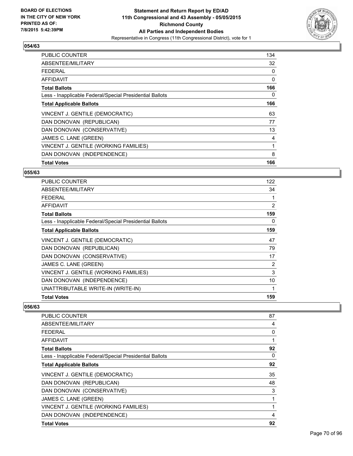

| <b>PUBLIC COUNTER</b>                                    | 134 |
|----------------------------------------------------------|-----|
| ABSENTEE/MILITARY                                        | 32  |
| <b>FEDERAL</b>                                           | 0   |
| AFFIDAVIT                                                | 0   |
| <b>Total Ballots</b>                                     | 166 |
| Less - Inapplicable Federal/Special Presidential Ballots | 0   |
| <b>Total Applicable Ballots</b>                          | 166 |
| VINCENT J. GENTILE (DEMOCRATIC)                          | 63  |
| DAN DONOVAN (REPUBLICAN)                                 | 77  |
| DAN DONOVAN (CONSERVATIVE)                               | 13  |
| JAMES C. LANE (GREEN)                                    | 4   |
| VINCENT J. GENTILE (WORKING FAMILIES)                    | 1   |
| DAN DONOVAN (INDEPENDENCE)                               | 8   |
| <b>Total Votes</b>                                       | 166 |

#### **055/63**

| <b>PUBLIC COUNTER</b>                                    | 122 |
|----------------------------------------------------------|-----|
| ABSENTEE/MILITARY                                        | 34  |
| <b>FEDERAL</b>                                           |     |
| AFFIDAVIT                                                | 2   |
| <b>Total Ballots</b>                                     | 159 |
| Less - Inapplicable Federal/Special Presidential Ballots | 0   |
| <b>Total Applicable Ballots</b>                          | 159 |
| VINCENT J. GENTILE (DEMOCRATIC)                          | 47  |
| DAN DONOVAN (REPUBLICAN)                                 | 79  |
| DAN DONOVAN (CONSERVATIVE)                               | 17  |
| JAMES C. LANE (GREEN)                                    | 2   |
| VINCENT J. GENTILE (WORKING FAMILIES)                    | 3   |
| DAN DONOVAN (INDEPENDENCE)                               | 10  |
| UNATTRIBUTABLE WRITE-IN (WRITE-IN)                       | 1   |
| <b>Total Votes</b>                                       | 159 |

| <b>PUBLIC COUNTER</b>                                    | 87 |
|----------------------------------------------------------|----|
| ABSENTEE/MILITARY                                        | 4  |
| FEDERAL                                                  | 0  |
| AFFIDAVIT                                                | 1  |
| <b>Total Ballots</b>                                     | 92 |
| Less - Inapplicable Federal/Special Presidential Ballots | 0  |
| <b>Total Applicable Ballots</b>                          | 92 |
| VINCENT J. GENTILE (DEMOCRATIC)                          | 35 |
| DAN DONOVAN (REPUBLICAN)                                 | 48 |
| DAN DONOVAN (CONSERVATIVE)                               | 3  |
| JAMES C. LANE (GREEN)                                    |    |
| VINCENT J. GENTILE (WORKING FAMILIES)                    |    |
| DAN DONOVAN (INDEPENDENCE)                               | 4  |
| <b>Total Votes</b>                                       | 92 |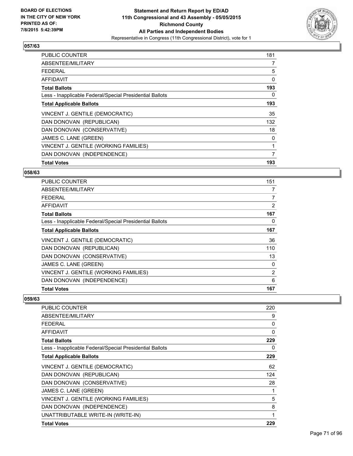

| <b>PUBLIC COUNTER</b>                                    | 181 |
|----------------------------------------------------------|-----|
| ABSENTEE/MILITARY                                        | 7   |
| <b>FEDERAL</b>                                           | 5   |
| AFFIDAVIT                                                | 0   |
| <b>Total Ballots</b>                                     | 193 |
| Less - Inapplicable Federal/Special Presidential Ballots | 0   |
| <b>Total Applicable Ballots</b>                          | 193 |
| VINCENT J. GENTILE (DEMOCRATIC)                          | 35  |
| DAN DONOVAN (REPUBLICAN)                                 | 132 |
| DAN DONOVAN (CONSERVATIVE)                               | 18  |
| JAMES C. LANE (GREEN)                                    | 0   |
| VINCENT J. GENTILE (WORKING FAMILIES)                    | 1   |
| DAN DONOVAN (INDEPENDENCE)                               | 7   |
| <b>Total Votes</b>                                       | 193 |

#### **058/63**

| <b>PUBLIC COUNTER</b>                                    | 151            |
|----------------------------------------------------------|----------------|
| ABSENTEE/MILITARY                                        | 7              |
| <b>FEDERAL</b>                                           | $\overline{7}$ |
| AFFIDAVIT                                                | 2              |
| <b>Total Ballots</b>                                     | 167            |
| Less - Inapplicable Federal/Special Presidential Ballots | 0              |
| <b>Total Applicable Ballots</b>                          | 167            |
| VINCENT J. GENTILE (DEMOCRATIC)                          | 36             |
| DAN DONOVAN (REPUBLICAN)                                 | 110            |
| DAN DONOVAN (CONSERVATIVE)                               | 13             |
| JAMES C. LANE (GREEN)                                    | 0              |
| VINCENT J. GENTILE (WORKING FAMILIES)                    | 2              |
| DAN DONOVAN (INDEPENDENCE)                               | 6              |
| <b>Total Votes</b>                                       | 167            |

| PUBLIC COUNTER                                           | 220 |
|----------------------------------------------------------|-----|
| ABSENTEE/MILITARY                                        | 9   |
| <b>FEDERAL</b>                                           | 0   |
| AFFIDAVIT                                                | 0   |
| <b>Total Ballots</b>                                     | 229 |
| Less - Inapplicable Federal/Special Presidential Ballots | 0   |
| <b>Total Applicable Ballots</b>                          | 229 |
| VINCENT J. GENTILE (DEMOCRATIC)                          | 62  |
| DAN DONOVAN (REPUBLICAN)                                 | 124 |
| DAN DONOVAN (CONSERVATIVE)                               | 28  |
| JAMES C. LANE (GREEN)                                    | 1   |
| VINCENT J. GENTILE (WORKING FAMILIES)                    | 5   |
| DAN DONOVAN (INDEPENDENCE)                               | 8   |
| UNATTRIBUTABLE WRITE-IN (WRITE-IN)                       | 1   |
| <b>Total Votes</b>                                       | 229 |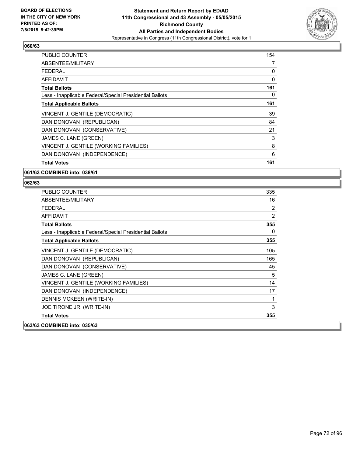

| <b>PUBLIC COUNTER</b>                                    | 154 |
|----------------------------------------------------------|-----|
| ABSENTEE/MILITARY                                        | 7   |
| <b>FEDERAL</b>                                           | 0   |
| AFFIDAVIT                                                | 0   |
| <b>Total Ballots</b>                                     | 161 |
| Less - Inapplicable Federal/Special Presidential Ballots | 0   |
| <b>Total Applicable Ballots</b>                          | 161 |
| VINCENT J. GENTILE (DEMOCRATIC)                          | 39  |
| DAN DONOVAN (REPUBLICAN)                                 | 84  |
| DAN DONOVAN (CONSERVATIVE)                               | 21  |
| JAMES C. LANE (GREEN)                                    | 3   |
| VINCENT J. GENTILE (WORKING FAMILIES)                    | 8   |
| DAN DONOVAN (INDEPENDENCE)                               | 6   |
| <b>Total Votes</b>                                       | 161 |

### **061/63 COMBINED into: 038/61**

| <b>PUBLIC COUNTER</b>                                    | 335 |
|----------------------------------------------------------|-----|
| ABSENTEE/MILITARY                                        | 16  |
| <b>FEDERAL</b>                                           | 2   |
| <b>AFFIDAVIT</b>                                         | 2   |
| <b>Total Ballots</b>                                     | 355 |
| Less - Inapplicable Federal/Special Presidential Ballots | 0   |
| <b>Total Applicable Ballots</b>                          | 355 |
| VINCENT J. GENTILE (DEMOCRATIC)                          | 105 |
| DAN DONOVAN (REPUBLICAN)                                 | 165 |
| DAN DONOVAN (CONSERVATIVE)                               | 45  |
| JAMES C. LANE (GREEN)                                    | 5   |
| VINCENT J. GENTILE (WORKING FAMILIES)                    | 14  |
| DAN DONOVAN (INDEPENDENCE)                               | 17  |
| DENNIS MCKEEN (WRITE-IN)                                 | 1   |
| JOE TIRONE JR. (WRITE-IN)                                | 3   |
| <b>Total Votes</b>                                       | 355 |
| 063/63 COMBINED into: 035/63                             |     |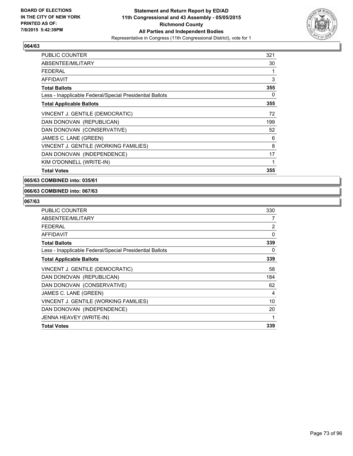

| <b>PUBLIC COUNTER</b>                                    | 321 |
|----------------------------------------------------------|-----|
| ABSENTEE/MILITARY                                        | 30  |
| <b>FEDERAL</b>                                           | 1   |
| <b>AFFIDAVIT</b>                                         | 3   |
| <b>Total Ballots</b>                                     | 355 |
| Less - Inapplicable Federal/Special Presidential Ballots | 0   |
| <b>Total Applicable Ballots</b>                          | 355 |
| VINCENT J. GENTILE (DEMOCRATIC)                          | 72  |
| DAN DONOVAN (REPUBLICAN)                                 | 199 |
| DAN DONOVAN (CONSERVATIVE)                               | 52  |
| JAMES C. LANE (GREEN)                                    | 6   |
| VINCENT J. GENTILE (WORKING FAMILIES)                    | 8   |
| DAN DONOVAN (INDEPENDENCE)                               | 17  |
| KIM O'DONNELL (WRITE-IN)                                 | 1   |
| <b>Total Votes</b>                                       | 355 |

**065/63 COMBINED into: 035/61**

#### **066/63 COMBINED into: 067/63**

| <b>PUBLIC COUNTER</b>                                    | 330            |
|----------------------------------------------------------|----------------|
| ABSENTEE/MILITARY                                        | 7              |
| <b>FEDERAL</b>                                           | $\overline{2}$ |
| AFFIDAVIT                                                | 0              |
| <b>Total Ballots</b>                                     | 339            |
| Less - Inapplicable Federal/Special Presidential Ballots | 0              |
| <b>Total Applicable Ballots</b>                          | 339            |
| VINCENT J. GENTILE (DEMOCRATIC)                          | 58             |
| DAN DONOVAN (REPUBLICAN)                                 | 184            |
| DAN DONOVAN (CONSERVATIVE)                               | 62             |
| JAMES C. LANE (GREEN)                                    | 4              |
| VINCENT J. GENTILE (WORKING FAMILIES)                    | 10             |
| DAN DONOVAN (INDEPENDENCE)                               | 20             |
| JENNA HEAVEY (WRITE-IN)                                  |                |
| <b>Total Votes</b>                                       | 339            |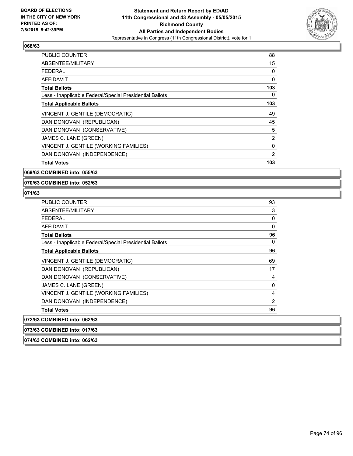

| <b>PUBLIC COUNTER</b>                                    | 88             |
|----------------------------------------------------------|----------------|
| ABSENTEE/MILITARY                                        | 15             |
| <b>FEDERAL</b>                                           | 0              |
| AFFIDAVIT                                                | 0              |
| <b>Total Ballots</b>                                     | 103            |
| Less - Inapplicable Federal/Special Presidential Ballots | 0              |
| <b>Total Applicable Ballots</b>                          | 103            |
| VINCENT J. GENTILE (DEMOCRATIC)                          | 49             |
| DAN DONOVAN (REPUBLICAN)                                 | 45             |
| DAN DONOVAN (CONSERVATIVE)                               | 5              |
| JAMES C. LANE (GREEN)                                    | $\overline{2}$ |
| VINCENT J. GENTILE (WORKING FAMILIES)                    | $\mathbf 0$    |
| DAN DONOVAN (INDEPENDENCE)                               | $\overline{2}$ |
| <b>Total Votes</b>                                       | 103            |

# **069/63 COMBINED into: 055/63**

**070/63 COMBINED into: 052/63**

# **071/63**

| <b>PUBLIC COUNTER</b>                                    | 93             |
|----------------------------------------------------------|----------------|
| ABSENTEE/MILITARY                                        | 3              |
| <b>FEDERAL</b>                                           | 0              |
| <b>AFFIDAVIT</b>                                         | 0              |
| <b>Total Ballots</b>                                     | 96             |
| Less - Inapplicable Federal/Special Presidential Ballots | 0              |
| <b>Total Applicable Ballots</b>                          | 96             |
| VINCENT J. GENTILE (DEMOCRATIC)                          | 69             |
| DAN DONOVAN (REPUBLICAN)                                 | 17             |
| DAN DONOVAN (CONSERVATIVE)                               | 4              |
| JAMES C. LANE (GREEN)                                    | 0              |
| VINCENT J. GENTILE (WORKING FAMILIES)                    | 4              |
| DAN DONOVAN (INDEPENDENCE)                               | $\overline{2}$ |
| <b>Total Votes</b>                                       | 96             |
| 072/63 COMBINED into: 062/63                             |                |
| 073/63 COMBINED into: 017/63                             |                |

**074/63 COMBINED into: 062/63**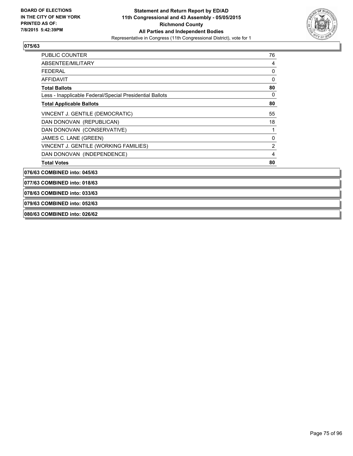

| <b>PUBLIC COUNTER</b>                                    | 76             |
|----------------------------------------------------------|----------------|
| ABSENTEE/MILITARY                                        | 4              |
| FEDERAL                                                  | 0              |
| AFFIDAVIT                                                | 0              |
| <b>Total Ballots</b>                                     | 80             |
| Less - Inapplicable Federal/Special Presidential Ballots | 0              |
| <b>Total Applicable Ballots</b>                          | 80             |
| VINCENT J. GENTILE (DEMOCRATIC)                          | 55             |
| DAN DONOVAN (REPUBLICAN)                                 | 18             |
| DAN DONOVAN (CONSERVATIVE)                               | 1              |
| JAMES C. LANE (GREEN)                                    | 0              |
| VINCENT J. GENTILE (WORKING FAMILIES)                    | $\overline{2}$ |
| DAN DONOVAN (INDEPENDENCE)                               | 4              |
| <b>Total Votes</b>                                       | 80             |

**076/63 COMBINED into: 045/63**

**077/63 COMBINED into: 018/63**

**078/63 COMBINED into: 033/63**

**079/63 COMBINED into: 052/63**

**080/63 COMBINED into: 026/62**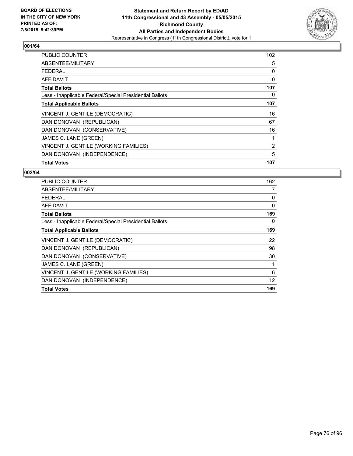

| <b>PUBLIC COUNTER</b>                                    | 102 |
|----------------------------------------------------------|-----|
| ABSENTEE/MILITARY                                        | 5   |
| <b>FEDERAL</b>                                           | 0   |
| AFFIDAVIT                                                | 0   |
| <b>Total Ballots</b>                                     | 107 |
| Less - Inapplicable Federal/Special Presidential Ballots | 0   |
| <b>Total Applicable Ballots</b>                          | 107 |
| VINCENT J. GENTILE (DEMOCRATIC)                          | 16  |
| DAN DONOVAN (REPUBLICAN)                                 | 67  |
| DAN DONOVAN (CONSERVATIVE)                               | 16  |
| JAMES C. LANE (GREEN)                                    |     |
| VINCENT J. GENTILE (WORKING FAMILIES)                    | 2   |
| DAN DONOVAN (INDEPENDENCE)                               | 5   |
| <b>Total Votes</b>                                       | 107 |

| <b>PUBLIC COUNTER</b>                                    | 162 |
|----------------------------------------------------------|-----|
| ABSENTEE/MILITARY                                        | 7   |
| <b>FEDERAL</b>                                           | 0   |
| AFFIDAVIT                                                | 0   |
| <b>Total Ballots</b>                                     | 169 |
| Less - Inapplicable Federal/Special Presidential Ballots | 0   |
| <b>Total Applicable Ballots</b>                          | 169 |
| VINCENT J. GENTILE (DEMOCRATIC)                          | 22  |
| DAN DONOVAN (REPUBLICAN)                                 | 98  |
| DAN DONOVAN (CONSERVATIVE)                               | 30  |
| JAMES C. LANE (GREEN)                                    | 1   |
| VINCENT J. GENTILE (WORKING FAMILIES)                    | 6   |
| DAN DONOVAN (INDEPENDENCE)                               | 12  |
| <b>Total Votes</b>                                       | 169 |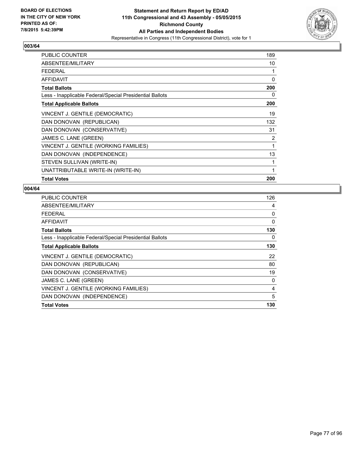

| <b>PUBLIC COUNTER</b>                                    | 189 |
|----------------------------------------------------------|-----|
| ABSENTEE/MILITARY                                        | 10  |
| <b>FEDERAL</b>                                           | 1   |
| AFFIDAVIT                                                | 0   |
| <b>Total Ballots</b>                                     | 200 |
| Less - Inapplicable Federal/Special Presidential Ballots | 0   |
| <b>Total Applicable Ballots</b>                          | 200 |
| VINCENT J. GENTILE (DEMOCRATIC)                          | 19  |
| DAN DONOVAN (REPUBLICAN)                                 | 132 |
| DAN DONOVAN (CONSERVATIVE)                               | 31  |
| JAMES C. LANE (GREEN)                                    | 2   |
| VINCENT J. GENTILE (WORKING FAMILIES)                    | 1   |
| DAN DONOVAN (INDEPENDENCE)                               | 13  |
| STEVEN SULLIVAN (WRITE-IN)                               | 1   |
| UNATTRIBUTABLE WRITE-IN (WRITE-IN)                       | 1   |
| <b>Total Votes</b>                                       | 200 |

| <b>PUBLIC COUNTER</b>                                    | 126 |
|----------------------------------------------------------|-----|
| ABSENTEE/MILITARY                                        | 4   |
| FEDERAL                                                  | 0   |
| AFFIDAVIT                                                | 0   |
| <b>Total Ballots</b>                                     | 130 |
| Less - Inapplicable Federal/Special Presidential Ballots | 0   |
| <b>Total Applicable Ballots</b>                          | 130 |
| VINCENT J. GENTILE (DEMOCRATIC)                          | 22  |
| DAN DONOVAN (REPUBLICAN)                                 | 80  |
| DAN DONOVAN (CONSERVATIVE)                               | 19  |
| JAMES C. LANE (GREEN)                                    | 0   |
| VINCENT J. GENTILE (WORKING FAMILIES)                    | 4   |
| DAN DONOVAN (INDEPENDENCE)                               | 5   |
| <b>Total Votes</b>                                       | 130 |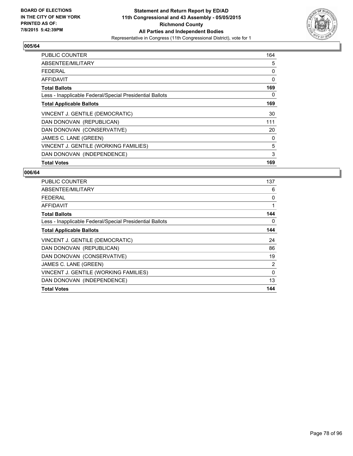

| PUBLIC COUNTER                                           | 164 |
|----------------------------------------------------------|-----|
| ABSENTEE/MILITARY                                        | 5   |
| FEDERAL                                                  | 0   |
| AFFIDAVIT                                                | 0   |
| <b>Total Ballots</b>                                     | 169 |
| Less - Inapplicable Federal/Special Presidential Ballots | 0   |
| <b>Total Applicable Ballots</b>                          | 169 |
| VINCENT J. GENTILE (DEMOCRATIC)                          | 30  |
| DAN DONOVAN (REPUBLICAN)                                 | 111 |
| DAN DONOVAN (CONSERVATIVE)                               | 20  |
| JAMES C. LANE (GREEN)                                    | 0   |
| VINCENT J. GENTILE (WORKING FAMILIES)                    | 5   |
| DAN DONOVAN (INDEPENDENCE)                               | 3   |
| <b>Total Votes</b>                                       | 169 |

| <b>PUBLIC COUNTER</b>                                    | 137 |
|----------------------------------------------------------|-----|
| ABSENTEE/MILITARY                                        | 6   |
| <b>FEDERAL</b>                                           | 0   |
| <b>AFFIDAVIT</b>                                         | 1   |
| <b>Total Ballots</b>                                     | 144 |
| Less - Inapplicable Federal/Special Presidential Ballots | 0   |
| <b>Total Applicable Ballots</b>                          | 144 |
| VINCENT J. GENTILE (DEMOCRATIC)                          | 24  |
| DAN DONOVAN (REPUBLICAN)                                 | 86  |
| DAN DONOVAN (CONSERVATIVE)                               | 19  |
| JAMES C. LANE (GREEN)                                    | 2   |
| VINCENT J. GENTILE (WORKING FAMILIES)                    | 0   |
| DAN DONOVAN (INDEPENDENCE)                               | 13  |
| <b>Total Votes</b>                                       | 144 |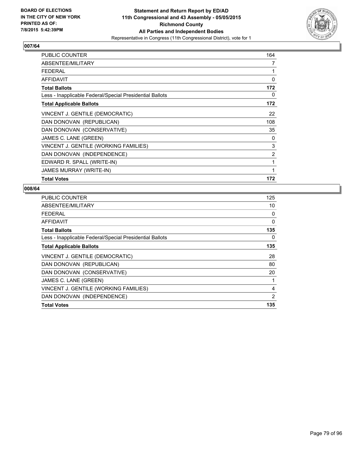

| PUBLIC COUNTER                                           | 164 |
|----------------------------------------------------------|-----|
| ABSENTEE/MILITARY                                        | 7   |
| <b>FEDERAL</b>                                           | 1   |
| <b>AFFIDAVIT</b>                                         | 0   |
| <b>Total Ballots</b>                                     | 172 |
| Less - Inapplicable Federal/Special Presidential Ballots | 0   |
| <b>Total Applicable Ballots</b>                          | 172 |
| VINCENT J. GENTILE (DEMOCRATIC)                          | 22  |
| DAN DONOVAN (REPUBLICAN)                                 | 108 |
| DAN DONOVAN (CONSERVATIVE)                               | 35  |
| JAMES C. LANE (GREEN)                                    | 0   |
| VINCENT J. GENTILE (WORKING FAMILIES)                    | 3   |
| DAN DONOVAN (INDEPENDENCE)                               | 2   |
| EDWARD R. SPALL (WRITE-IN)                               | 1   |
| <b>JAMES MURRAY (WRITE-IN)</b>                           | 1   |
| <b>Total Votes</b>                                       | 172 |

| <b>PUBLIC COUNTER</b>                                    | 125 |
|----------------------------------------------------------|-----|
| ABSENTEE/MILITARY                                        | 10  |
| <b>FEDERAL</b>                                           | 0   |
| AFFIDAVIT                                                | 0   |
| <b>Total Ballots</b>                                     | 135 |
| Less - Inapplicable Federal/Special Presidential Ballots | 0   |
| <b>Total Applicable Ballots</b>                          | 135 |
| VINCENT J. GENTILE (DEMOCRATIC)                          | 28  |
| DAN DONOVAN (REPUBLICAN)                                 | 80  |
| DAN DONOVAN (CONSERVATIVE)                               | 20  |
| JAMES C. LANE (GREEN)                                    | 1   |
| VINCENT J. GENTILE (WORKING FAMILIES)                    | 4   |
| DAN DONOVAN (INDEPENDENCE)                               | 2   |
| <b>Total Votes</b>                                       | 135 |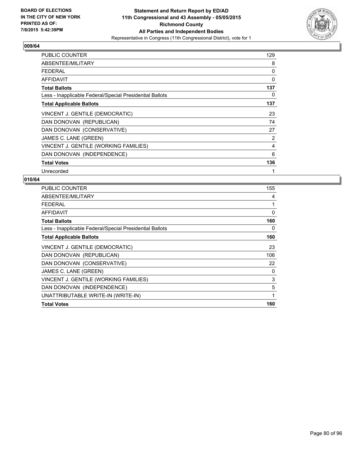

| <b>PUBLIC COUNTER</b>                                    | 129 |
|----------------------------------------------------------|-----|
| ABSENTEE/MILITARY                                        | 8   |
| FFDFRAI                                                  | 0   |
| <b>AFFIDAVIT</b>                                         | 0   |
| <b>Total Ballots</b>                                     | 137 |
| Less - Inapplicable Federal/Special Presidential Ballots | 0   |
| <b>Total Applicable Ballots</b>                          | 137 |
| VINCENT J. GENTILE (DEMOCRATIC)                          | 23  |
| DAN DONOVAN (REPUBLICAN)                                 | 74  |
| DAN DONOVAN (CONSERVATIVE)                               | 27  |
| JAMES C. LANE (GREEN)                                    | 2   |
| VINCENT J. GENTILE (WORKING FAMILIES)                    | 4   |
| DAN DONOVAN (INDEPENDENCE)                               | 6   |
| <b>Total Votes</b>                                       | 136 |
| Unrecorded                                               | 1   |

| <b>PUBLIC COUNTER</b>                                    | 155          |
|----------------------------------------------------------|--------------|
| ABSENTEE/MILITARY                                        | 4            |
| <b>FEDERAL</b>                                           | 1            |
| <b>AFFIDAVIT</b>                                         | 0            |
| <b>Total Ballots</b>                                     | 160          |
| Less - Inapplicable Federal/Special Presidential Ballots | 0            |
| <b>Total Applicable Ballots</b>                          | 160          |
| VINCENT J. GENTILE (DEMOCRATIC)                          | 23           |
| DAN DONOVAN (REPUBLICAN)                                 | 106          |
| DAN DONOVAN (CONSERVATIVE)                               | 22           |
| JAMES C. LANE (GREEN)                                    | 0            |
| VINCENT J. GENTILE (WORKING FAMILIES)                    | 3            |
| DAN DONOVAN (INDEPENDENCE)                               | 5            |
| UNATTRIBUTABLE WRITE-IN (WRITE-IN)                       | $\mathbf{1}$ |
| <b>Total Votes</b>                                       | 160          |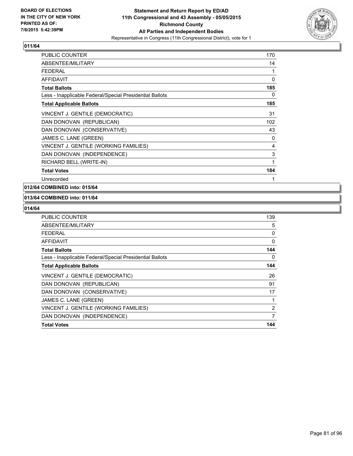

| PUBLIC COUNTER                                           | 170 |
|----------------------------------------------------------|-----|
| <b>ABSENTEE/MILITARY</b>                                 | 14  |
| FEDERAL                                                  | 1   |
| AFFIDAVIT                                                | 0   |
| <b>Total Ballots</b>                                     | 185 |
| Less - Inapplicable Federal/Special Presidential Ballots | 0   |
| <b>Total Applicable Ballots</b>                          | 185 |
| VINCENT J. GENTILE (DEMOCRATIC)                          | 31  |
| DAN DONOVAN (REPUBLICAN)                                 | 102 |
| DAN DONOVAN (CONSERVATIVE)                               | 43  |
| JAMES C. LANE (GREEN)                                    | 0   |
| VINCENT J. GENTILE (WORKING FAMILIES)                    | 4   |
| DAN DONOVAN (INDEPENDENCE)                               | 3   |
| RICHARD BELL (WRITE-IN)                                  | 1   |
| <b>Total Votes</b>                                       | 184 |
| Unrecorded                                               | 1   |

# **012/64 COMBINED into: 015/64**

#### **013/64 COMBINED into: 011/64**

| PUBLIC COUNTER                                           | 139            |
|----------------------------------------------------------|----------------|
| ABSENTEE/MILITARY                                        | 5              |
| <b>FEDERAL</b>                                           | 0              |
| <b>AFFIDAVIT</b>                                         | 0              |
| <b>Total Ballots</b>                                     | 144            |
| Less - Inapplicable Federal/Special Presidential Ballots | 0              |
| <b>Total Applicable Ballots</b>                          | 144            |
| VINCENT J. GENTILE (DEMOCRATIC)                          | 26             |
| DAN DONOVAN (REPUBLICAN)                                 | 91             |
| DAN DONOVAN (CONSERVATIVE)                               | 17             |
| JAMES C. LANE (GREEN)                                    |                |
| VINCENT J. GENTILE (WORKING FAMILIES)                    | $\overline{2}$ |
| DAN DONOVAN (INDEPENDENCE)                               | 7              |
| <b>Total Votes</b>                                       | 144            |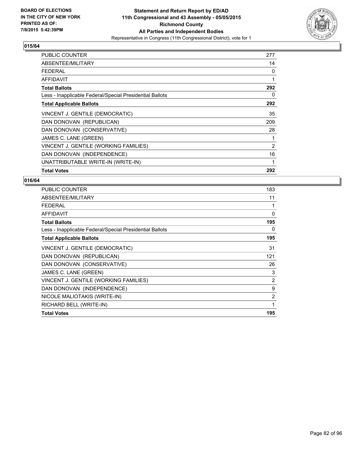

| <b>PUBLIC COUNTER</b>                                    | 277 |
|----------------------------------------------------------|-----|
| ABSENTEE/MILITARY                                        | 14  |
| <b>FEDERAL</b>                                           | 0   |
| <b>AFFIDAVIT</b>                                         | 1   |
| <b>Total Ballots</b>                                     | 292 |
| Less - Inapplicable Federal/Special Presidential Ballots | 0   |
| <b>Total Applicable Ballots</b>                          | 292 |
| VINCENT J. GENTILE (DEMOCRATIC)                          | 35  |
| DAN DONOVAN (REPUBLICAN)                                 | 209 |
| DAN DONOVAN (CONSERVATIVE)                               | 28  |
| JAMES C. LANE (GREEN)                                    | 1   |
| VINCENT J. GENTILE (WORKING FAMILIES)                    | 2   |
| DAN DONOVAN (INDEPENDENCE)                               | 16  |
| UNATTRIBUTABLE WRITE-IN (WRITE-IN)                       | 1   |
| <b>Total Votes</b>                                       | 292 |

| <b>PUBLIC COUNTER</b>                                    | 183            |
|----------------------------------------------------------|----------------|
| ABSENTEE/MILITARY                                        | 11             |
| <b>FEDERAL</b>                                           | 1              |
| <b>AFFIDAVIT</b>                                         | 0              |
| <b>Total Ballots</b>                                     | 195            |
| Less - Inapplicable Federal/Special Presidential Ballots | 0              |
| <b>Total Applicable Ballots</b>                          | 195            |
| VINCENT J. GENTILE (DEMOCRATIC)                          | 31             |
| DAN DONOVAN (REPUBLICAN)                                 | 121            |
| DAN DONOVAN (CONSERVATIVE)                               | 26             |
| JAMES C. LANE (GREEN)                                    | 3              |
| VINCENT J. GENTILE (WORKING FAMILIES)                    | $\overline{2}$ |
| DAN DONOVAN (INDEPENDENCE)                               | 9              |
| NICOLE MALIOTAKIS (WRITE-IN)                             | 2              |
| RICHARD BELL (WRITE-IN)                                  | 1              |
| <b>Total Votes</b>                                       | 195            |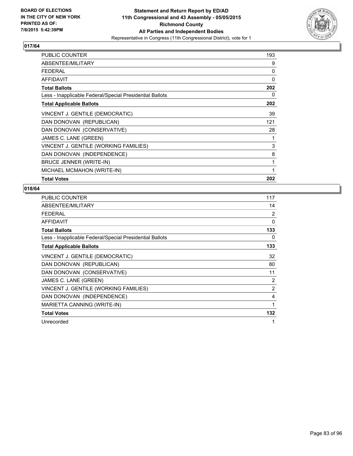

| <b>PUBLIC COUNTER</b>                                    | 193 |
|----------------------------------------------------------|-----|
| ABSENTEE/MILITARY                                        | 9   |
| FEDERAL                                                  | 0   |
| AFFIDAVIT                                                | 0   |
| <b>Total Ballots</b>                                     | 202 |
| Less - Inapplicable Federal/Special Presidential Ballots | 0   |
| <b>Total Applicable Ballots</b>                          | 202 |
| VINCENT J. GENTILE (DEMOCRATIC)                          | 39  |
| DAN DONOVAN (REPUBLICAN)                                 | 121 |
| DAN DONOVAN (CONSERVATIVE)                               | 28  |
| JAMES C. LANE (GREEN)                                    | 1   |
| VINCENT J. GENTILE (WORKING FAMILIES)                    | 3   |
| DAN DONOVAN (INDEPENDENCE)                               | 8   |
| BRUCE JENNER (WRITE-IN)                                  | 1   |
| MICHAEL MCMAHON (WRITE-IN)                               | 1   |
| <b>Total Votes</b>                                       | 202 |

| PUBLIC COUNTER                                           | 117            |
|----------------------------------------------------------|----------------|
| ABSENTEE/MILITARY                                        | 14             |
| <b>FEDERAL</b>                                           | 2              |
| <b>AFFIDAVIT</b>                                         | $\Omega$       |
| <b>Total Ballots</b>                                     | 133            |
| Less - Inapplicable Federal/Special Presidential Ballots | 0              |
| <b>Total Applicable Ballots</b>                          | 133            |
| VINCENT J. GENTILE (DEMOCRATIC)                          | 32             |
| DAN DONOVAN (REPUBLICAN)                                 | 80             |
| DAN DONOVAN (CONSERVATIVE)                               | 11             |
| JAMES C. LANE (GREEN)                                    | 2              |
| VINCENT J. GENTILE (WORKING FAMILIES)                    | $\overline{2}$ |
| DAN DONOVAN (INDEPENDENCE)                               | 4              |
| MARIETTA CANNING (WRITE-IN)                              | 1              |
| <b>Total Votes</b>                                       | 132            |
| Unrecorded                                               | 1              |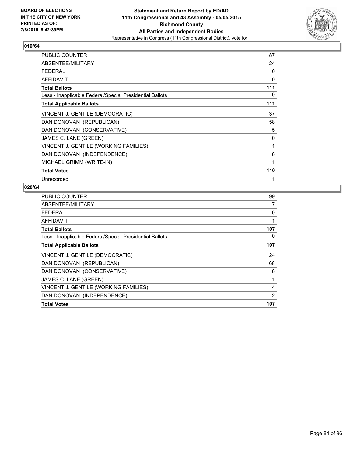

| PUBLIC COUNTER                                           | 87  |
|----------------------------------------------------------|-----|
| ABSENTEE/MILITARY                                        | 24  |
| <b>FEDERAL</b>                                           | 0   |
| AFFIDAVIT                                                | 0   |
| <b>Total Ballots</b>                                     | 111 |
| Less - Inapplicable Federal/Special Presidential Ballots | 0   |
| <b>Total Applicable Ballots</b>                          | 111 |
| VINCENT J. GENTILE (DEMOCRATIC)                          | 37  |
| DAN DONOVAN (REPUBLICAN)                                 | 58  |
| DAN DONOVAN (CONSERVATIVE)                               | 5   |
| JAMES C. LANE (GREEN)                                    | 0   |
| VINCENT J. GENTILE (WORKING FAMILIES)                    | 1   |
| DAN DONOVAN (INDEPENDENCE)                               | 8   |
| MICHAEL GRIMM (WRITE-IN)                                 | 1   |
| <b>Total Votes</b>                                       | 110 |
| Unrecorded                                               | 1   |

| <b>PUBLIC COUNTER</b>                                    | 99  |
|----------------------------------------------------------|-----|
| ABSENTEE/MILITARY                                        | 7   |
| FEDERAL                                                  | 0   |
| AFFIDAVIT                                                |     |
| <b>Total Ballots</b>                                     | 107 |
| Less - Inapplicable Federal/Special Presidential Ballots | 0   |
| <b>Total Applicable Ballots</b>                          | 107 |
| VINCENT J. GENTILE (DEMOCRATIC)                          | 24  |
| DAN DONOVAN (REPUBLICAN)                                 | 68  |
| DAN DONOVAN (CONSERVATIVE)                               | 8   |
| JAMES C. LANE (GREEN)                                    | 1   |
| VINCENT J. GENTILE (WORKING FAMILIES)                    | 4   |
| DAN DONOVAN (INDEPENDENCE)                               | 2   |
| <b>Total Votes</b>                                       | 107 |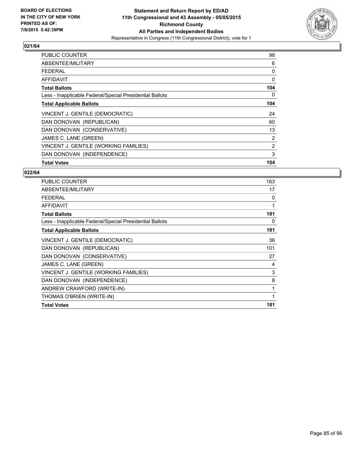

| <b>PUBLIC COUNTER</b>                                    | 98  |
|----------------------------------------------------------|-----|
| ABSENTEE/MILITARY                                        | 6   |
| <b>FEDERAL</b>                                           | 0   |
| AFFIDAVIT                                                | 0   |
| <b>Total Ballots</b>                                     | 104 |
| Less - Inapplicable Federal/Special Presidential Ballots | 0   |
| <b>Total Applicable Ballots</b>                          | 104 |
| VINCENT J. GENTILE (DEMOCRATIC)                          | 24  |
| DAN DONOVAN (REPUBLICAN)                                 | 60  |
| DAN DONOVAN (CONSERVATIVE)                               | 13  |
| JAMES C. LANE (GREEN)                                    | 2   |
| VINCENT J. GENTILE (WORKING FAMILIES)                    | 2   |
| DAN DONOVAN (INDEPENDENCE)                               | 3   |
| <b>Total Votes</b>                                       | 104 |

| <b>PUBLIC COUNTER</b>                                    | 163 |
|----------------------------------------------------------|-----|
| ABSENTEE/MILITARY                                        | 17  |
| <b>FEDERAL</b>                                           | 0   |
| AFFIDAVIT                                                | 1   |
| <b>Total Ballots</b>                                     | 181 |
| Less - Inapplicable Federal/Special Presidential Ballots | 0   |
| <b>Total Applicable Ballots</b>                          | 181 |
| VINCENT J. GENTILE (DEMOCRATIC)                          | 36  |
| DAN DONOVAN (REPUBLICAN)                                 | 101 |
| DAN DONOVAN (CONSERVATIVE)                               | 27  |
| JAMES C. LANE (GREEN)                                    | 4   |
| VINCENT J. GENTILE (WORKING FAMILIES)                    | 3   |
| DAN DONOVAN (INDEPENDENCE)                               | 8   |
| ANDREW CRAWFORD (WRITE-IN)                               | 1   |
| THOMAS O'BRIEN (WRITE-IN)                                | 1   |
| <b>Total Votes</b>                                       | 181 |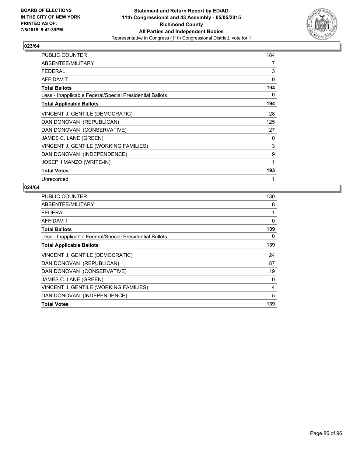

| <b>PUBLIC COUNTER</b>                                    | 184 |
|----------------------------------------------------------|-----|
| ABSENTEE/MILITARY                                        | 7   |
| <b>FEDERAL</b>                                           | 3   |
| <b>AFFIDAVIT</b>                                         | 0   |
| <b>Total Ballots</b>                                     | 194 |
| Less - Inapplicable Federal/Special Presidential Ballots | 0   |
| <b>Total Applicable Ballots</b>                          | 194 |
| VINCENT J. GENTILE (DEMOCRATIC)                          | 28  |
| DAN DONOVAN (REPUBLICAN)                                 | 125 |
| DAN DONOVAN (CONSERVATIVE)                               | 27  |
| JAMES C. LANE (GREEN)                                    | 0   |
| VINCENT J. GENTILE (WORKING FAMILIES)                    | 3   |
| DAN DONOVAN (INDEPENDENCE)                               | 9   |
| JOSEPH MANZO (WRITE-IN)                                  | 1   |
| <b>Total Votes</b>                                       | 193 |
| Unrecorded                                               | 1   |

| <b>PUBLIC COUNTER</b>                                    | 130 |
|----------------------------------------------------------|-----|
| ABSENTEE/MILITARY                                        | 8   |
| FEDERAL                                                  | 1   |
| <b>AFFIDAVIT</b>                                         | 0   |
| Total Ballots                                            | 139 |
| Less - Inapplicable Federal/Special Presidential Ballots | 0   |
| <b>Total Applicable Ballots</b>                          | 139 |
| VINCENT J. GENTILE (DEMOCRATIC)                          | 24  |
| DAN DONOVAN (REPUBLICAN)                                 | 87  |
| DAN DONOVAN (CONSERVATIVE)                               | 19  |
| JAMES C. LANE (GREEN)                                    | 0   |
| VINCENT J. GENTILE (WORKING FAMILIES)                    | 4   |
| DAN DONOVAN (INDEPENDENCE)                               | 5   |
| <b>Total Votes</b>                                       | 139 |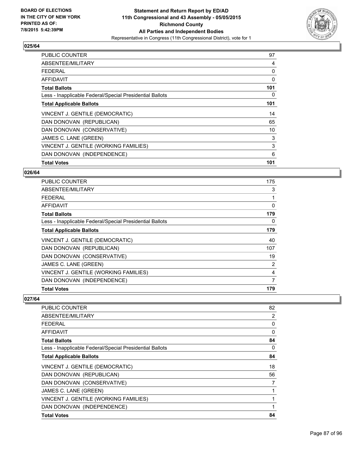

| <b>PUBLIC COUNTER</b>                                    | 97  |
|----------------------------------------------------------|-----|
| ABSENTEE/MILITARY                                        | 4   |
| <b>FEDERAL</b>                                           | 0   |
| AFFIDAVIT                                                | 0   |
| <b>Total Ballots</b>                                     | 101 |
| Less - Inapplicable Federal/Special Presidential Ballots | 0   |
| <b>Total Applicable Ballots</b>                          | 101 |
| VINCENT J. GENTILE (DEMOCRATIC)                          | 14  |
| DAN DONOVAN (REPUBLICAN)                                 | 65  |
| DAN DONOVAN (CONSERVATIVE)                               | 10  |
| JAMES C. LANE (GREEN)                                    | 3   |
| VINCENT J. GENTILE (WORKING FAMILIES)                    | 3   |
| DAN DONOVAN (INDEPENDENCE)                               | 6   |
| <b>Total Votes</b>                                       | 101 |

#### **026/64**

| <b>PUBLIC COUNTER</b>                                    | 175 |
|----------------------------------------------------------|-----|
| ABSENTEE/MILITARY                                        | 3   |
| <b>FEDERAL</b>                                           |     |
| AFFIDAVIT                                                | 0   |
| <b>Total Ballots</b>                                     | 179 |
| Less - Inapplicable Federal/Special Presidential Ballots | 0   |
| <b>Total Applicable Ballots</b>                          | 179 |
| VINCENT J. GENTILE (DEMOCRATIC)                          | 40  |
| DAN DONOVAN (REPUBLICAN)                                 | 107 |
| DAN DONOVAN (CONSERVATIVE)                               | 19  |
| JAMES C. LANE (GREEN)                                    | 2   |
| VINCENT J. GENTILE (WORKING FAMILIES)                    | 4   |
| DAN DONOVAN (INDEPENDENCE)                               | 7   |
| <b>Total Votes</b>                                       | 179 |

| <b>PUBLIC COUNTER</b>                                    | 82 |
|----------------------------------------------------------|----|
| ABSENTEE/MILITARY                                        | 2  |
| <b>FEDERAL</b>                                           | 0  |
| AFFIDAVIT                                                | 0  |
| <b>Total Ballots</b>                                     | 84 |
| Less - Inapplicable Federal/Special Presidential Ballots | 0  |
| <b>Total Applicable Ballots</b>                          | 84 |
| VINCENT J. GENTILE (DEMOCRATIC)                          | 18 |
| DAN DONOVAN (REPUBLICAN)                                 | 56 |
| DAN DONOVAN (CONSERVATIVE)                               | 7  |
| JAMES C. LANE (GREEN)                                    | 1  |
| VINCENT J. GENTILE (WORKING FAMILIES)                    | 1  |
| DAN DONOVAN (INDEPENDENCE)                               | 1  |
| <b>Total Votes</b>                                       | 84 |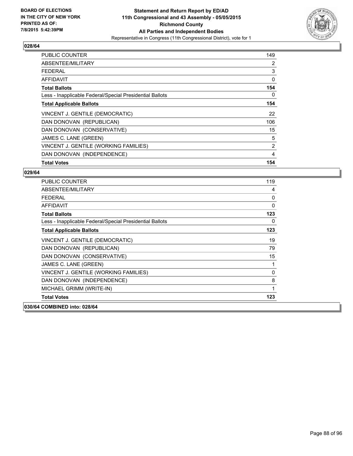

| <b>PUBLIC COUNTER</b>                                    | 149 |
|----------------------------------------------------------|-----|
| ABSENTEE/MILITARY                                        | 2   |
| <b>FEDERAL</b>                                           | 3   |
| AFFIDAVIT                                                | 0   |
| <b>Total Ballots</b>                                     | 154 |
| Less - Inapplicable Federal/Special Presidential Ballots | 0   |
| <b>Total Applicable Ballots</b>                          | 154 |
| VINCENT J. GENTILE (DEMOCRATIC)                          | 22  |
| DAN DONOVAN (REPUBLICAN)                                 | 106 |
| DAN DONOVAN (CONSERVATIVE)                               | 15  |
| JAMES C. LANE (GREEN)                                    | 5   |
| VINCENT J. GENTILE (WORKING FAMILIES)                    | 2   |
| DAN DONOVAN (INDEPENDENCE)                               | 4   |
| <b>Total Votes</b>                                       | 154 |

| <b>PUBLIC COUNTER</b>                                    | 119 |
|----------------------------------------------------------|-----|
| ABSENTEE/MILITARY                                        | 4   |
| <b>FEDERAL</b>                                           | 0   |
| <b>AFFIDAVIT</b>                                         | 0   |
| <b>Total Ballots</b>                                     | 123 |
| Less - Inapplicable Federal/Special Presidential Ballots | 0   |
| <b>Total Applicable Ballots</b>                          | 123 |
| VINCENT J. GENTILE (DEMOCRATIC)                          | 19  |
| DAN DONOVAN (REPUBLICAN)                                 | 79  |
| DAN DONOVAN (CONSERVATIVE)                               | 15  |
| JAMES C. LANE (GREEN)                                    | 1   |
| VINCENT J. GENTILE (WORKING FAMILIES)                    | 0   |
| DAN DONOVAN (INDEPENDENCE)                               | 8   |
| MICHAEL GRIMM (WRITE-IN)                                 | 1   |
| <b>Total Votes</b>                                       | 123 |
| 030/64 COMBINED into: 028/64                             |     |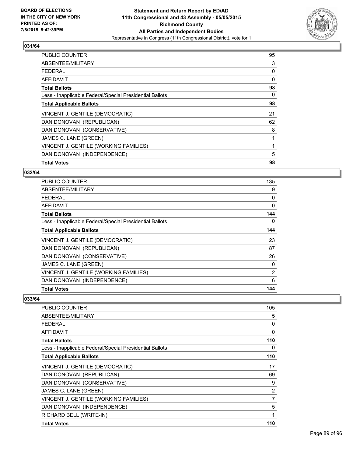

| <b>PUBLIC COUNTER</b>                                    | 95 |
|----------------------------------------------------------|----|
| ABSENTEE/MILITARY                                        | 3  |
| <b>FEDERAL</b>                                           | 0  |
| AFFIDAVIT                                                | 0  |
| <b>Total Ballots</b>                                     | 98 |
| Less - Inapplicable Federal/Special Presidential Ballots | 0  |
| <b>Total Applicable Ballots</b>                          | 98 |
| VINCENT J. GENTILE (DEMOCRATIC)                          | 21 |
| DAN DONOVAN (REPUBLICAN)                                 | 62 |
| DAN DONOVAN (CONSERVATIVE)                               | 8  |
| JAMES C. LANE (GREEN)                                    |    |
| VINCENT J. GENTILE (WORKING FAMILIES)                    |    |
| DAN DONOVAN (INDEPENDENCE)                               | 5  |
| <b>Total Votes</b>                                       | 98 |

# **032/64**

| <b>PUBLIC COUNTER</b>                                    | 135            |
|----------------------------------------------------------|----------------|
| ABSENTEE/MILITARY                                        | 9              |
| <b>FEDERAL</b>                                           | 0              |
| AFFIDAVIT                                                | $\Omega$       |
| <b>Total Ballots</b>                                     | 144            |
| Less - Inapplicable Federal/Special Presidential Ballots | 0              |
| <b>Total Applicable Ballots</b>                          | 144            |
| VINCENT J. GENTILE (DEMOCRATIC)                          | 23             |
| DAN DONOVAN (REPUBLICAN)                                 | 87             |
| DAN DONOVAN (CONSERVATIVE)                               | 26             |
| JAMES C. LANE (GREEN)                                    | 0              |
| VINCENT J. GENTILE (WORKING FAMILIES)                    | $\overline{2}$ |
| DAN DONOVAN (INDEPENDENCE)                               | 6              |
| <b>Total Votes</b>                                       | 144            |

| <b>PUBLIC COUNTER</b>                                    | 105            |
|----------------------------------------------------------|----------------|
| ABSENTEE/MILITARY                                        | 5              |
| <b>FEDERAL</b>                                           | 0              |
| AFFIDAVIT                                                | 0              |
| <b>Total Ballots</b>                                     | 110            |
| Less - Inapplicable Federal/Special Presidential Ballots | 0              |
| <b>Total Applicable Ballots</b>                          | 110            |
| VINCENT J. GENTILE (DEMOCRATIC)                          | 17             |
| DAN DONOVAN (REPUBLICAN)                                 | 69             |
| DAN DONOVAN (CONSERVATIVE)                               | 9              |
| JAMES C. LANE (GREEN)                                    | $\overline{2}$ |
| VINCENT J. GENTILE (WORKING FAMILIES)                    | 7              |
| DAN DONOVAN (INDEPENDENCE)                               | 5              |
| RICHARD BELL (WRITE-IN)                                  | 1              |
| <b>Total Votes</b>                                       | 110            |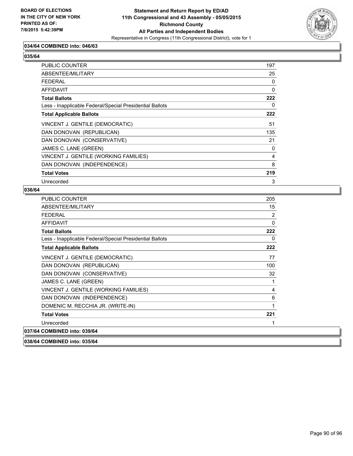

# **034/64 COMBINED into: 046/63**

# **035/64**

| <b>PUBLIC COUNTER</b>                                    | 197 |
|----------------------------------------------------------|-----|
| ABSENTEE/MILITARY                                        | 25  |
| <b>FEDERAL</b>                                           | 0   |
| <b>AFFIDAVIT</b>                                         | 0   |
| <b>Total Ballots</b>                                     | 222 |
| Less - Inapplicable Federal/Special Presidential Ballots | 0   |
| <b>Total Applicable Ballots</b>                          | 222 |
| VINCENT J. GENTILE (DEMOCRATIC)                          | 51  |
| DAN DONOVAN (REPUBLICAN)                                 | 135 |
| DAN DONOVAN (CONSERVATIVE)                               | 21  |
| JAMES C. LANE (GREEN)                                    | 0   |
| VINCENT J. GENTILE (WORKING FAMILIES)                    | 4   |
| DAN DONOVAN (INDEPENDENCE)                               | 8   |
| <b>Total Votes</b>                                       | 219 |
| Unrecorded                                               | 3   |

#### **036/64**

| <b>PUBLIC COUNTER</b>                                    | 205         |
|----------------------------------------------------------|-------------|
| ABSENTEE/MILITARY                                        | 15          |
| <b>FEDERAL</b>                                           | 2           |
| <b>AFFIDAVIT</b>                                         | $\mathbf 0$ |
| <b>Total Ballots</b>                                     | 222         |
| Less - Inapplicable Federal/Special Presidential Ballots | 0           |
| <b>Total Applicable Ballots</b>                          | 222         |
| VINCENT J. GENTILE (DEMOCRATIC)                          | 77          |
| DAN DONOVAN (REPUBLICAN)                                 | 100         |
| DAN DONOVAN (CONSERVATIVE)                               | 32          |
| JAMES C. LANE (GREEN)                                    | 1           |
| VINCENT J. GENTILE (WORKING FAMILIES)                    | 4           |
| DAN DONOVAN (INDEPENDENCE)                               | 6           |
| DOMENIC M. RECCHIA JR. (WRITE-IN)                        | 1           |
| <b>Total Votes</b>                                       | 221         |
| Unrecorded                                               | 1           |
| 037/64 COMBINED into: 039/64                             |             |

**038/64 COMBINED into: 035/64**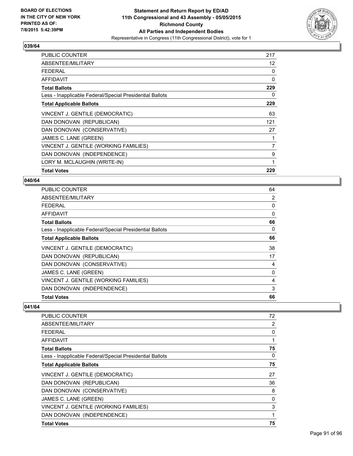

| <b>PUBLIC COUNTER</b>                                    | 217               |
|----------------------------------------------------------|-------------------|
| ABSENTEE/MILITARY                                        | $12 \overline{ }$ |
| FEDERAL                                                  | 0                 |
| AFFIDAVIT                                                | 0                 |
| <b>Total Ballots</b>                                     | 229               |
| Less - Inapplicable Federal/Special Presidential Ballots | 0                 |
| <b>Total Applicable Ballots</b>                          | 229               |
| VINCENT J. GENTILE (DEMOCRATIC)                          | 63                |
| DAN DONOVAN (REPUBLICAN)                                 | 121               |
| DAN DONOVAN (CONSERVATIVE)                               | 27                |
| JAMES C. LANE (GREEN)                                    | 1                 |
| VINCENT J. GENTILE (WORKING FAMILIES)                    | 7                 |
| DAN DONOVAN (INDEPENDENCE)                               | 9                 |
| LORY M. MCLAUGHIN (WRITE-IN)                             | 1                 |
| <b>Total Votes</b>                                       | 229               |

#### **040/64**

| PUBLIC COUNTER                                           | 64 |
|----------------------------------------------------------|----|
| ABSENTEE/MILITARY                                        | 2  |
| <b>FEDERAL</b>                                           | 0  |
| <b>AFFIDAVIT</b>                                         | 0  |
| <b>Total Ballots</b>                                     | 66 |
| Less - Inapplicable Federal/Special Presidential Ballots | 0  |
| <b>Total Applicable Ballots</b>                          | 66 |
| VINCENT J. GENTILE (DEMOCRATIC)                          | 38 |
| DAN DONOVAN (REPUBLICAN)                                 | 17 |
| DAN DONOVAN (CONSERVATIVE)                               | 4  |
| JAMES C. LANE (GREEN)                                    | 0  |
| VINCENT J. GENTILE (WORKING FAMILIES)                    | 4  |
| DAN DONOVAN (INDEPENDENCE)                               | 3  |
| <b>Total Votes</b>                                       | 66 |

| PUBLIC COUNTER                                           | 72 |
|----------------------------------------------------------|----|
| ABSENTEE/MILITARY                                        | 2  |
| <b>FFDFRAI</b>                                           | 0  |
| AFFIDAVIT                                                |    |
| <b>Total Ballots</b>                                     | 75 |
| Less - Inapplicable Federal/Special Presidential Ballots | 0  |
| <b>Total Applicable Ballots</b>                          | 75 |
| VINCENT J. GENTILE (DEMOCRATIC)                          | 27 |
| DAN DONOVAN (REPUBLICAN)                                 | 36 |
| DAN DONOVAN (CONSERVATIVE)                               | 8  |
| JAMES C. LANE (GREEN)                                    | 0  |
| VINCENT J. GENTILE (WORKING FAMILIES)                    | 3  |
| DAN DONOVAN (INDEPENDENCE)                               |    |
| <b>Total Votes</b>                                       | 75 |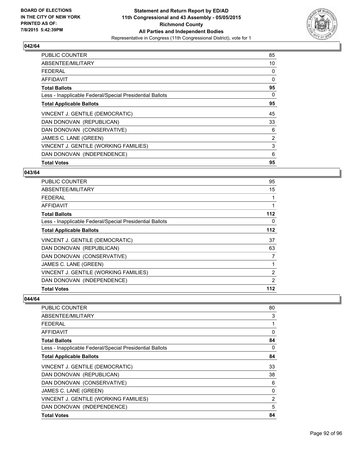

| <b>PUBLIC COUNTER</b>                                    | 85 |
|----------------------------------------------------------|----|
| ABSENTEE/MILITARY                                        | 10 |
| <b>FEDERAL</b>                                           | 0  |
| AFFIDAVIT                                                | 0  |
| <b>Total Ballots</b>                                     | 95 |
| Less - Inapplicable Federal/Special Presidential Ballots | 0  |
| <b>Total Applicable Ballots</b>                          | 95 |
| VINCENT J. GENTILE (DEMOCRATIC)                          | 45 |
| DAN DONOVAN (REPUBLICAN)                                 | 33 |
| DAN DONOVAN (CONSERVATIVE)                               | 6  |
| JAMES C. LANE (GREEN)                                    | 2  |
| VINCENT J. GENTILE (WORKING FAMILIES)                    | 3  |
| DAN DONOVAN (INDEPENDENCE)                               | 6  |
| <b>Total Votes</b>                                       | 95 |

#### **043/64**

| <b>PUBLIC COUNTER</b>                                    | 95             |
|----------------------------------------------------------|----------------|
| ABSENTEE/MILITARY                                        | 15             |
| <b>FEDERAL</b>                                           |                |
| <b>AFFIDAVIT</b>                                         | 1              |
| <b>Total Ballots</b>                                     | 112            |
| Less - Inapplicable Federal/Special Presidential Ballots | 0              |
| <b>Total Applicable Ballots</b>                          | 112            |
| VINCENT J. GENTILE (DEMOCRATIC)                          | 37             |
| DAN DONOVAN (REPUBLICAN)                                 | 63             |
| DAN DONOVAN (CONSERVATIVE)                               | 7              |
| JAMES C. LANE (GREEN)                                    |                |
| VINCENT J. GENTILE (WORKING FAMILIES)                    | $\overline{2}$ |
| DAN DONOVAN (INDEPENDENCE)                               | 2              |
| <b>Total Votes</b>                                       | 112            |

| PUBLIC COUNTER                                           | 80 |
|----------------------------------------------------------|----|
| ABSENTEE/MILITARY                                        | 3  |
| <b>FEDERAL</b>                                           | 1  |
| AFFIDAVIT                                                | 0  |
| <b>Total Ballots</b>                                     | 84 |
| Less - Inapplicable Federal/Special Presidential Ballots | 0  |
| <b>Total Applicable Ballots</b>                          | 84 |
| VINCENT J. GENTILE (DEMOCRATIC)                          | 33 |
| DAN DONOVAN (REPUBLICAN)                                 | 38 |
| DAN DONOVAN (CONSERVATIVE)                               | 6  |
| JAMES C. LANE (GREEN)                                    | 0  |
| VINCENT J. GENTILE (WORKING FAMILIES)                    | 2  |
| DAN DONOVAN (INDEPENDENCE)                               | 5  |
| <b>Total Votes</b>                                       | 84 |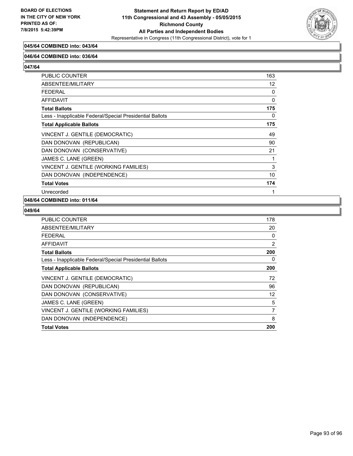

# **045/64 COMBINED into: 043/64**

#### **046/64 COMBINED into: 036/64**

**047/64** 

| PUBLIC COUNTER                                           | 163 |
|----------------------------------------------------------|-----|
| ABSENTEE/MILITARY                                        | 12  |
| <b>FEDERAL</b>                                           | 0   |
| <b>AFFIDAVIT</b>                                         | 0   |
| <b>Total Ballots</b>                                     | 175 |
| Less - Inapplicable Federal/Special Presidential Ballots | 0   |
| <b>Total Applicable Ballots</b>                          | 175 |
| VINCENT J. GENTILE (DEMOCRATIC)                          | 49  |
| DAN DONOVAN (REPUBLICAN)                                 | 90  |
| DAN DONOVAN (CONSERVATIVE)                               | 21  |
| JAMES C. LANE (GREEN)                                    | 1   |
| VINCENT J. GENTILE (WORKING FAMILIES)                    | 3   |
| DAN DONOVAN (INDEPENDENCE)                               | 10  |
| <b>Total Votes</b>                                       | 174 |
| Unrecorded                                               | 1   |

### **048/64 COMBINED into: 011/64**

| <b>PUBLIC COUNTER</b>                                    | 178 |
|----------------------------------------------------------|-----|
| ABSENTEE/MILITARY                                        | 20  |
| <b>FEDERAL</b>                                           | 0   |
| AFFIDAVIT                                                | 2   |
| <b>Total Ballots</b>                                     | 200 |
| Less - Inapplicable Federal/Special Presidential Ballots | 0   |
| <b>Total Applicable Ballots</b>                          | 200 |
| VINCENT J. GENTILE (DEMOCRATIC)                          | 72  |
| DAN DONOVAN (REPUBLICAN)                                 | 96  |
| DAN DONOVAN (CONSERVATIVE)                               | 12  |
| JAMES C. LANE (GREEN)                                    | 5   |
| VINCENT J. GENTILE (WORKING FAMILIES)                    | 7   |
| DAN DONOVAN (INDEPENDENCE)                               | 8   |
| <b>Total Votes</b>                                       | 200 |
|                                                          |     |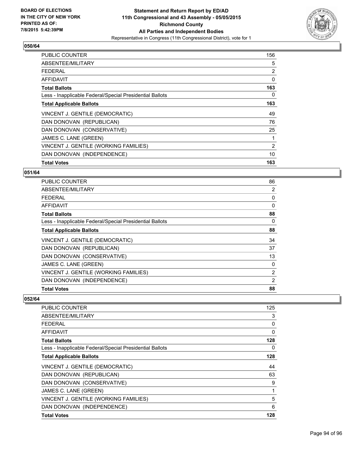

| <b>PUBLIC COUNTER</b>                                    | 156 |
|----------------------------------------------------------|-----|
| ABSENTEE/MILITARY                                        | 5   |
| <b>FEDERAL</b>                                           | 2   |
| AFFIDAVIT                                                | 0   |
| <b>Total Ballots</b>                                     | 163 |
| Less - Inapplicable Federal/Special Presidential Ballots | 0   |
| <b>Total Applicable Ballots</b>                          | 163 |
| VINCENT J. GENTILE (DEMOCRATIC)                          | 49  |
| DAN DONOVAN (REPUBLICAN)                                 | 76  |
| DAN DONOVAN (CONSERVATIVE)                               | 25  |
| JAMES C. LANE (GREEN)                                    | 1   |
| VINCENT J. GENTILE (WORKING FAMILIES)                    | 2   |
| DAN DONOVAN (INDEPENDENCE)                               | 10  |
| <b>Total Votes</b>                                       | 163 |

# **051/64**

| <b>PUBLIC COUNTER</b>                                    | 86             |
|----------------------------------------------------------|----------------|
| ABSENTEE/MILITARY                                        | 2              |
| <b>FEDERAL</b>                                           | 0              |
| AFFIDAVIT                                                | $\Omega$       |
| <b>Total Ballots</b>                                     | 88             |
| Less - Inapplicable Federal/Special Presidential Ballots | 0              |
| <b>Total Applicable Ballots</b>                          | 88             |
| VINCENT J. GENTILE (DEMOCRATIC)                          | 34             |
| DAN DONOVAN (REPUBLICAN)                                 | 37             |
| DAN DONOVAN (CONSERVATIVE)                               | 13             |
| JAMES C. LANE (GREEN)                                    | 0              |
| VINCENT J. GENTILE (WORKING FAMILIES)                    | $\overline{2}$ |
| DAN DONOVAN (INDEPENDENCE)                               | 2              |
| <b>Total Votes</b>                                       | 88             |

| <b>PUBLIC COUNTER</b>                                    | 125 |
|----------------------------------------------------------|-----|
| ABSENTEE/MILITARY                                        | 3   |
| <b>FEDERAL</b>                                           | 0   |
| AFFIDAVIT                                                | 0   |
| <b>Total Ballots</b>                                     | 128 |
| Less - Inapplicable Federal/Special Presidential Ballots | 0   |
| <b>Total Applicable Ballots</b>                          | 128 |
| VINCENT J. GENTILE (DEMOCRATIC)                          | 44  |
| DAN DONOVAN (REPUBLICAN)                                 | 63  |
| DAN DONOVAN (CONSERVATIVE)                               | 9   |
| JAMES C. LANE (GREEN)                                    | 1   |
| VINCENT J. GENTILE (WORKING FAMILIES)                    | 5   |
| DAN DONOVAN (INDEPENDENCE)                               | 6   |
| <b>Total Votes</b>                                       | 128 |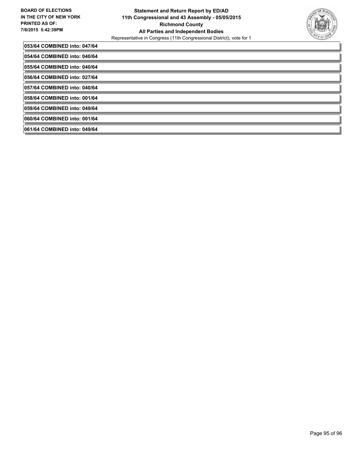

| 053/64 COMBINED into: 047/64 |
|------------------------------|
| 054/64 COMBINED into: 040/64 |
| 055/64 COMBINED into: 040/64 |
| 056/64 COMBINED into: 027/64 |
| 057/64 COMBINED into: 040/64 |
| 058/64 COMBINED into: 001/64 |
| 059/64 COMBINED into: 049/64 |
| 060/64 COMBINED into: 001/64 |
| 061/64 COMBINED into: 049/64 |